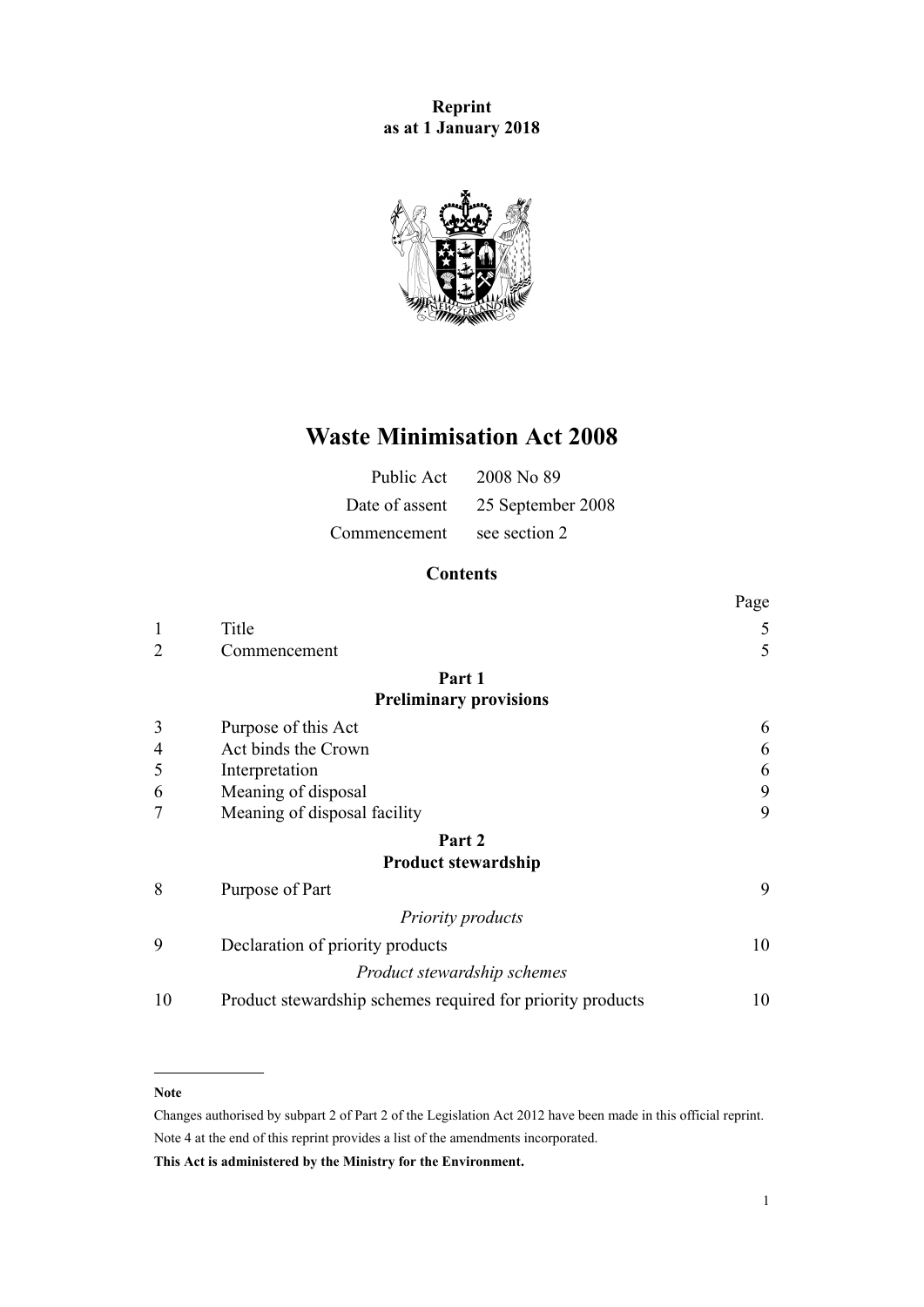**Reprint as at 1 January 2018**



# **Waste Minimisation Act 2008**

| Public Act     | 2008 No 89        |
|----------------|-------------------|
| Date of assent | 25 September 2008 |
| Commencement   | see section 2     |

# **Contents**

|                |                                                            | Page |
|----------------|------------------------------------------------------------|------|
| $\mathbf{1}$   | Title                                                      | 5    |
| $\overline{2}$ | Commencement                                               | 5    |
|                | Part 1                                                     |      |
|                | <b>Preliminary provisions</b>                              |      |
| 3              | Purpose of this Act                                        | 6    |
| 4              | Act binds the Crown                                        | 6    |
| 5              | Interpretation                                             | 6    |
| 6              | Meaning of disposal                                        | 9    |
| 7              | Meaning of disposal facility                               | 9    |
|                | Part 2                                                     |      |
|                | <b>Product stewardship</b>                                 |      |
| 8              | Purpose of Part                                            | 9    |
|                | <b>Priority products</b>                                   |      |
| 9              | Declaration of priority products                           | 10   |
|                | Product stewardship schemes                                |      |
| 10             | Product stewardship schemes required for priority products | 10   |

#### **Note**

Changes authorised by [subpart 2](http://prd-lgnz-nlb.prd.pco.net.nz/pdflink.aspx?id=DLM2998524) of Part 2 of the Legislation Act 2012 have been made in this official reprint. Note 4 at the end of this reprint provides a list of the amendments incorporated.

**This Act is administered by the Ministry for the Environment.**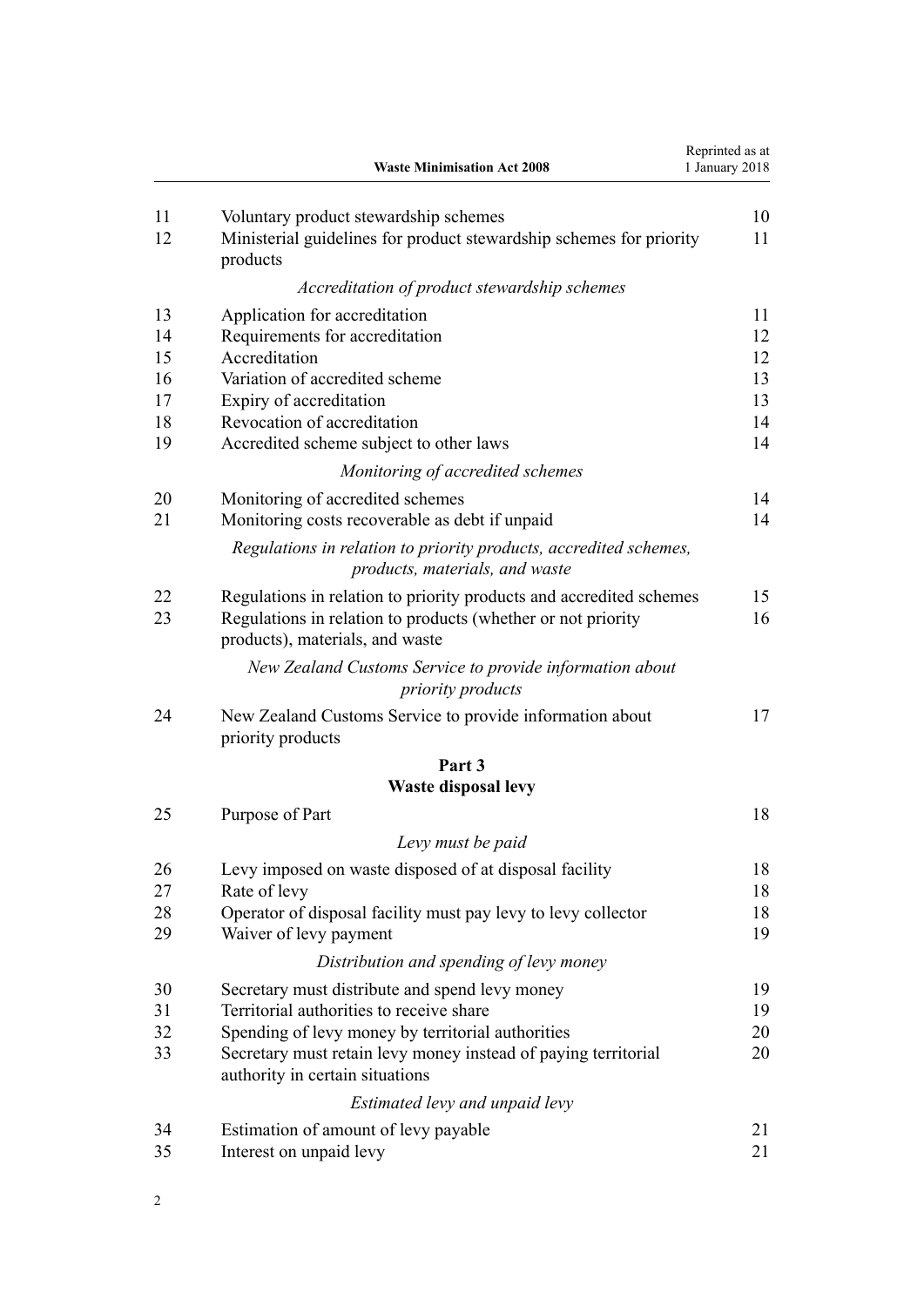|          | <b>Waste Minimisation Act 2008</b>                                                                                                                                     | Reprinted as at<br>1 January 2018 |
|----------|------------------------------------------------------------------------------------------------------------------------------------------------------------------------|-----------------------------------|
| 11<br>12 | Voluntary product stewardship schemes<br>Ministerial guidelines for product stewardship schemes for priority                                                           | 10<br>11                          |
|          | products                                                                                                                                                               |                                   |
|          | Accreditation of product stewardship schemes                                                                                                                           |                                   |
| 13       | Application for accreditation                                                                                                                                          | 11                                |
| 14       | Requirements for accreditation                                                                                                                                         | 12                                |
| 15       | Accreditation                                                                                                                                                          | 12                                |
| 16       | Variation of accredited scheme                                                                                                                                         | 13                                |
| 17       | Expiry of accreditation                                                                                                                                                | 13                                |
| 18       | Revocation of accreditation                                                                                                                                            | 14                                |
| 19       | Accredited scheme subject to other laws                                                                                                                                | 14                                |
|          | Monitoring of accredited schemes                                                                                                                                       |                                   |
| 20       | Monitoring of accredited schemes                                                                                                                                       | 14                                |
| 21       | Monitoring costs recoverable as debt if unpaid                                                                                                                         | 14                                |
|          | Regulations in relation to priority products, accredited schemes,<br>products, materials, and waste                                                                    |                                   |
| 22<br>23 | Regulations in relation to priority products and accredited schemes<br>Regulations in relation to products (whether or not priority<br>products), materials, and waste | 15<br>16                          |
|          | New Zealand Customs Service to provide information about<br>priority products                                                                                          |                                   |
| 24       | New Zealand Customs Service to provide information about<br>priority products                                                                                          | 17                                |
|          | Part 3                                                                                                                                                                 |                                   |
|          | <b>Waste disposal levy</b>                                                                                                                                             |                                   |
| 25       | Purpose of Part                                                                                                                                                        | 18                                |
|          | Levy must be paid                                                                                                                                                      |                                   |
| 26       | Levy imposed on waste disposed of at disposal facility                                                                                                                 | 18                                |
| 27       | Rate of levy                                                                                                                                                           | 18                                |
| 28       | Operator of disposal facility must pay levy to levy collector                                                                                                          | 18                                |
| 29       | Waiver of levy payment                                                                                                                                                 | 19                                |
|          | Distribution and spending of levy money                                                                                                                                |                                   |
| 30       | Secretary must distribute and spend levy money                                                                                                                         | 19                                |
| 31       | Territorial authorities to receive share                                                                                                                               | 19                                |
| 32       | Spending of levy money by territorial authorities                                                                                                                      | 20                                |
| 33       | Secretary must retain levy money instead of paying territorial<br>authority in certain situations                                                                      | 20                                |
|          | Estimated levy and unpaid levy                                                                                                                                         |                                   |
| 34       | Estimation of amount of levy payable                                                                                                                                   | 21                                |
| 35       | Interest on unpaid levy                                                                                                                                                | 21                                |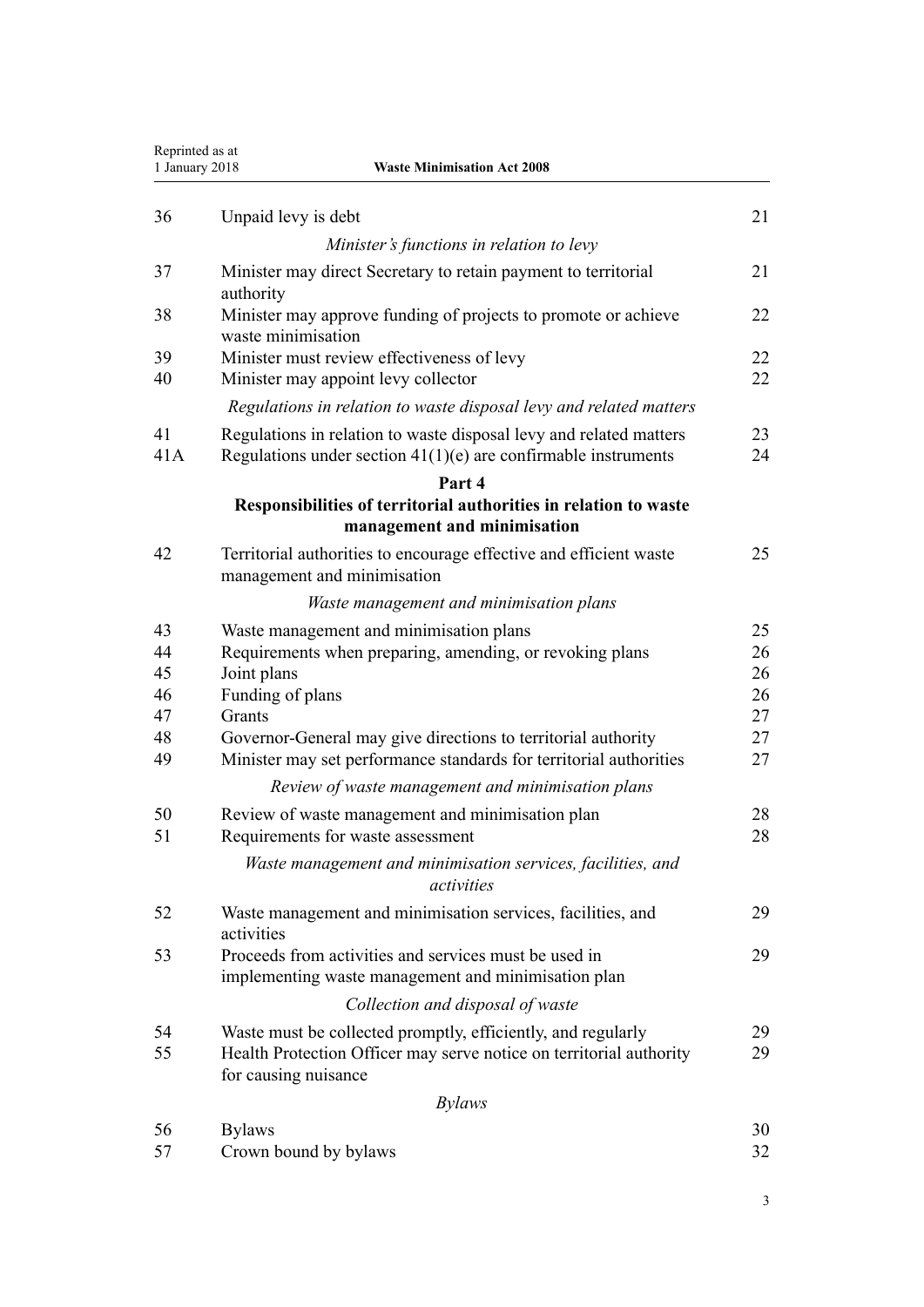| Reprinted as at<br><b>Waste Minimisation Act 2008</b><br>1 January 2018 |                                                                                                                                        |          |
|-------------------------------------------------------------------------|----------------------------------------------------------------------------------------------------------------------------------------|----------|
| 36                                                                      | Unpaid levy is debt                                                                                                                    | 21       |
|                                                                         | Minister's functions in relation to levy                                                                                               |          |
| 37                                                                      | Minister may direct Secretary to retain payment to territorial<br>authority                                                            | 21       |
| 38                                                                      | Minister may approve funding of projects to promote or achieve<br>waste minimisation                                                   | 22       |
| 39                                                                      | Minister must review effectiveness of levy                                                                                             | 22       |
| 40                                                                      | Minister may appoint levy collector                                                                                                    | 22       |
|                                                                         | Regulations in relation to waste disposal levy and related matters                                                                     |          |
| 41<br>41A                                                               | Regulations in relation to waste disposal levy and related matters<br>Regulations under section $41(1)(e)$ are confirmable instruments | 23<br>24 |
|                                                                         | Part 4                                                                                                                                 |          |
|                                                                         | Responsibilities of territorial authorities in relation to waste<br>management and minimisation                                        |          |
| 42                                                                      | Territorial authorities to encourage effective and efficient waste<br>management and minimisation                                      | 25       |
|                                                                         | Waste management and minimisation plans                                                                                                |          |
| 43                                                                      | Waste management and minimisation plans                                                                                                | 25       |
| 44                                                                      | Requirements when preparing, amending, or revoking plans                                                                               | 26       |
| 45                                                                      | Joint plans                                                                                                                            | 26       |
| 46                                                                      | Funding of plans                                                                                                                       | 26       |
| 47                                                                      | Grants                                                                                                                                 | 27       |
| 48<br>49                                                                | Governor-General may give directions to territorial authority<br>Minister may set performance standards for territorial authorities    | 27<br>27 |
|                                                                         | Review of waste management and minimisation plans                                                                                      |          |
| 50<br>51                                                                | Review of waste management and minimisation plan<br>Requirements for waste assessment                                                  | 28<br>28 |
|                                                                         | Waste management and minimisation services, facilities, and<br>activities                                                              |          |
| 52                                                                      | Waste management and minimisation services, facilities, and<br>activities                                                              | 29       |
| 53                                                                      | Proceeds from activities and services must be used in<br>implementing waste management and minimisation plan                           | 29       |
|                                                                         | Collection and disposal of waste                                                                                                       |          |
| 54                                                                      | Waste must be collected promptly, efficiently, and regularly                                                                           | 29       |
| 55                                                                      | Health Protection Officer may serve notice on territorial authority<br>for causing nuisance                                            | 29       |
|                                                                         | <b>Bylaws</b>                                                                                                                          |          |
| 56                                                                      | <b>Bylaws</b>                                                                                                                          | 30       |
| 57                                                                      | Crown bound by bylaws                                                                                                                  | 32       |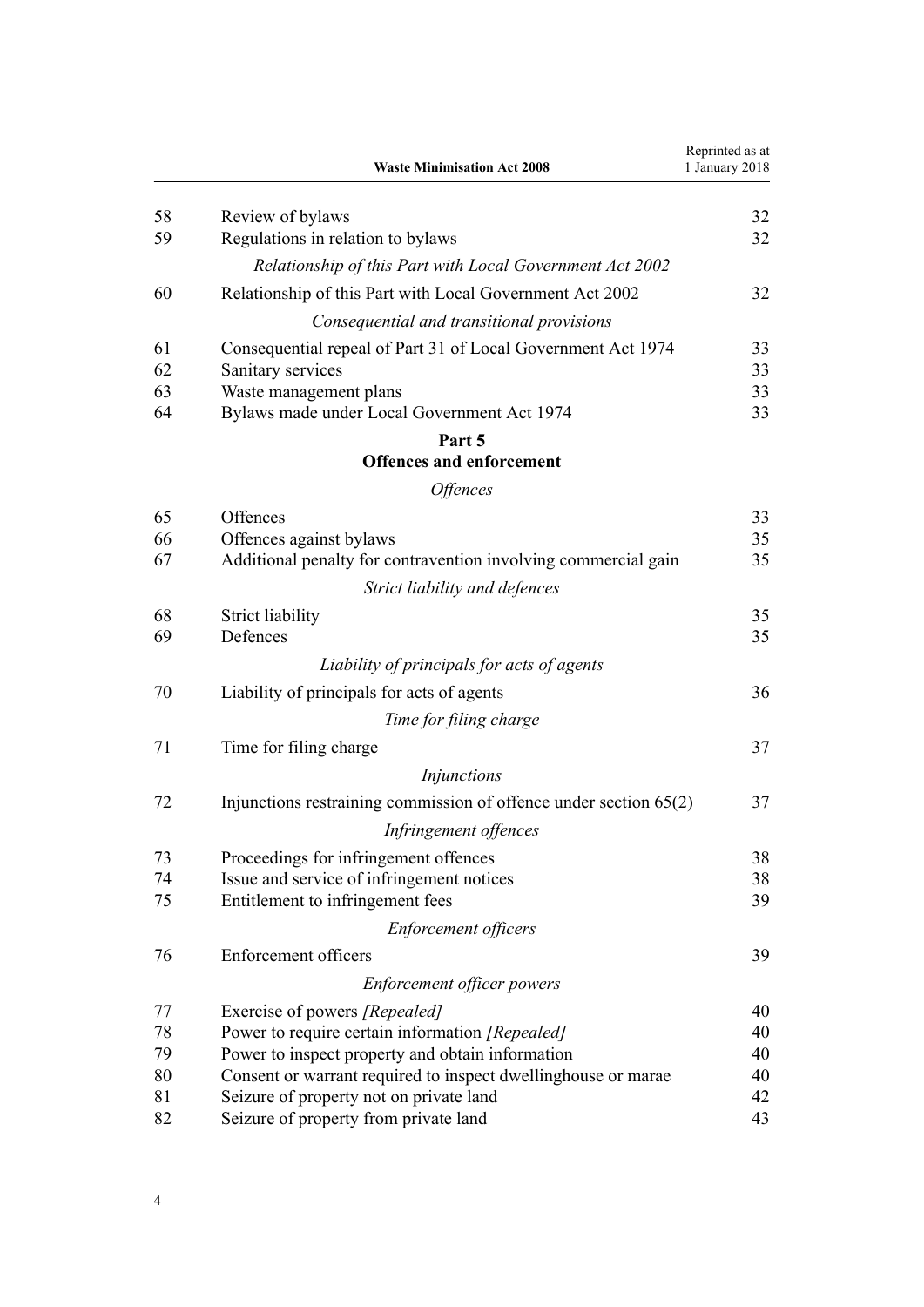|    | <b>Waste Minimisation Act 2008</b>                                  | Reprinted as at<br>1 January 2018 |
|----|---------------------------------------------------------------------|-----------------------------------|
| 58 | Review of bylaws                                                    | 32                                |
| 59 | Regulations in relation to bylaws                                   | 32                                |
|    | Relationship of this Part with Local Government Act 2002            |                                   |
| 60 | Relationship of this Part with Local Government Act 2002            | 32                                |
|    | Consequential and transitional provisions                           |                                   |
| 61 | Consequential repeal of Part 31 of Local Government Act 1974        | 33                                |
| 62 | Sanitary services                                                   | 33                                |
| 63 | Waste management plans                                              | 33                                |
| 64 | Bylaws made under Local Government Act 1974                         | 33                                |
|    | Part 5                                                              |                                   |
|    | <b>Offences and enforcement</b>                                     |                                   |
|    | <i><b>Offences</b></i>                                              |                                   |
| 65 | Offences                                                            | 33                                |
| 66 | Offences against bylaws                                             | 35                                |
| 67 | Additional penalty for contravention involving commercial gain      | 35                                |
|    | Strict liability and defences                                       |                                   |
| 68 | <b>Strict liability</b>                                             | 35                                |
| 69 | Defences                                                            | 35                                |
|    | Liability of principals for acts of agents                          |                                   |
| 70 | Liability of principals for acts of agents                          | 36                                |
|    | Time for filing charge                                              |                                   |
| 71 | Time for filing charge                                              | 37                                |
|    | <i>Injunctions</i>                                                  |                                   |
| 72 | Injunctions restraining commission of offence under section $65(2)$ | 37                                |
|    | Infringement offences                                               |                                   |
| 73 | Proceedings for infringement offences                               | 38                                |
| 74 | Issue and service of infringement notices                           | 38                                |
| 75 | Entitlement to infringement fees                                    | 39                                |
|    | <b>Enforcement officers</b>                                         |                                   |
| 76 | Enforcement officers                                                | 39                                |
|    | <b>Enforcement officer powers</b>                                   |                                   |
| 77 | Exercise of powers [Repealed]                                       | 40                                |
| 78 | Power to require certain information [Repealed]                     | 40                                |
| 79 | Power to inspect property and obtain information                    | 40                                |
| 80 | Consent or warrant required to inspect dwellinghouse or marae       | 40                                |
| 81 | Seizure of property not on private land                             | 42                                |
| 82 | Seizure of property from private land                               | 43                                |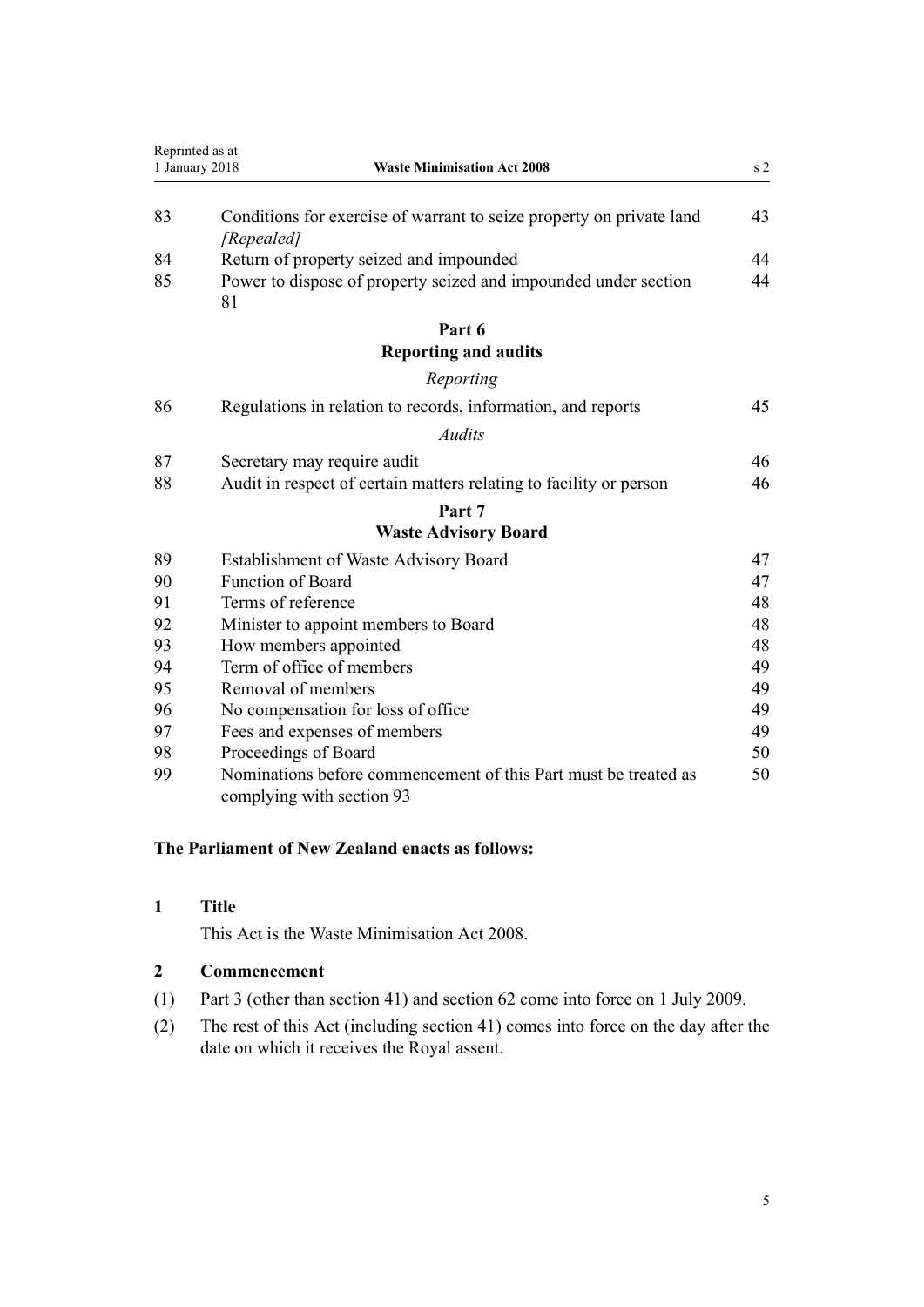<span id="page-4-0"></span>

|    | Reprinted as at                                                                              |                |
|----|----------------------------------------------------------------------------------------------|----------------|
|    | <b>Waste Minimisation Act 2008</b><br>1 January 2018                                         | s <sub>2</sub> |
| 83 | Conditions for exercise of warrant to seize property on private land<br>[Repealed]           | 43             |
| 84 | Return of property seized and impounded                                                      | 44             |
| 85 | Power to dispose of property seized and impounded under section<br>81                        | 44             |
|    | Part 6                                                                                       |                |
|    | <b>Reporting and audits</b>                                                                  |                |
|    | Reporting                                                                                    |                |
| 86 | Regulations in relation to records, information, and reports                                 | 45             |
|    | Audits                                                                                       |                |
| 87 | Secretary may require audit                                                                  | 46             |
| 88 | Audit in respect of certain matters relating to facility or person                           | 46             |
|    | Part 7                                                                                       |                |
|    | <b>Waste Advisory Board</b>                                                                  |                |
| 89 | <b>Establishment of Waste Advisory Board</b>                                                 | 47             |
| 90 | <b>Function of Board</b>                                                                     | 47             |
| 91 | Terms of reference                                                                           | 48             |
| 92 | Minister to appoint members to Board                                                         | 48             |
| 93 | How members appointed                                                                        | 48             |
| 94 | Term of office of members                                                                    | 49             |
| 95 | Removal of members                                                                           | 49             |
| 96 | No compensation for loss of office                                                           | 49             |
| 97 | Fees and expenses of members                                                                 | 49             |
| 98 | Proceedings of Board                                                                         | 50             |
| 99 | Nominations before commencement of this Part must be treated as<br>complying with section 93 | 50             |

# **The Parliament of New Zealand enacts as follows:**

# **Title**

This Act is the Waste Minimisation Act 2008.

# **Commencement**

- (1) [Part 3](#page-17-0) (other than [section 41](#page-22-0)) and [section 62](#page-32-0) come into force on 1 July 2009.
- (2) The rest of this Act (including [section 41](#page-22-0)) comes into force on the day after the date on which it receives the Royal assent.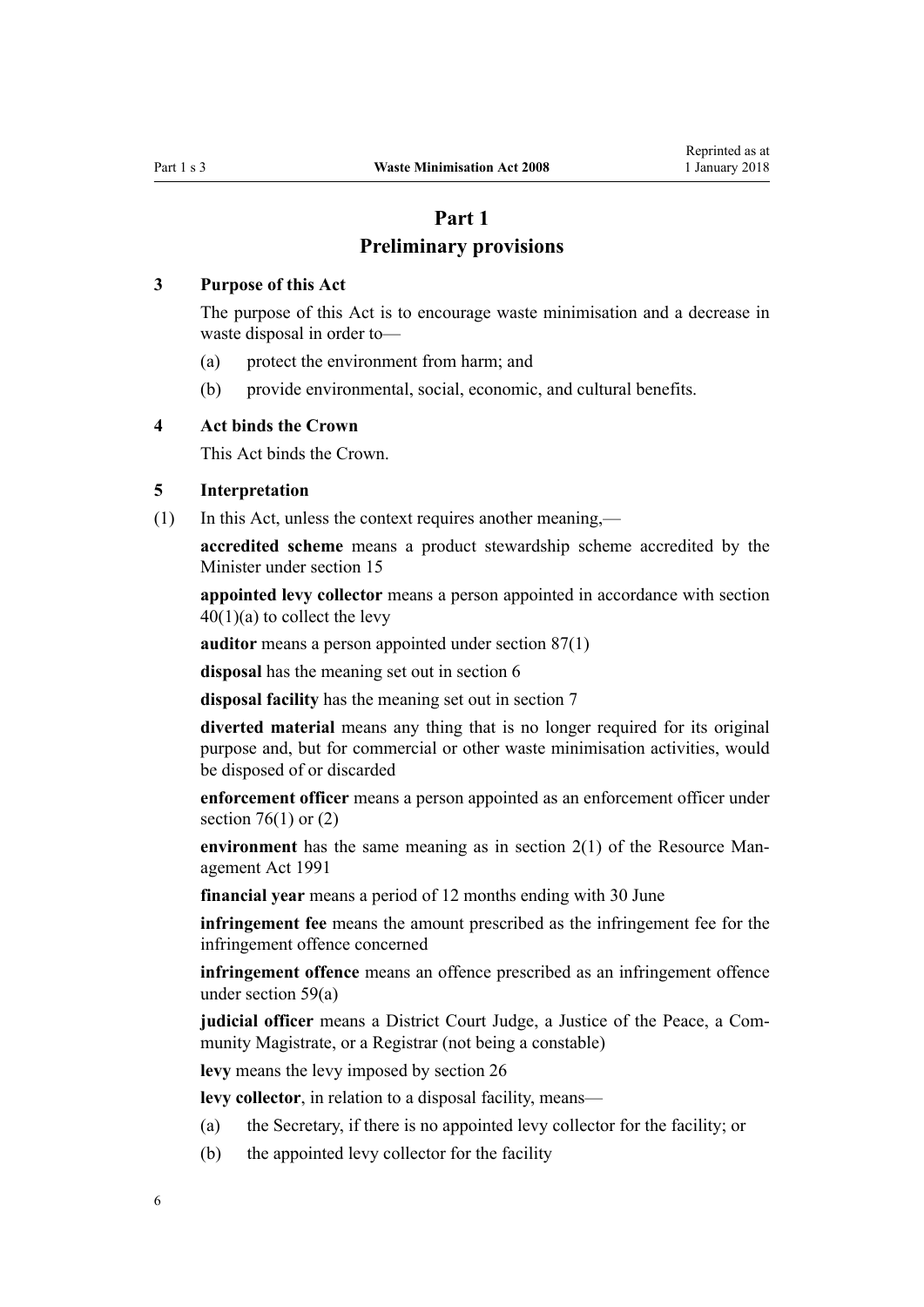# **Part 1**

# **Preliminary provisions**

# <span id="page-5-0"></span>**3 Purpose of this Act**

The purpose of this Act is to encourage waste minimisation and a decrease in waste disposal in order to—

- (a) protect the environment from harm; and
- (b) provide environmental, social, economic, and cultural benefits.

# **4 Act binds the Crown**

This Act binds the Crown.

# **5 Interpretation**

(1) In this Act, unless the context requires another meaning,—

**accredited scheme** means a product stewardship scheme accredited by the Minister under [section 15](#page-11-0)

**appointed levy collector** means a person appointed in accordance with [section](#page-21-0)  $40(1)(a)$  to collect the levy

**auditor** means a person appointed under [section 87\(1\)](#page-45-0)

**disposal** has the meaning set out in [section 6](#page-8-0)

**disposal facility** has the meaning set out in [section 7](#page-8-0)

**diverted material** means any thing that is no longer required for its original purpose and, but for commercial or other waste minimisation activities, would be disposed of or discarded

**enforcement officer** means a person appointed as an enforcement officer under section  $76(1)$  or  $(2)$ 

**environment** has the same meaning as in [section 2\(1\)](http://prd-lgnz-nlb.prd.pco.net.nz/pdflink.aspx?id=DLM230272) of the Resource Management Act 1991

**financial year** means a period of 12 months ending with 30 June

**infringement fee** means the amount prescribed as the infringement fee for the infringement offence concerned

**infringement offence** means an offence prescribed as an infringement offence under [section 59\(a\)](#page-31-0)

**judicial officer** means a District Court Judge, a Justice of the Peace, a Community Magistrate, or a Registrar (not being a constable)

**levy** means the levy imposed by [section 26](#page-17-0)

**levy collector**, in relation to a disposal facility, means—

- (a) the Secretary, if there is no appointed levy collector for the facility; or
- (b) the appointed levy collector for the facility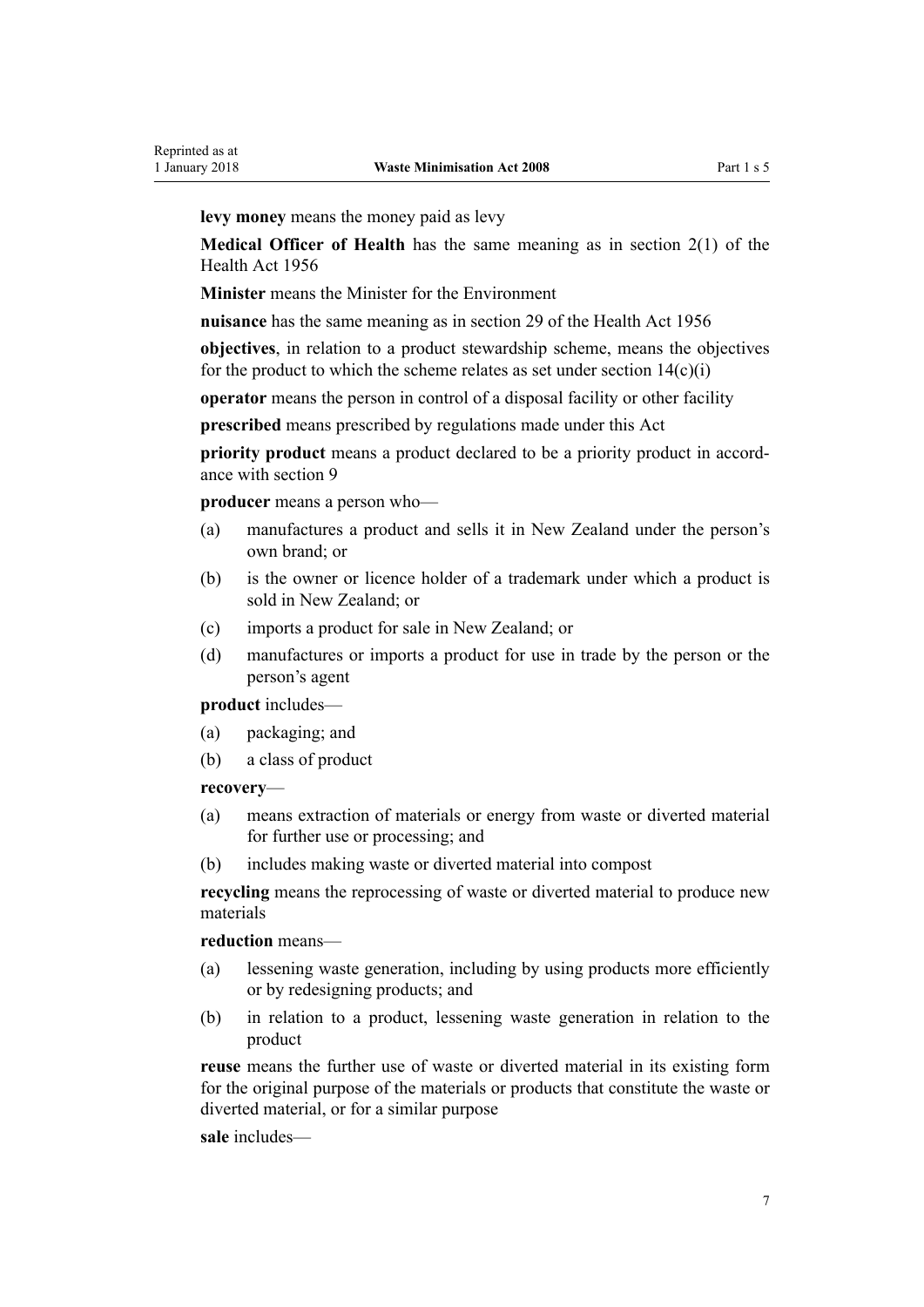**levy money** means the money paid as levy

**Medical Officer of Health** has the same meaning as in [section 2\(1\)](http://prd-lgnz-nlb.prd.pco.net.nz/pdflink.aspx?id=DLM305845) of the Health Act 1956

**Minister** means the Minister for the Environment

**nuisance** has the same meaning as in [section 29](http://prd-lgnz-nlb.prd.pco.net.nz/pdflink.aspx?id=DLM306935) of the Health Act 1956

**objectives**, in relation to a product stewardship scheme, means the objectives for the product to which the scheme relates as set under section  $14(c)(i)$ 

**operator** means the person in control of a disposal facility or other facility

**prescribed** means prescribed by regulations made under this Act

**priority product** means a product declared to be a priority product in accordance with [section 9](#page-9-0)

**producer** means a person who—

- (a) manufactures a product and sells it in New Zealand under the person's own brand; or
- (b) is the owner or licence holder of a trademark under which a product is sold in New Zealand; or
- (c) imports a product for sale in New Zealand; or
- (d) manufactures or imports a product for use in trade by the person or the person's agent

**product** includes—

- (a) packaging; and
- (b) a class of product

#### **recovery**—

- (a) means extraction of materials or energy from waste or diverted material for further use or processing; and
- (b) includes making waste or diverted material into compost

**recycling** means the reprocessing of waste or diverted material to produce new materials

#### **reduction** means—

- (a) lessening waste generation, including by using products more efficiently or by redesigning products; and
- (b) in relation to a product, lessening waste generation in relation to the product

**reuse** means the further use of waste or diverted material in its existing form for the original purpose of the materials or products that constitute the waste or diverted material, or for a similar purpose

#### **sale** includes—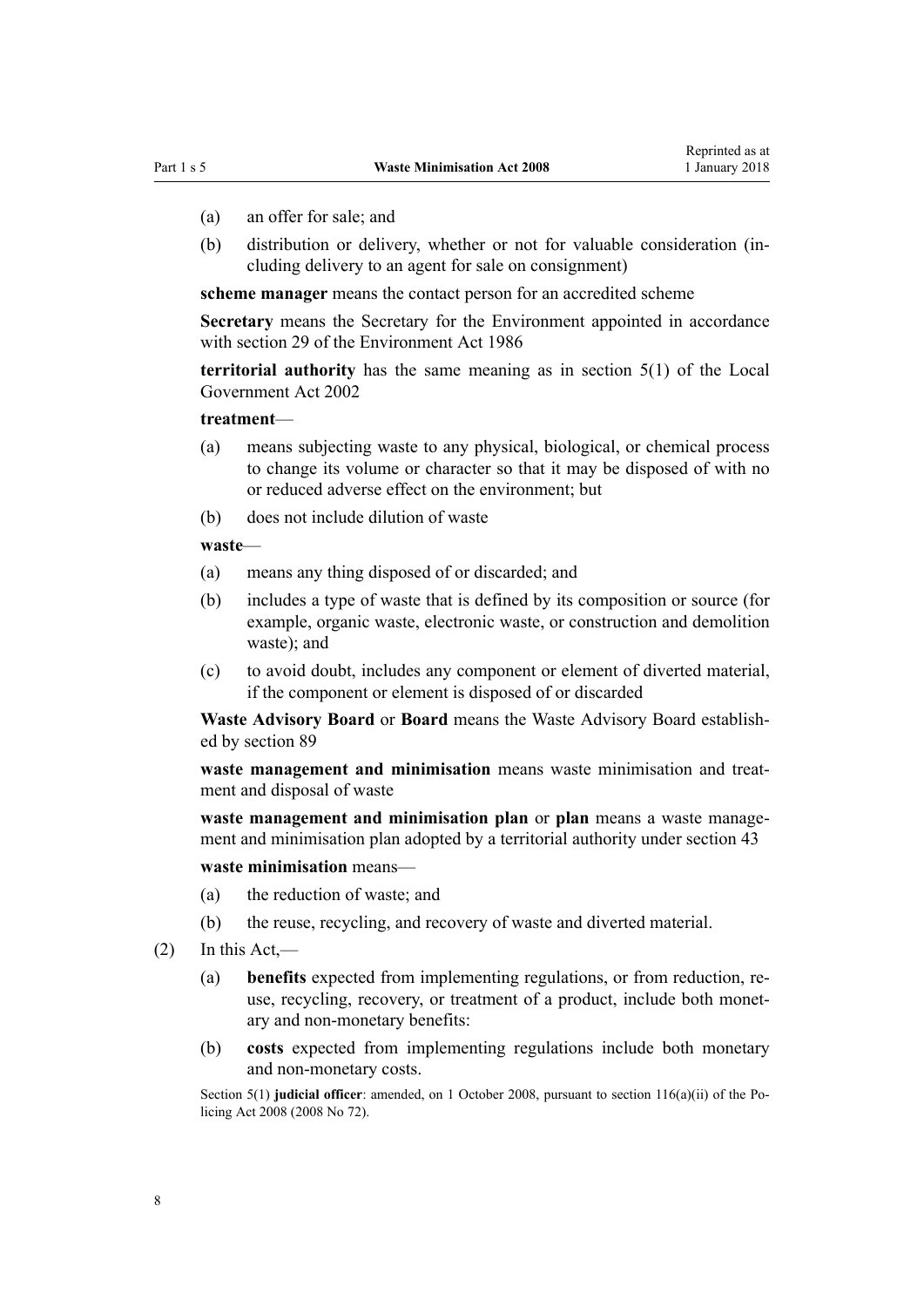- (a) an offer for sale; and
- (b) distribution or delivery, whether or not for valuable consideration (including delivery to an agent for sale on consignment)

**scheme manager** means the contact person for an accredited scheme

**Secretary** means the Secretary for the Environment appointed in accordance with [section 29](http://prd-lgnz-nlb.prd.pco.net.nz/pdflink.aspx?id=DLM99769) of the Environment Act 1986

**territorial authority** has the same meaning as in [section 5\(1\)](http://prd-lgnz-nlb.prd.pco.net.nz/pdflink.aspx?id=DLM170881) of the Local Government Act 2002

#### **treatment**—

- (a) means subjecting waste to any physical, biological, or chemical process to change its volume or character so that it may be disposed of with no or reduced adverse effect on the environment; but
- (b) does not include dilution of waste

#### **waste**—

- (a) means any thing disposed of or discarded; and
- (b) includes a type of waste that is defined by its composition or source (for example, organic waste, electronic waste, or construction and demolition waste); and
- (c) to avoid doubt, includes any component or element of diverted material, if the component or element is disposed of or discarded

**Waste Advisory Board** or **Board** means the Waste Advisory Board established by [section 89](#page-46-0)

**waste management and minimisation** means waste minimisation and treatment and disposal of waste

**waste management and minimisation plan** or **plan** means a waste management and minimisation plan adopted by a territorial authority under [section 43](#page-24-0)

#### **waste minimisation** means—

- (a) the reduction of waste; and
- (b) the reuse, recycling, and recovery of waste and diverted material.
- $(2)$  In this Act,—
	- (a) **benefits** expected from implementing regulations, or from reduction, reuse, recycling, recovery, or treatment of a product, include both monetary and non-monetary benefits:
	- (b) **costs** expected from implementing regulations include both monetary and non-monetary costs.

Section 5(1) **judicial officer**: amended, on 1 October 2008, pursuant to [section 116\(a\)\(ii\)](http://prd-lgnz-nlb.prd.pco.net.nz/pdflink.aspx?id=DLM1102349) of the Policing Act 2008 (2008 No 72).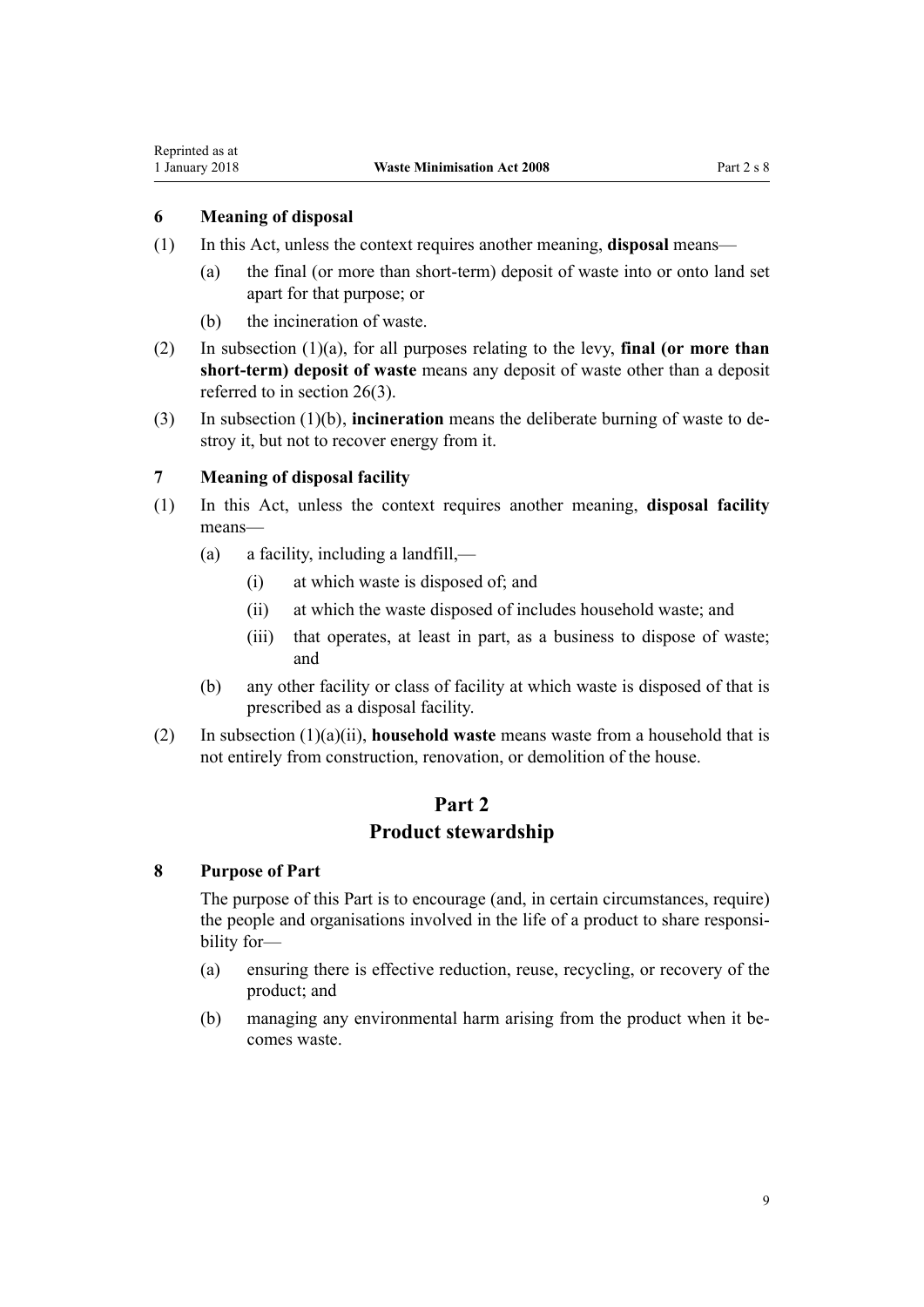# <span id="page-8-0"></span>**6 Meaning of disposal**

- (1) In this Act, unless the context requires another meaning, **disposal** means—
	- (a) the final (or more than short-term) deposit of waste into or onto land set apart for that purpose; or
	- (b) the incineration of waste.
- (2) In subsection (1)(a), for all purposes relating to the levy, **final (or more than short-term) deposit of waste** means any deposit of waste other than a deposit referred to in [section 26\(3\)](#page-17-0).
- (3) In subsection (1)(b), **incineration** means the deliberate burning of waste to destroy it, but not to recover energy from it.

# **7 Meaning of disposal facility**

- (1) In this Act, unless the context requires another meaning, **disposal facility** means—
	- (a) a facility, including a landfill,—
		- (i) at which waste is disposed of; and
		- (ii) at which the waste disposed of includes household waste; and
		- (iii) that operates, at least in part, as a business to dispose of waste; and
	- (b) any other facility or class of facility at which waste is disposed of that is prescribed as a disposal facility.
- (2) In subsection (1)(a)(ii), **household waste** means waste from a household that is not entirely from construction, renovation, or demolition of the house.

# **Part 2**

# **Product stewardship**

#### **8 Purpose of Part**

The purpose of this Part is to encourage (and, in certain circumstances, require) the people and organisations involved in the life of a product to share responsibility for—

- (a) ensuring there is effective reduction, reuse, recycling, or recovery of the product; and
- (b) managing any environmental harm arising from the product when it becomes waste.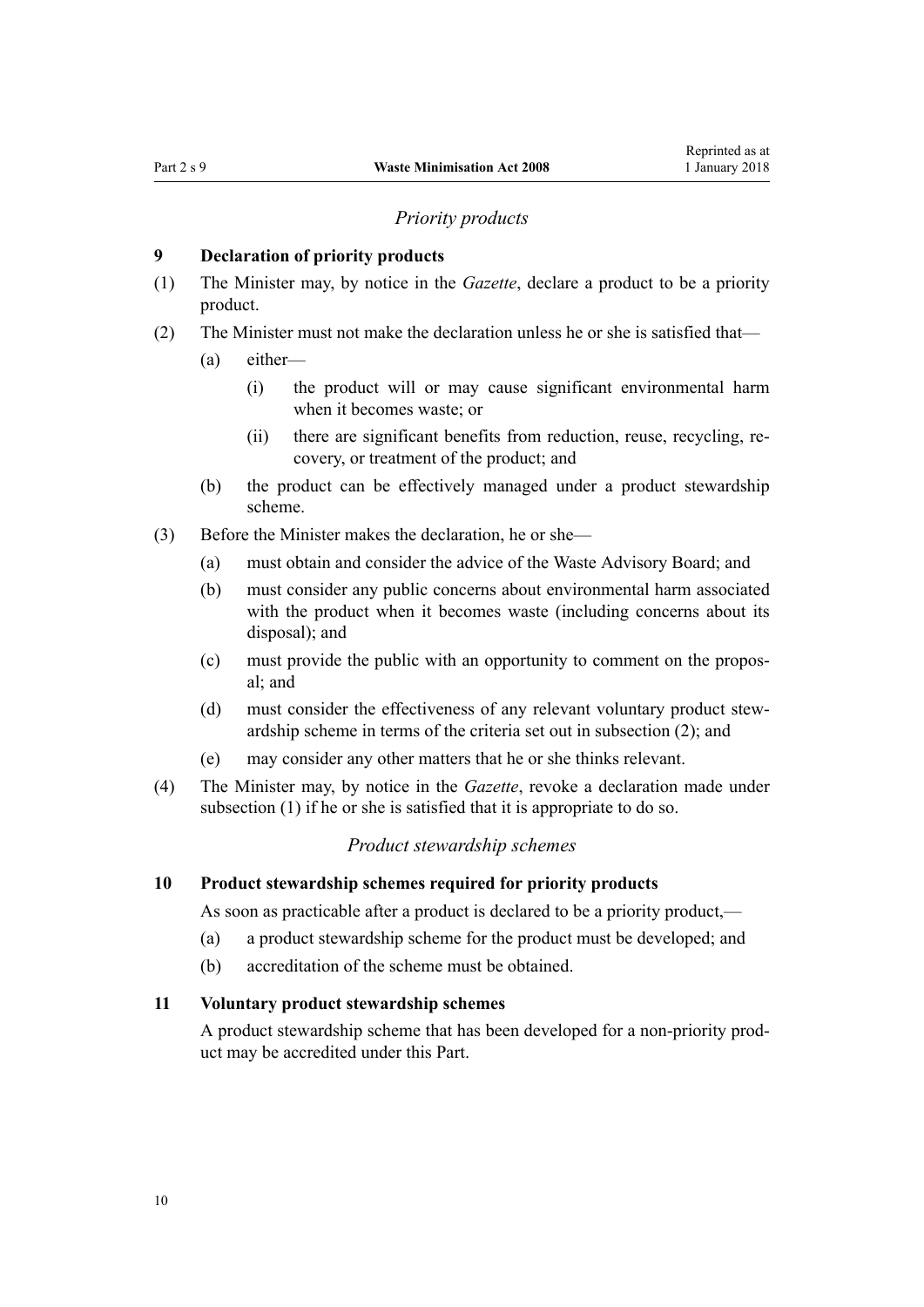#### *Priority products*

# <span id="page-9-0"></span>**9 Declaration of priority products**

- (1) The Minister may, by notice in the *Gazette*, declare a product to be a priority product.
- (2) The Minister must not make the declaration unless he or she is satisfied that—
	- (a) either—
		- (i) the product will or may cause significant environmental harm when it becomes waste; or
		- (ii) there are significant benefits from reduction, reuse, recycling, recovery, or treatment of the product; and
	- (b) the product can be effectively managed under a product stewardship scheme.
- (3) Before the Minister makes the declaration, he or she—
	- (a) must obtain and consider the advice of the Waste Advisory Board; and
	- (b) must consider any public concerns about environmental harm associated with the product when it becomes waste (including concerns about its disposal); and
	- (c) must provide the public with an opportunity to comment on the proposal; and
	- (d) must consider the effectiveness of any relevant voluntary product stewardship scheme in terms of the criteria set out in subsection (2); and
	- (e) may consider any other matters that he or she thinks relevant.
- (4) The Minister may, by notice in the *Gazette*, revoke a declaration made under subsection (1) if he or she is satisfied that it is appropriate to do so.

#### *Product stewardship schemes*

### **10 Product stewardship schemes required for priority products**

As soon as practicable after a product is declared to be a priority product,—

- (a) a product stewardship scheme for the product must be developed; and
- (b) accreditation of the scheme must be obtained.

## **11 Voluntary product stewardship schemes**

A product stewardship scheme that has been developed for a non-priority product may be accredited under this Part.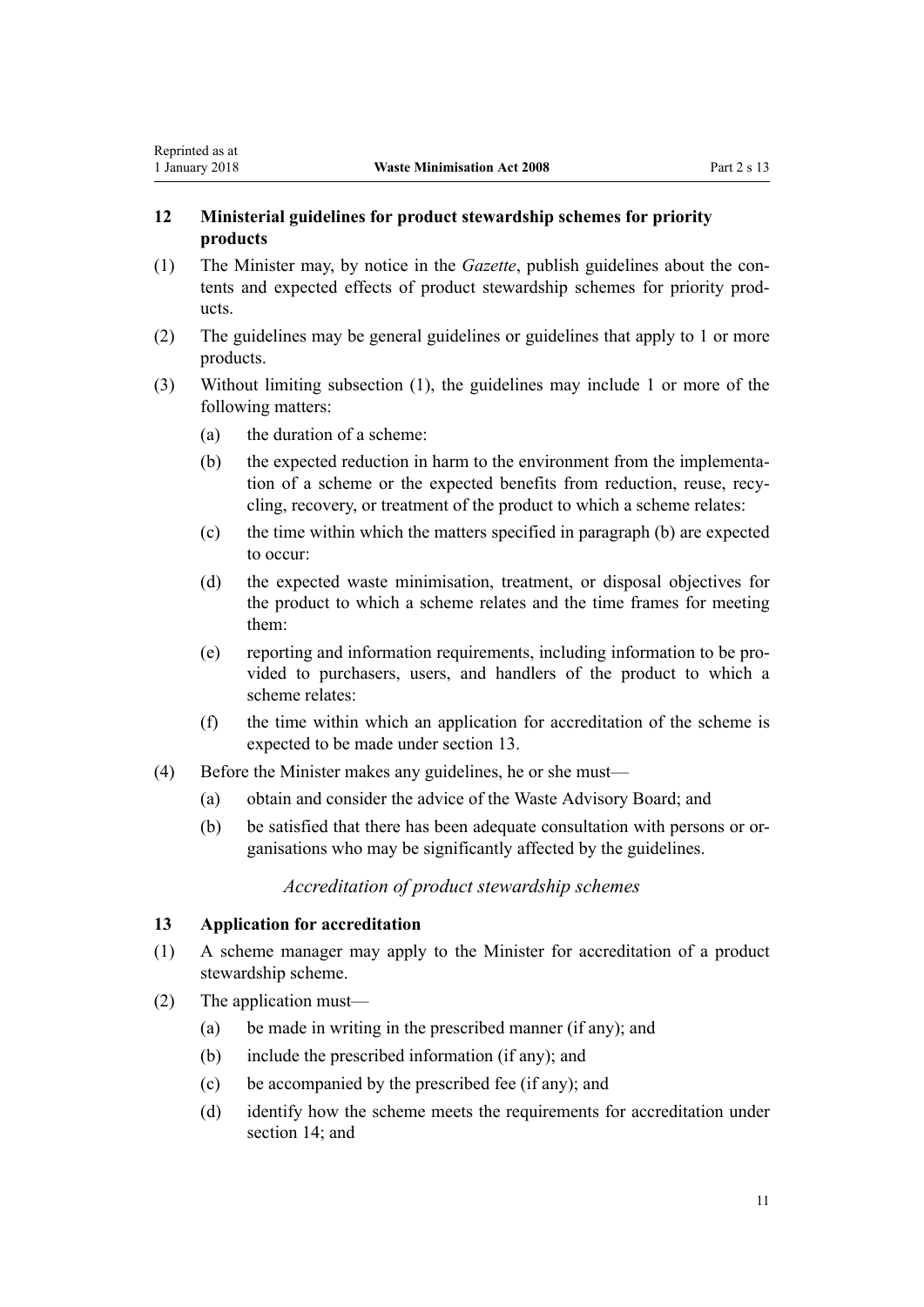# <span id="page-10-0"></span>**12 Ministerial guidelines for product stewardship schemes for priority products**

- (1) The Minister may, by notice in the *Gazette*, publish guidelines about the contents and expected effects of product stewardship schemes for priority products.
- (2) The guidelines may be general guidelines or guidelines that apply to 1 or more products.
- (3) Without limiting subsection (1), the guidelines may include 1 or more of the following matters:
	- (a) the duration of a scheme:
	- (b) the expected reduction in harm to the environment from the implementation of a scheme or the expected benefits from reduction, reuse, recycling, recovery, or treatment of the product to which a scheme relates:
	- (c) the time within which the matters specified in paragraph (b) are expected to occur:
	- (d) the expected waste minimisation, treatment, or disposal objectives for the product to which a scheme relates and the time frames for meeting them:
	- (e) reporting and information requirements, including information to be provided to purchasers, users, and handlers of the product to which a scheme relates<sup>-</sup>
	- (f) the time within which an application for accreditation of the scheme is expected to be made under section 13.
- (4) Before the Minister makes any guidelines, he or she must—
	- (a) obtain and consider the advice of the Waste Advisory Board; and
	- (b) be satisfied that there has been adequate consultation with persons or organisations who may be significantly affected by the guidelines.

*Accreditation of product stewardship schemes*

#### **13 Application for accreditation**

- (1) A scheme manager may apply to the Minister for accreditation of a product stewardship scheme.
- (2) The application must—
	- (a) be made in writing in the prescribed manner (if any); and
	- (b) include the prescribed information (if any); and
	- (c) be accompanied by the prescribed fee (if any); and
	- (d) identify how the scheme meets the requirements for accreditation under section  $14$  and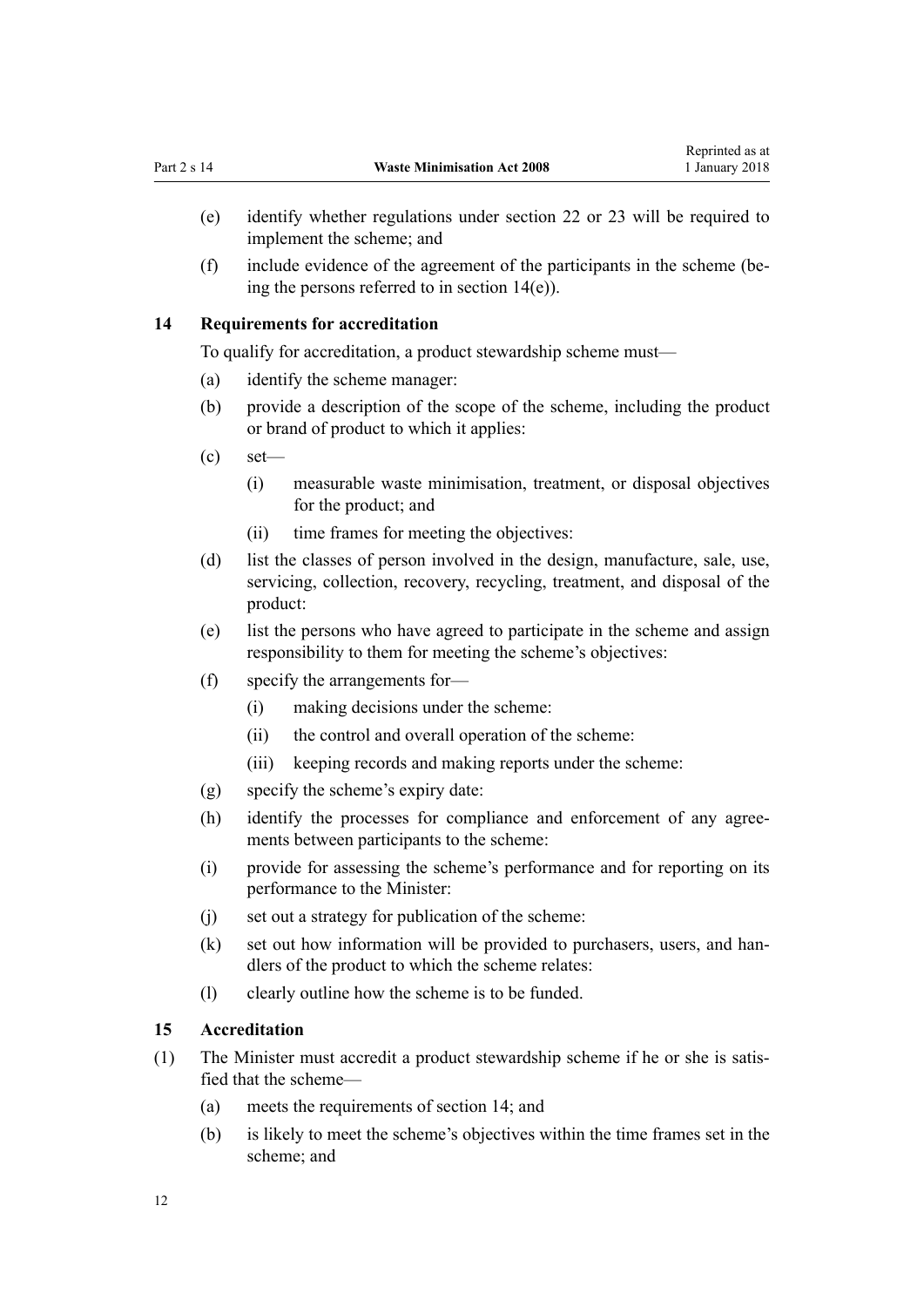- <span id="page-11-0"></span>(e) identify whether regulations under [section 22](#page-14-0) or [23](#page-15-0) will be required to implement the scheme; and
- (f) include evidence of the agreement of the participants in the scheme (being the persons referred to in section 14(e)).

#### **14 Requirements for accreditation**

To qualify for accreditation, a product stewardship scheme must—

- (a) identify the scheme manager:
- (b) provide a description of the scope of the scheme, including the product or brand of product to which it applies:
- $\text{ (c)} \quad \text{set}$ 
	- (i) measurable waste minimisation, treatment, or disposal objectives for the product; and
	- (ii) time frames for meeting the objectives:
- (d) list the classes of person involved in the design, manufacture, sale, use, servicing, collection, recovery, recycling, treatment, and disposal of the product:
- (e) list the persons who have agreed to participate in the scheme and assign responsibility to them for meeting the scheme's objectives:
- (f) specify the arrangements for—
	- (i) making decisions under the scheme:
	- (ii) the control and overall operation of the scheme:
	- (iii) keeping records and making reports under the scheme:
- (g) specify the scheme's expiry date:
- (h) identify the processes for compliance and enforcement of any agreements between participants to the scheme:
- (i) provide for assessing the scheme's performance and for reporting on its performance to the Minister:
- (j) set out a strategy for publication of the scheme:
- (k) set out how information will be provided to purchasers, users, and handlers of the product to which the scheme relates:
- (l) clearly outline how the scheme is to be funded.

# **15 Accreditation**

- (1) The Minister must accredit a product stewardship scheme if he or she is satisfied that the scheme—
	- (a) meets the requirements of section 14; and
	- (b) is likely to meet the scheme's objectives within the time frames set in the scheme; and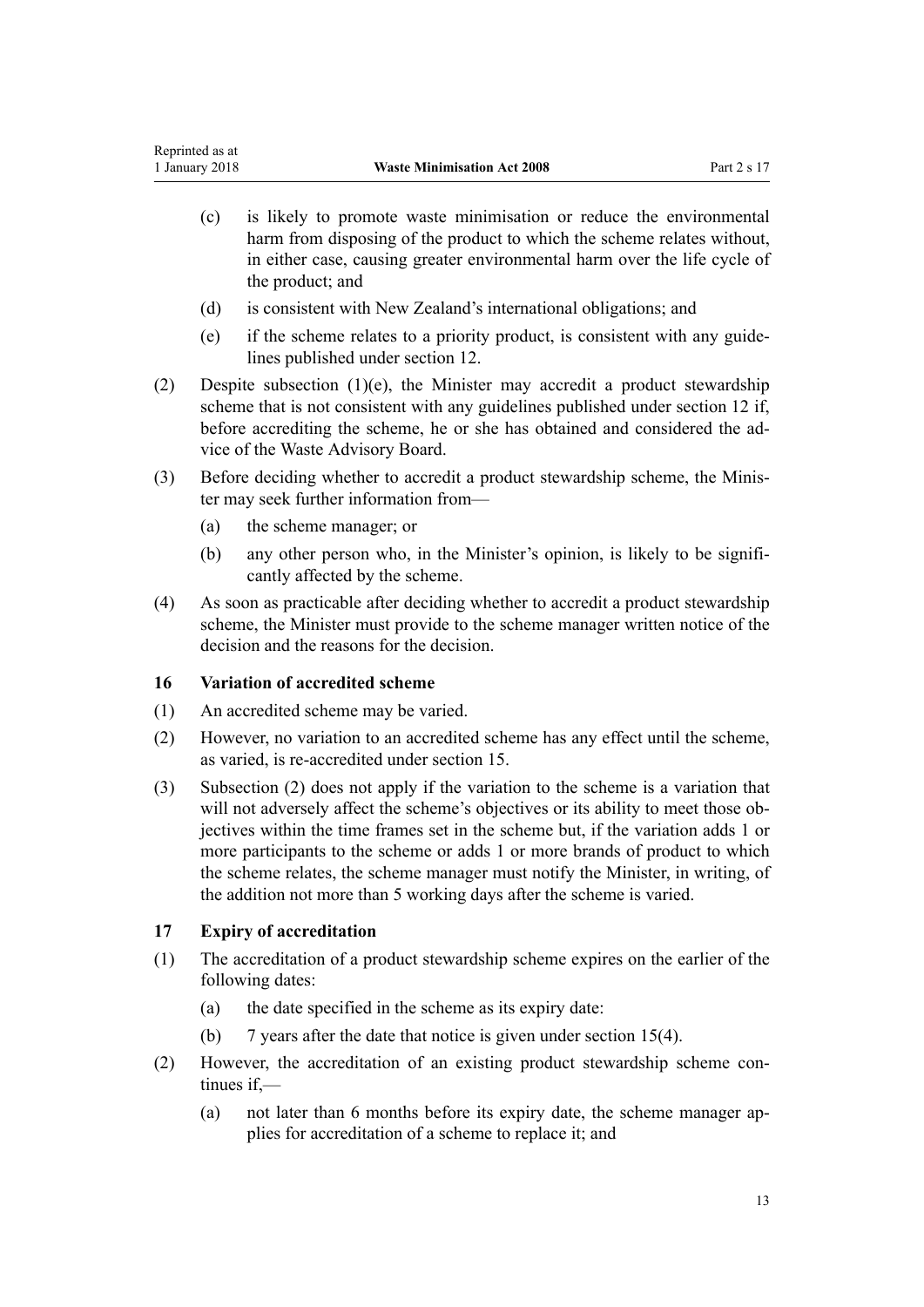- <span id="page-12-0"></span>(c) is likely to promote waste minimisation or reduce the environmental harm from disposing of the product to which the scheme relates without, in either case, causing greater environmental harm over the life cycle of the product; and
- (d) is consistent with New Zealand's international obligations; and
- (e) if the scheme relates to a priority product, is consistent with any guidelines published under [section 12](#page-10-0).
- (2) Despite subsection (1)(e), the Minister may accredit a product stewardship scheme that is not consistent with any guidelines published under [section 12](#page-10-0) if, before accrediting the scheme, he or she has obtained and considered the advice of the Waste Advisory Board.
- (3) Before deciding whether to accredit a product stewardship scheme, the Minister may seek further information from—
	- (a) the scheme manager; or
	- (b) any other person who, in the Minister's opinion, is likely to be significantly affected by the scheme.
- (4) As soon as practicable after deciding whether to accredit a product stewardship scheme, the Minister must provide to the scheme manager written notice of the decision and the reasons for the decision.

# **16 Variation of accredited scheme**

- (1) An accredited scheme may be varied.
- (2) However, no variation to an accredited scheme has any effect until the scheme, as varied, is re-accredited under [section 15.](#page-11-0)
- (3) Subsection (2) does not apply if the variation to the scheme is a variation that will not adversely affect the scheme's objectives or its ability to meet those objectives within the time frames set in the scheme but, if the variation adds 1 or more participants to the scheme or adds 1 or more brands of product to which the scheme relates, the scheme manager must notify the Minister, in writing, of the addition not more than 5 working days after the scheme is varied.

# **17 Expiry of accreditation**

- (1) The accreditation of a product stewardship scheme expires on the earlier of the following dates:
	- (a) the date specified in the scheme as its expiry date:
	- (b) 7 years after the date that notice is given under [section 15\(4\)](#page-11-0).
- (2) However, the accreditation of an existing product stewardship scheme continues if.—
	- (a) not later than 6 months before its expiry date, the scheme manager applies for accreditation of a scheme to replace it; and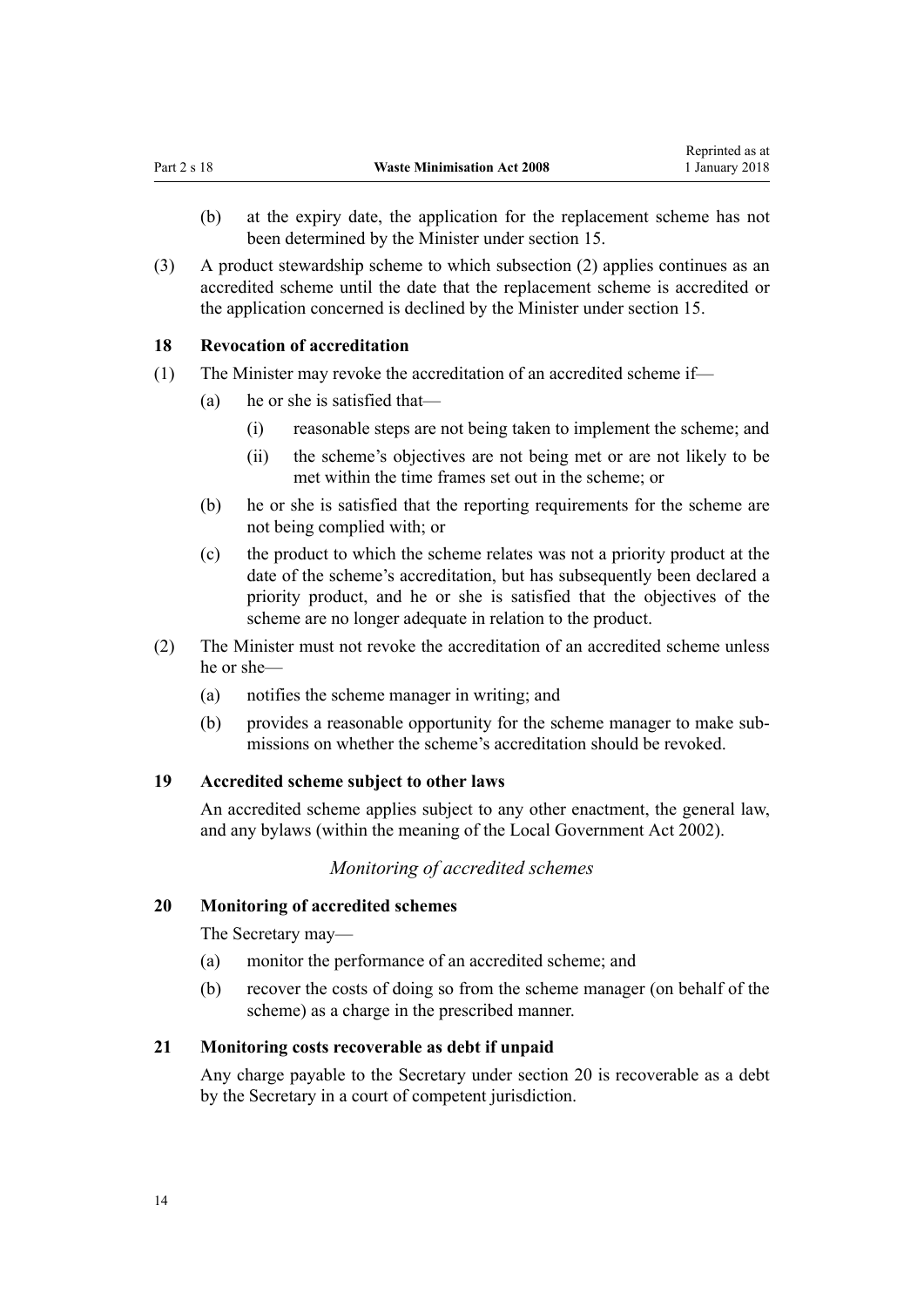- <span id="page-13-0"></span>(b) at the expiry date, the application for the replacement scheme has not been determined by the Minister under [section 15.](#page-11-0)
- (3) A product stewardship scheme to which subsection (2) applies continues as an accredited scheme until the date that the replacement scheme is accredited or the application concerned is declined by the Minister under [section 15.](#page-11-0)

#### **18 Revocation of accreditation**

- (1) The Minister may revoke the accreditation of an accredited scheme if—
	- (a) he or she is satisfied that—
		- (i) reasonable steps are not being taken to implement the scheme; and
		- (ii) the scheme's objectives are not being met or are not likely to be met within the time frames set out in the scheme; or
	- (b) he or she is satisfied that the reporting requirements for the scheme are not being complied with; or
	- (c) the product to which the scheme relates was not a priority product at the date of the scheme's accreditation, but has subsequently been declared a priority product, and he or she is satisfied that the objectives of the scheme are no longer adequate in relation to the product.
- (2) The Minister must not revoke the accreditation of an accredited scheme unless he or she—
	- (a) notifies the scheme manager in writing; and
	- (b) provides a reasonable opportunity for the scheme manager to make submissions on whether the scheme's accreditation should be revoked.

#### **19 Accredited scheme subject to other laws**

An accredited scheme applies subject to any other enactment, the general law, and any bylaws (within the meaning of the Local Government Act 2002).

#### *Monitoring of accredited schemes*

#### **20 Monitoring of accredited schemes**

The Secretary may—

- (a) monitor the performance of an accredited scheme; and
- (b) recover the costs of doing so from the scheme manager (on behalf of the scheme) as a charge in the prescribed manner.

# **21 Monitoring costs recoverable as debt if unpaid**

Any charge payable to the Secretary under section 20 is recoverable as a debt by the Secretary in a court of competent jurisdiction.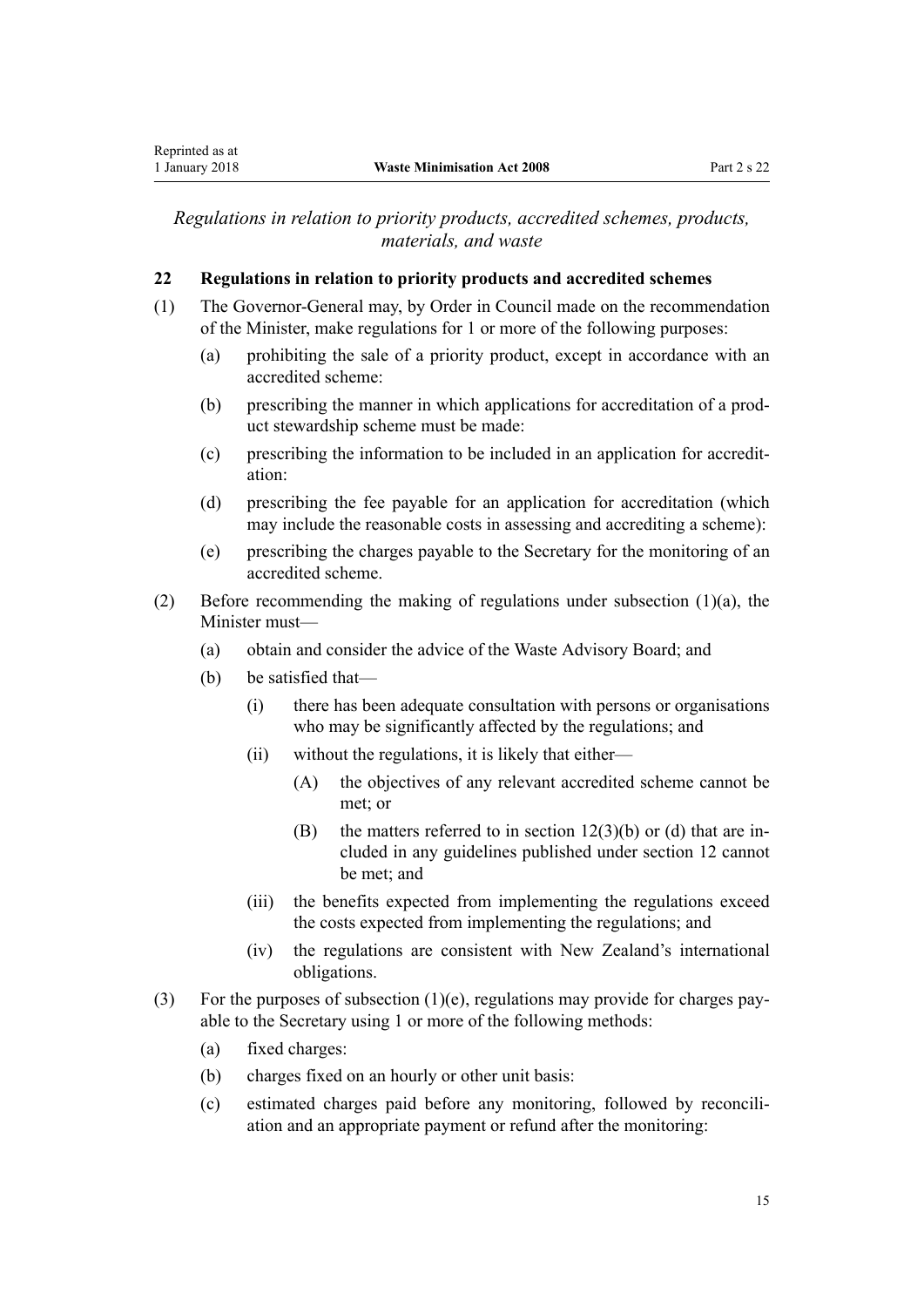<span id="page-14-0"></span>*Regulations in relation to priority products, accredited schemes, products, materials, and waste*

# **22 Regulations in relation to priority products and accredited schemes**

- (1) The Governor-General may, by Order in Council made on the recommendation of the Minister, make regulations for 1 or more of the following purposes:
	- (a) prohibiting the sale of a priority product, except in accordance with an accredited scheme:
	- (b) prescribing the manner in which applications for accreditation of a product stewardship scheme must be made:
	- (c) prescribing the information to be included in an application for accreditation:
	- (d) prescribing the fee payable for an application for accreditation (which may include the reasonable costs in assessing and accrediting a scheme):
	- (e) prescribing the charges payable to the Secretary for the monitoring of an accredited scheme.
- (2) Before recommending the making of regulations under subsection  $(1)(a)$ , the Minister must—
	- (a) obtain and consider the advice of the Waste Advisory Board; and
	- (b) be satisfied that—
		- (i) there has been adequate consultation with persons or organisations who may be significantly affected by the regulations; and
		- (ii) without the regulations, it is likely that either—
			- (A) the objectives of any relevant accredited scheme cannot be met; or
			- (B) the matters referred to in section  $12(3)(b)$  or (d) that are included in any guidelines published under section 12 cannot be met; and
		- (iii) the benefits expected from implementing the regulations exceed the costs expected from implementing the regulations; and
		- (iv) the regulations are consistent with New Zealand's international obligations.
- (3) For the purposes of subsection  $(1)(e)$ , regulations may provide for charges payable to the Secretary using 1 or more of the following methods:
	- (a) fixed charges:
	- (b) charges fixed on an hourly or other unit basis:
	- (c) estimated charges paid before any monitoring, followed by reconciliation and an appropriate payment or refund after the monitoring: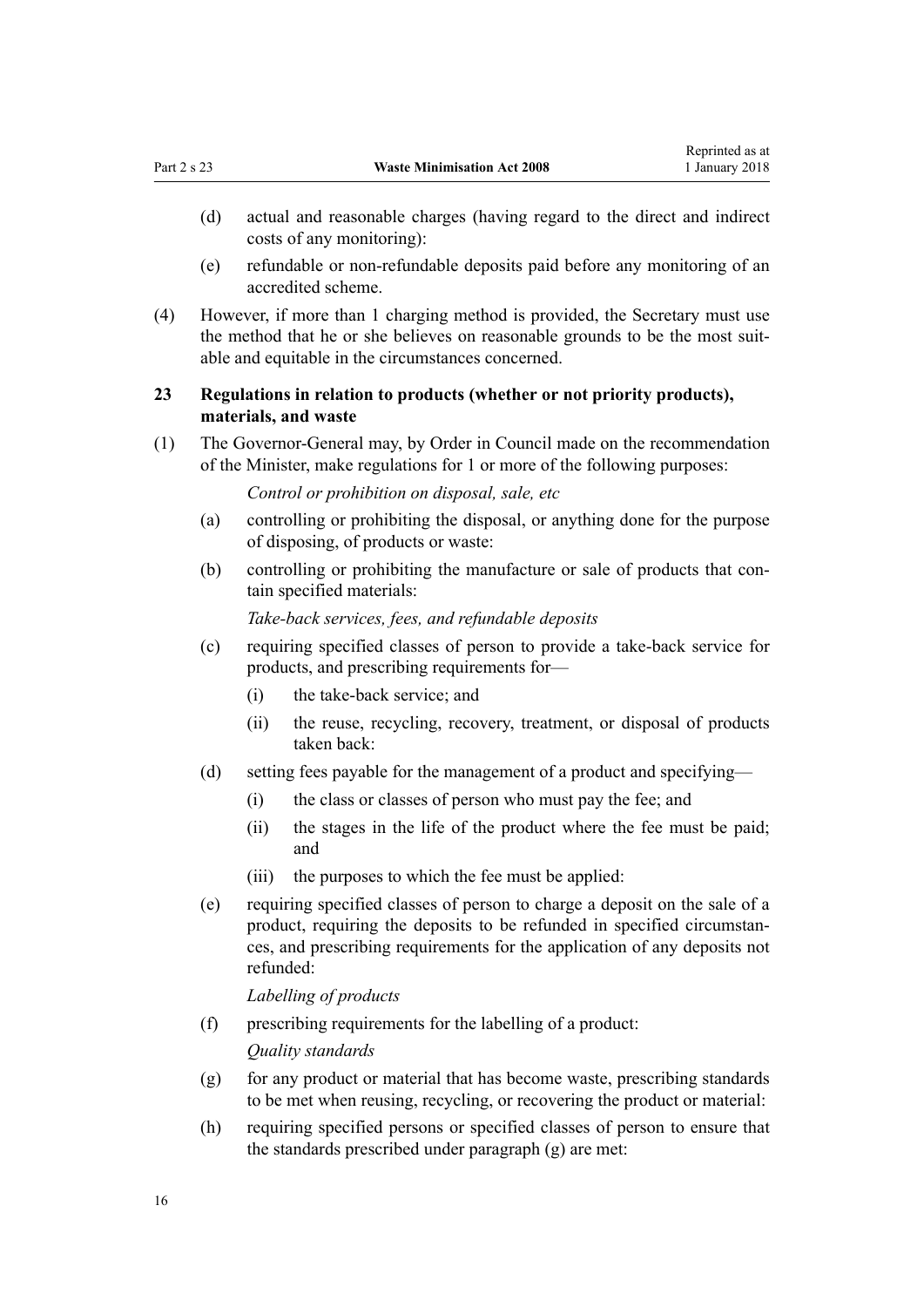- <span id="page-15-0"></span>(e) refundable or non-refundable deposits paid before any monitoring of an accredited scheme.
- (4) However, if more than 1 charging method is provided, the Secretary must use the method that he or she believes on reasonable grounds to be the most suitable and equitable in the circumstances concerned.

# **23 Regulations in relation to products (whether or not priority products), materials, and waste**

(1) The Governor-General may, by Order in Council made on the recommendation of the Minister, make regulations for 1 or more of the following purposes:

*Control or prohibition on disposal, sale, etc*

- (a) controlling or prohibiting the disposal, or anything done for the purpose of disposing, of products or waste:
- (b) controlling or prohibiting the manufacture or sale of products that contain specified materials:

*Take-back services, fees, and refundable deposits*

- (c) requiring specified classes of person to provide a take-back service for products, and prescribing requirements for—
	- (i) the take-back service; and
	- (ii) the reuse, recycling, recovery, treatment, or disposal of products taken back:
- (d) setting fees payable for the management of a product and specifying—
	- (i) the class or classes of person who must pay the fee; and
	- (ii) the stages in the life of the product where the fee must be paid; and
	- (iii) the purposes to which the fee must be applied:
- (e) requiring specified classes of person to charge a deposit on the sale of a product, requiring the deposits to be refunded in specified circumstances, and prescribing requirements for the application of any deposits not refunded:

*Labelling of products*

(f) prescribing requirements for the labelling of a product:

*Quality standards*

- (g) for any product or material that has become waste, prescribing standards to be met when reusing, recycling, or recovering the product or material:
- (h) requiring specified persons or specified classes of person to ensure that the standards prescribed under paragraph (g) are met: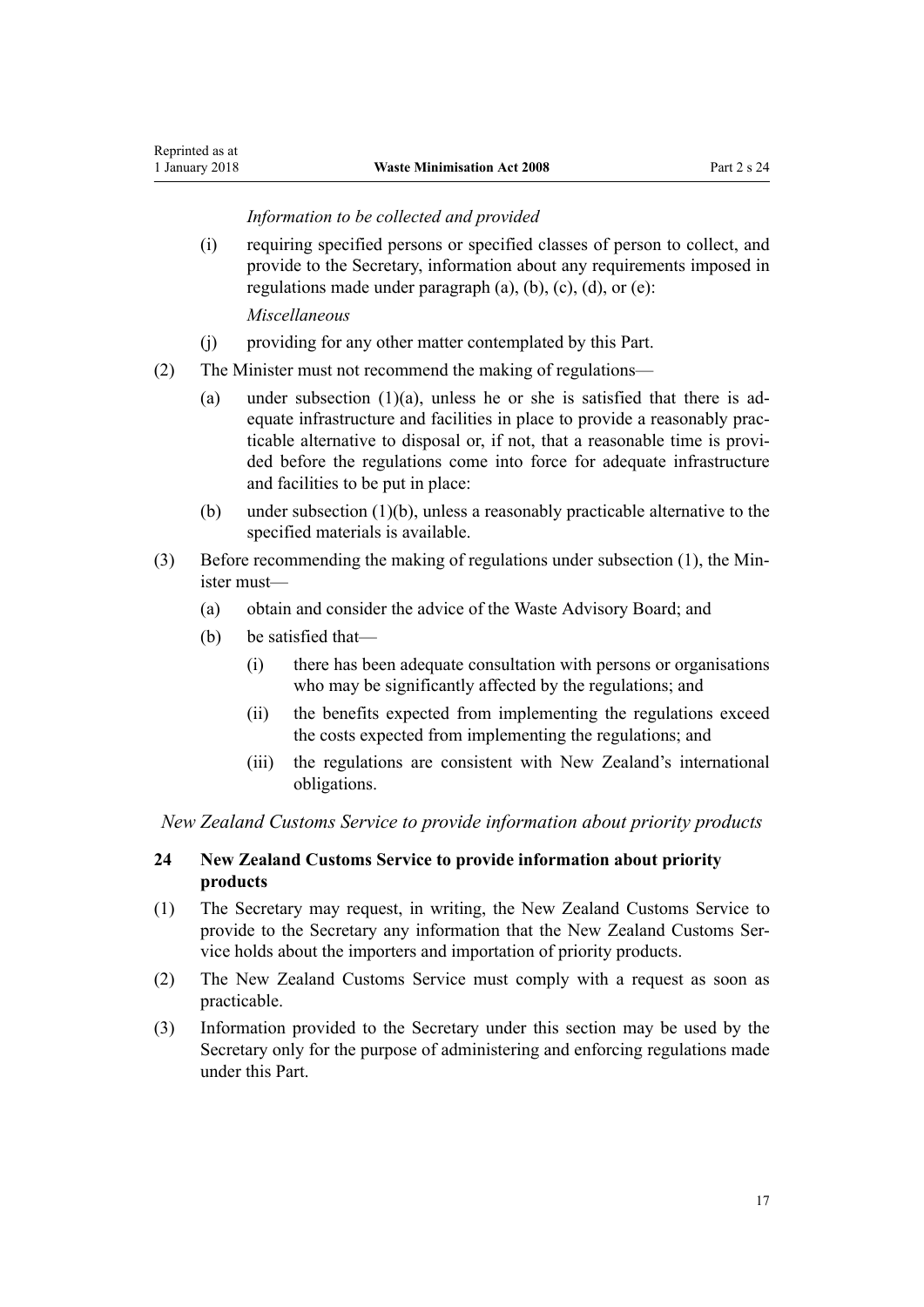### *Information to be collected and provided*

<span id="page-16-0"></span>(i) requiring specified persons or specified classes of person to collect, and provide to the Secretary, information about any requirements imposed in regulations made under paragraph  $(a)$ ,  $(b)$ ,  $(c)$ ,  $(d)$ ,  $or (e)$ :

*Miscellaneous*

- (j) providing for any other matter contemplated by this Part.
- (2) The Minister must not recommend the making of regulations—
	- (a) under subsection  $(1)(a)$ , unless he or she is satisfied that there is adequate infrastructure and facilities in place to provide a reasonably practicable alternative to disposal or, if not, that a reasonable time is provided before the regulations come into force for adequate infrastructure and facilities to be put in place:
	- (b) under subsection (1)(b), unless a reasonably practicable alternative to the specified materials is available.
- (3) Before recommending the making of regulations under subsection (1), the Minister must—
	- (a) obtain and consider the advice of the Waste Advisory Board; and
	- (b) be satisfied that—
		- (i) there has been adequate consultation with persons or organisations who may be significantly affected by the regulations; and
		- (ii) the benefits expected from implementing the regulations exceed the costs expected from implementing the regulations; and
		- (iii) the regulations are consistent with New Zealand's international obligations.

*New Zealand Customs Service to provide information about priority products*

# **24 New Zealand Customs Service to provide information about priority products**

- (1) The Secretary may request, in writing, the New Zealand Customs Service to provide to the Secretary any information that the New Zealand Customs Service holds about the importers and importation of priority products.
- (2) The New Zealand Customs Service must comply with a request as soon as practicable.
- (3) Information provided to the Secretary under this section may be used by the Secretary only for the purpose of administering and enforcing regulations made under this Part.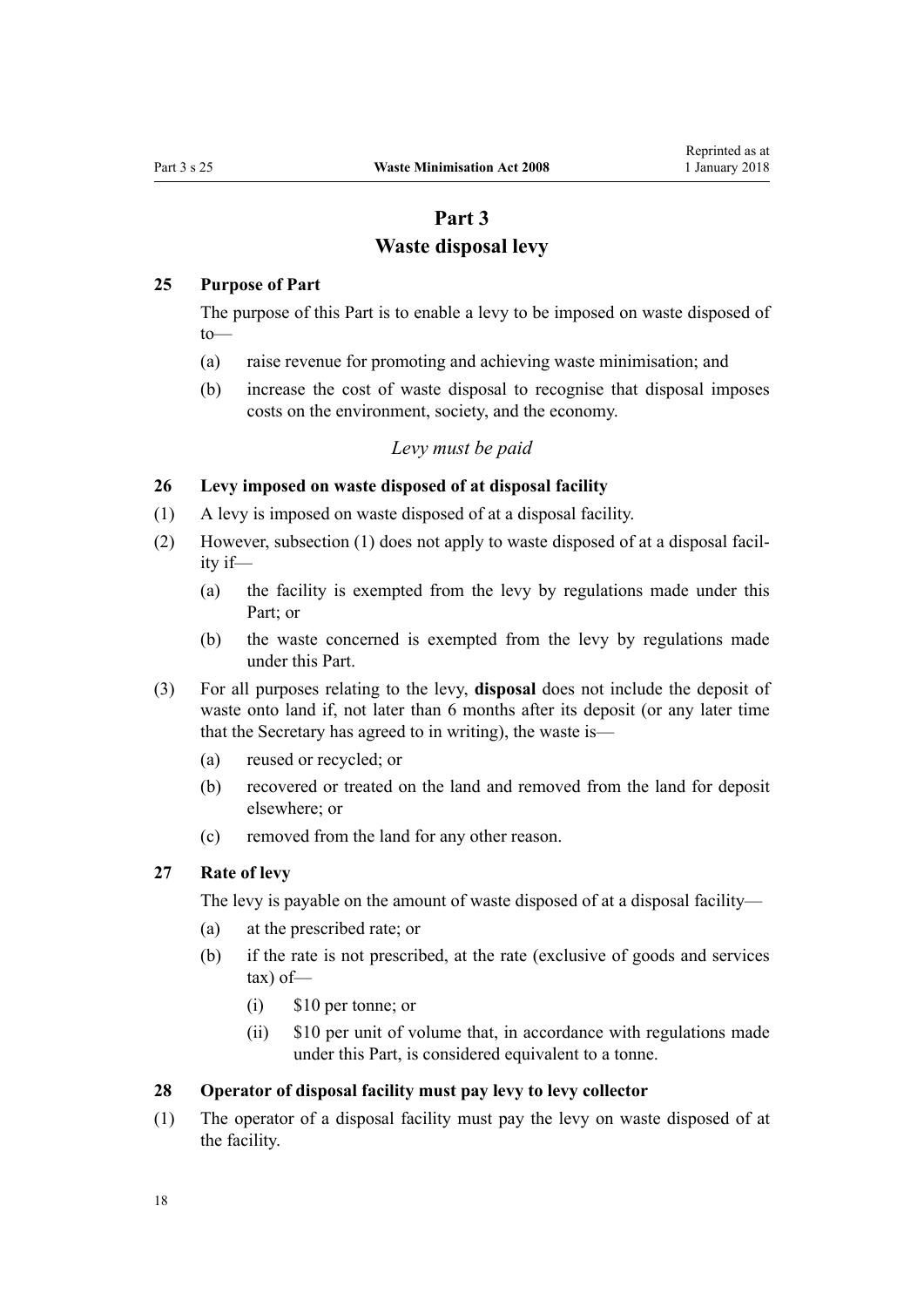# **Part 3 Waste disposal levy**

#### <span id="page-17-0"></span>**25 Purpose of Part**

The purpose of this Part is to enable a levy to be imposed on waste disposed of to—

- (a) raise revenue for promoting and achieving waste minimisation; and
- (b) increase the cost of waste disposal to recognise that disposal imposes costs on the environment, society, and the economy.

#### *Levy must be paid*

# **26 Levy imposed on waste disposed of at disposal facility**

- (1) A levy is imposed on waste disposed of at a disposal facility.
- (2) However, subsection (1) does not apply to waste disposed of at a disposal facility if—
	- (a) the facility is exempted from the levy by regulations made under this Part; or
	- (b) the waste concerned is exempted from the levy by regulations made under this Part.
- (3) For all purposes relating to the levy, **disposal** does not include the deposit of waste onto land if, not later than 6 months after its deposit (or any later time that the Secretary has agreed to in writing), the waste is—
	- (a) reused or recycled; or
	- (b) recovered or treated on the land and removed from the land for deposit elsewhere; or
	- (c) removed from the land for any other reason.

# **27 Rate of levy**

The levy is payable on the amount of waste disposed of at a disposal facility—

- (a) at the prescribed rate; or
- (b) if the rate is not prescribed, at the rate (exclusive of goods and services tax) of—
	- (i) \$10 per tonne; or
	- (ii) \$10 per unit of volume that, in accordance with regulations made under this Part, is considered equivalent to a tonne.

#### **28 Operator of disposal facility must pay levy to levy collector**

(1) The operator of a disposal facility must pay the levy on waste disposed of at the facility.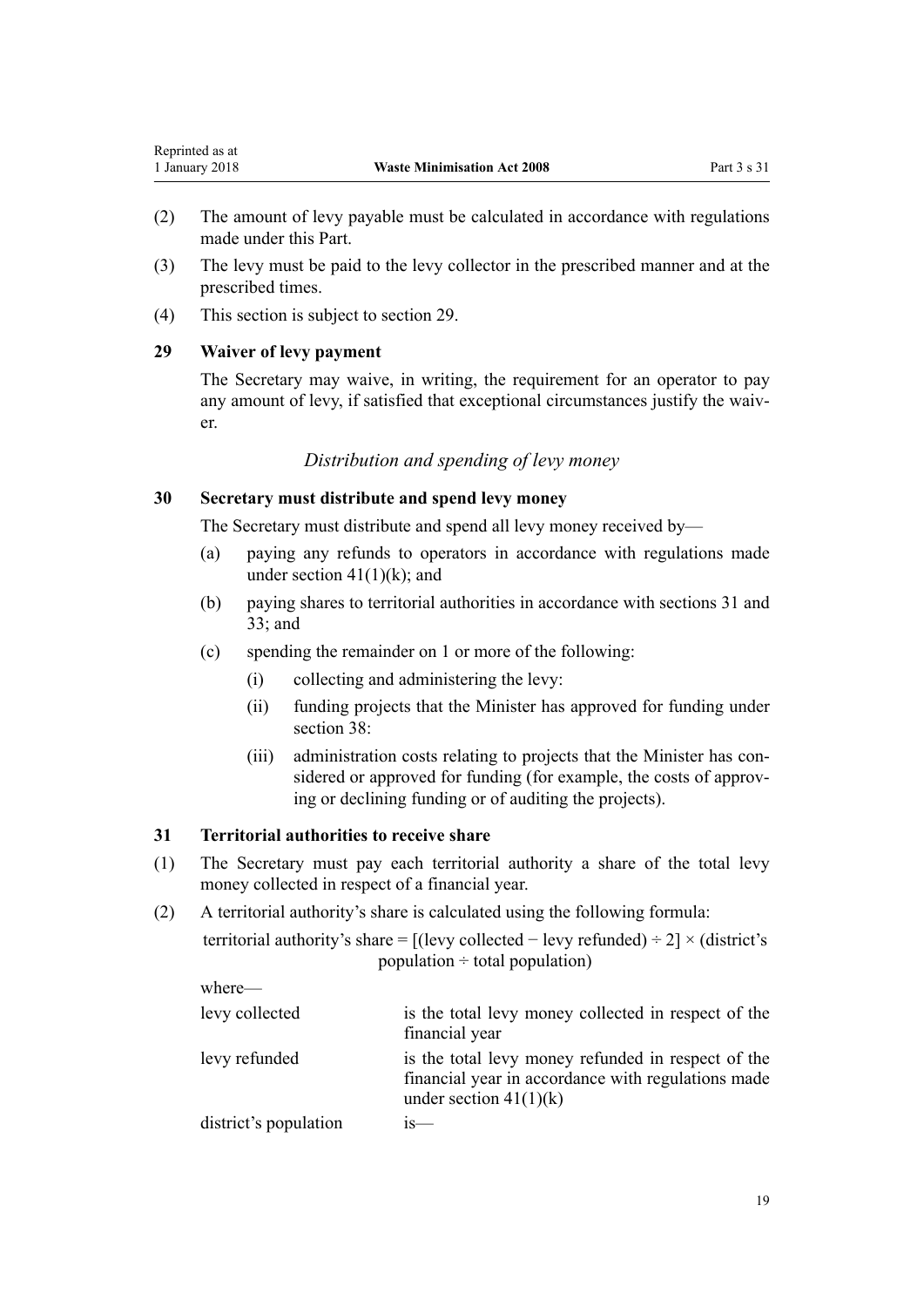- <span id="page-18-0"></span>(2) The amount of levy payable must be calculated in accordance with regulations made under this Part.
- (3) The levy must be paid to the levy collector in the prescribed manner and at the prescribed times.
- (4) This section is subject to section 29.

# **29 Waiver of levy payment**

The Secretary may waive, in writing, the requirement for an operator to pay any amount of levy, if satisfied that exceptional circumstances justify the waiver.

# *Distribution and spending of levy money*

## **30 Secretary must distribute and spend levy money**

The Secretary must distribute and spend all levy money received by—

- (a) paying any refunds to operators in accordance with regulations made under section  $41(1)(k)$ ; and
- (b) paying shares to territorial authorities in accordance with sections 31 and [33;](#page-19-0) and
- (c) spending the remainder on 1 or more of the following:
	- (i) collecting and administering the levy:
	- (ii) funding projects that the Minister has approved for funding under [section 38](#page-21-0):
	- (iii) administration costs relating to projects that the Minister has considered or approved for funding (for example, the costs of approving or declining funding or of auditing the projects).

#### **31 Territorial authorities to receive share**

- (1) The Secretary must pay each territorial authority a share of the total levy money collected in respect of a financial year.
- (2) A territorial authority's share is calculated using the following formula:

| territorial authority's share = $[(levy collected - levy refanded) \div 2] \times (distinct's$ |
|------------------------------------------------------------------------------------------------|
| population $\div$ total population)                                                            |

| where-                |                                                                                                                                      |
|-----------------------|--------------------------------------------------------------------------------------------------------------------------------------|
| levy collected        | is the total levy money collected in respect of the<br>financial year                                                                |
| levy refunded         | is the total levy money refunded in respect of the<br>financial year in accordance with regulations made<br>under section $41(1)(k)$ |
| district's population |                                                                                                                                      |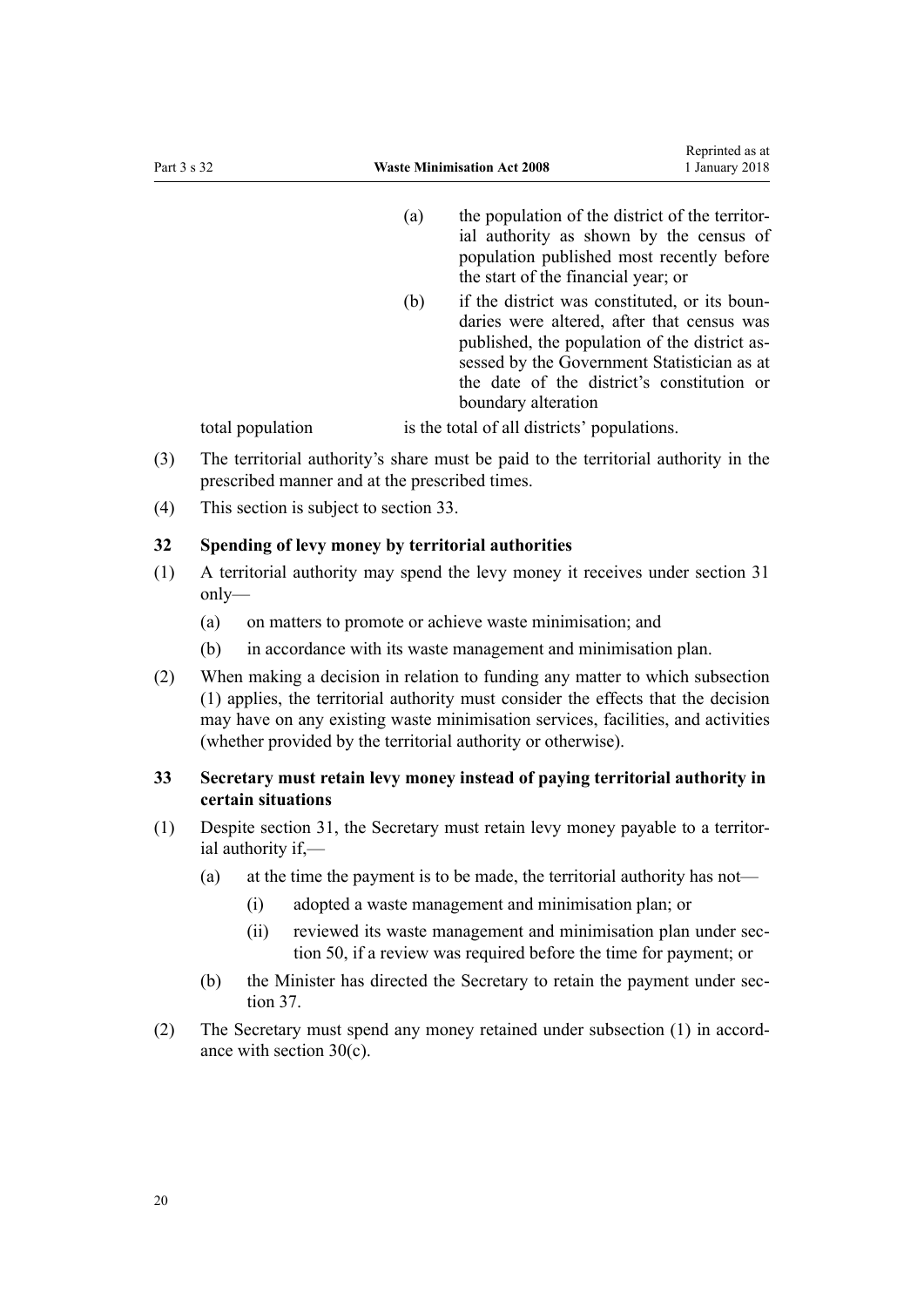- <span id="page-19-0"></span>(a) the population of the district of the territorial authority as shown by the census of population published most recently before the start of the financial year; or
- (b) if the district was constituted, or its boundaries were altered, after that census was published, the population of the district assessed by the Government Statistician as at the date of the district's constitution or boundary alteration

total population is the total of all districts' populations.

- (3) The territorial authority's share must be paid to the territorial authority in the prescribed manner and at the prescribed times.
- (4) This section is subject to section 33.

#### **32 Spending of levy money by territorial authorities**

- (1) A territorial authority may spend the levy money it receives under [section 31](#page-18-0) only—
	- (a) on matters to promote or achieve waste minimisation; and
	- (b) in accordance with its waste management and minimisation plan.
- (2) When making a decision in relation to funding any matter to which subsection (1) applies, the territorial authority must consider the effects that the decision may have on any existing waste minimisation services, facilities, and activities (whether provided by the territorial authority or otherwise).

# **33 Secretary must retain levy money instead of paying territorial authority in certain situations**

- (1) Despite [section 31](#page-18-0), the Secretary must retain levy money payable to a territorial authority if,—
	- (a) at the time the payment is to be made, the territorial authority has not—
		- (i) adopted a waste management and minimisation plan; or
		- (ii) reviewed its waste management and minimisation plan under [sec](#page-27-0)[tion 50](#page-27-0), if a review was required before the time for payment; or
	- (b) the Minister has directed the Secretary to retain the payment under [sec](#page-20-0)[tion 37](#page-20-0).
- (2) The Secretary must spend any money retained under subsection (1) in accordance with [section 30\(c\)](#page-18-0).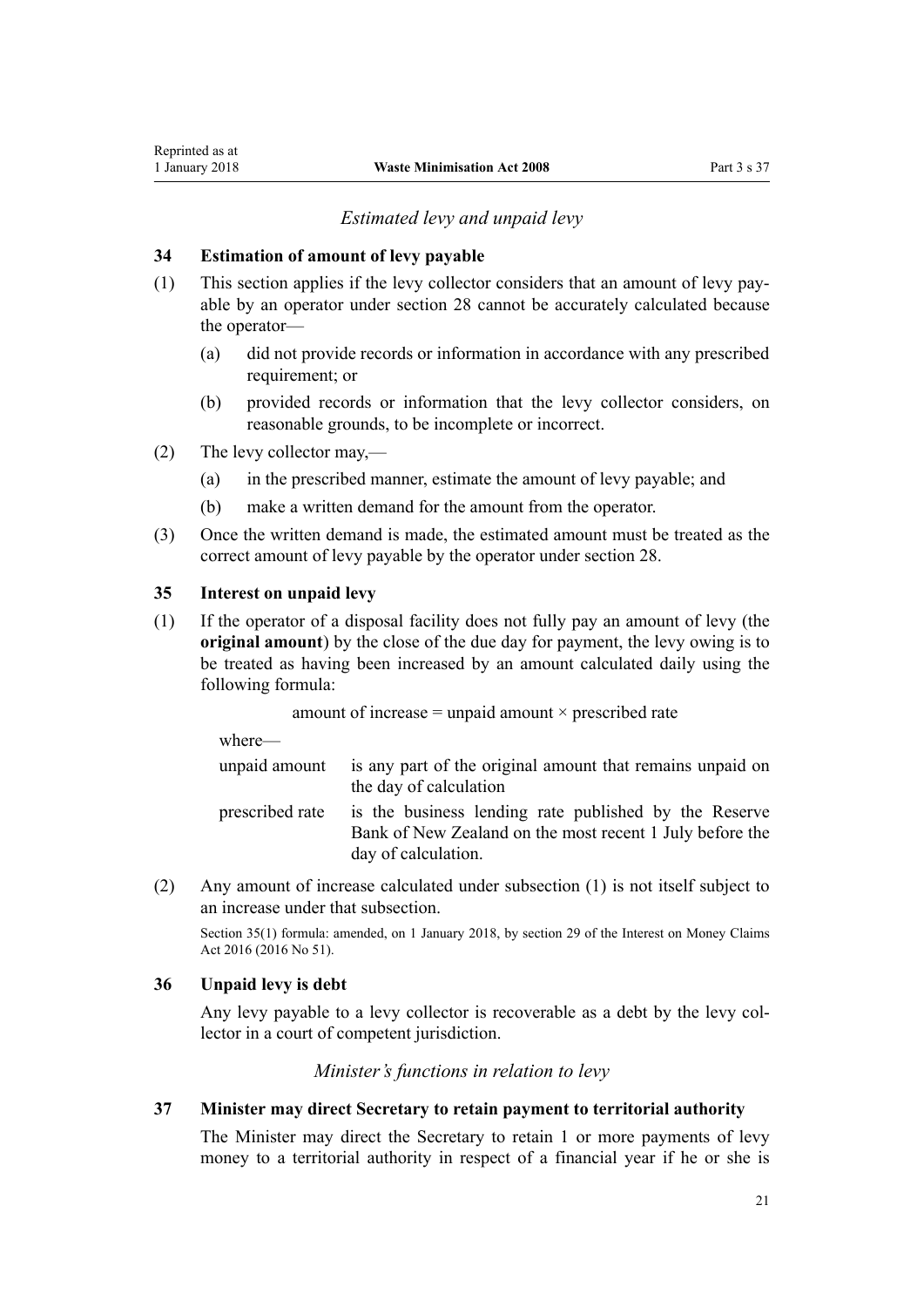# *Estimated levy and unpaid levy*

# <span id="page-20-0"></span>**34 Estimation of amount of levy payable**

- (1) This section applies if the levy collector considers that an amount of levy payable by an operator under [section 28](#page-17-0) cannot be accurately calculated because the operator—
	- (a) did not provide records or information in accordance with any prescribed requirement; or
	- (b) provided records or information that the levy collector considers, on reasonable grounds, to be incomplete or incorrect.
- (2) The levy collector may,—
	- (a) in the prescribed manner, estimate the amount of levy payable; and
	- (b) make a written demand for the amount from the operator.
- (3) Once the written demand is made, the estimated amount must be treated as the correct amount of levy payable by the operator under [section 28.](#page-17-0)

#### **35 Interest on unpaid levy**

(1) If the operator of a disposal facility does not fully pay an amount of levy (the **original amount**) by the close of the due day for payment, the levy owing is to be treated as having been increased by an amount calculated daily using the following formula:

amount of increase  $=$  unpaid amount  $\times$  prescribed rate

where—

|                 | unpaid amount is any part of the original amount that remains unpaid on |
|-----------------|-------------------------------------------------------------------------|
|                 | the day of calculation                                                  |
| prescribed rate | is the business lending rate published by the Reserve                   |

- Bank of New Zealand on the most recent 1 July before the day of calculation.
- (2) Any amount of increase calculated under subsection (1) is not itself subject to an increase under that subsection.

Section 35(1) formula: amended, on 1 January 2018, by [section 29](http://prd-lgnz-nlb.prd.pco.net.nz/pdflink.aspx?id=DLM6943370) of the Interest on Money Claims Act 2016 (2016 No 51).

#### **36 Unpaid levy is debt**

Any levy payable to a levy collector is recoverable as a debt by the levy collector in a court of competent jurisdiction.

*Minister's functions in relation to levy*

#### **37 Minister may direct Secretary to retain payment to territorial authority**

The Minister may direct the Secretary to retain 1 or more payments of levy money to a territorial authority in respect of a financial year if he or she is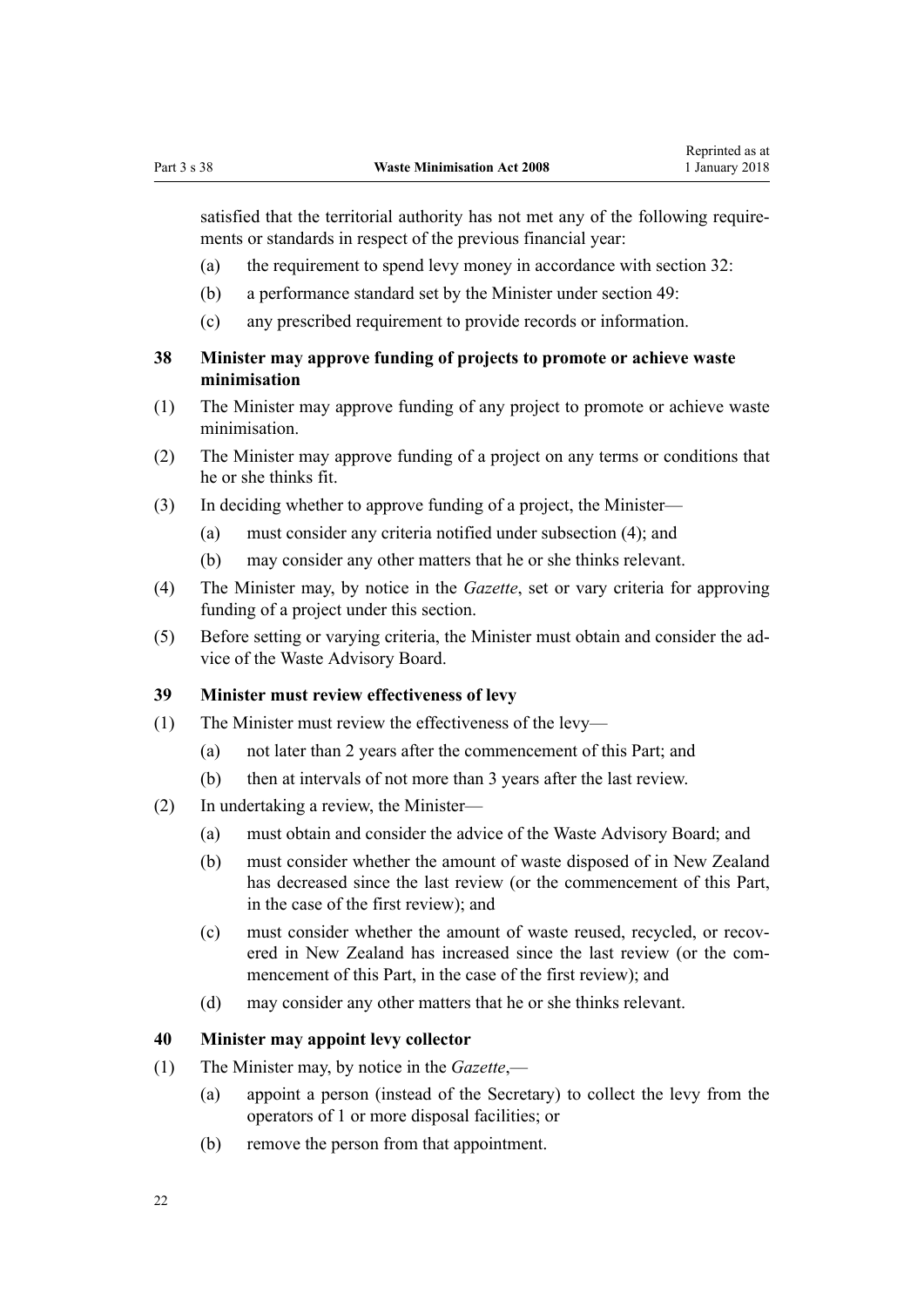<span id="page-21-0"></span>satisfied that the territorial authority has not met any of the following requirements or standards in respect of the previous financial year:

- (a) the requirement to spend levy money in accordance with [section 32:](#page-19-0)
- (b) a performance standard set by the Minister under [section 49:](#page-26-0)
- (c) any prescribed requirement to provide records or information.

# **38 Minister may approve funding of projects to promote or achieve waste minimisation**

- (1) The Minister may approve funding of any project to promote or achieve waste minimisation.
- (2) The Minister may approve funding of a project on any terms or conditions that he or she thinks fit.
- (3) In deciding whether to approve funding of a project, the Minister—
	- (a) must consider any criteria notified under subsection (4); and
	- (b) may consider any other matters that he or she thinks relevant.
- (4) The Minister may, by notice in the *Gazette*, set or vary criteria for approving funding of a project under this section.
- (5) Before setting or varying criteria, the Minister must obtain and consider the advice of the Waste Advisory Board.

# **39 Minister must review effectiveness of levy**

- (1) The Minister must review the effectiveness of the levy—
	- (a) not later than 2 years after the commencement of this Part; and
	- (b) then at intervals of not more than 3 years after the last review.
- (2) In undertaking a review, the Minister—
	- (a) must obtain and consider the advice of the Waste Advisory Board; and
	- (b) must consider whether the amount of waste disposed of in New Zealand has decreased since the last review (or the commencement of this Part, in the case of the first review); and
	- (c) must consider whether the amount of waste reused, recycled, or recovered in New Zealand has increased since the last review (or the commencement of this Part, in the case of the first review); and
	- (d) may consider any other matters that he or she thinks relevant.

#### **40 Minister may appoint levy collector**

- (1) The Minister may, by notice in the *Gazette*,—
	- (a) appoint a person (instead of the Secretary) to collect the levy from the operators of 1 or more disposal facilities; or
	- (b) remove the person from that appointment.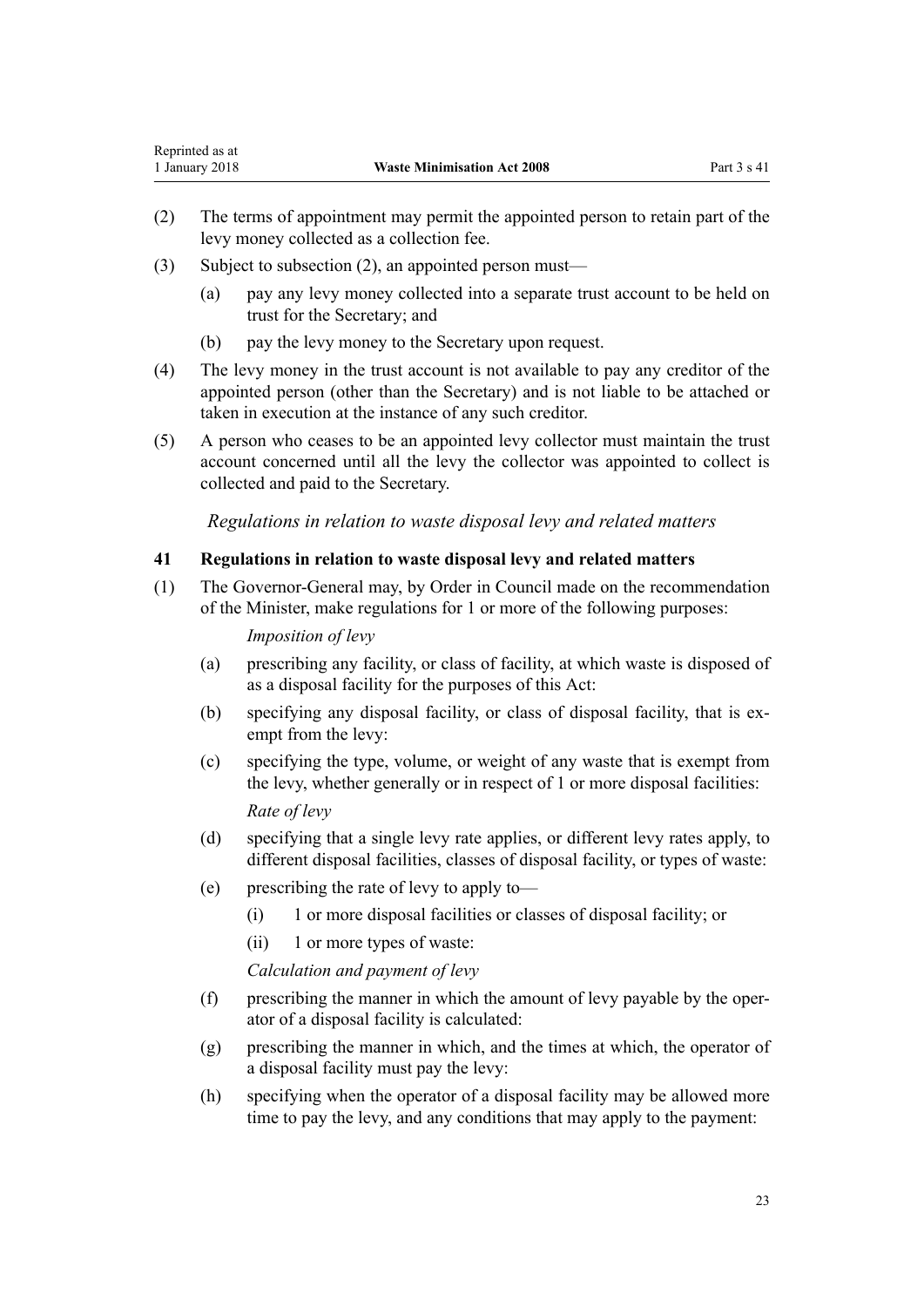- (2) The terms of appointment may permit the appointed person to retain part of the levy money collected as a collection fee.
- (3) Subject to subsection (2), an appointed person must—

<span id="page-22-0"></span>Reprinted as at

- (a) pay any levy money collected into a separate trust account to be held on trust for the Secretary; and
- (b) pay the levy money to the Secretary upon request.
- (4) The levy money in the trust account is not available to pay any creditor of the appointed person (other than the Secretary) and is not liable to be attached or taken in execution at the instance of any such creditor.
- (5) A person who ceases to be an appointed levy collector must maintain the trust account concerned until all the levy the collector was appointed to collect is collected and paid to the Secretary.

*Regulations in relation to waste disposal levy and related matters*

#### **41 Regulations in relation to waste disposal levy and related matters**

(1) The Governor-General may, by Order in Council made on the recommendation of the Minister, make regulations for 1 or more of the following purposes:

*Imposition of levy*

- (a) prescribing any facility, or class of facility, at which waste is disposed of as a disposal facility for the purposes of this Act:
- (b) specifying any disposal facility, or class of disposal facility, that is exempt from the levy:
- (c) specifying the type, volume, or weight of any waste that is exempt from the levy, whether generally or in respect of 1 or more disposal facilities: *Rate of levy*
- (d) specifying that a single levy rate applies, or different levy rates apply, to different disposal facilities, classes of disposal facility, or types of waste:
- (e) prescribing the rate of levy to apply to—
	- (i) 1 or more disposal facilities or classes of disposal facility; or
	- (ii) 1 or more types of waste:

*Calculation and payment of levy*

- (f) prescribing the manner in which the amount of levy payable by the operator of a disposal facility is calculated:
- (g) prescribing the manner in which, and the times at which, the operator of a disposal facility must pay the levy:
- (h) specifying when the operator of a disposal facility may be allowed more time to pay the levy, and any conditions that may apply to the payment: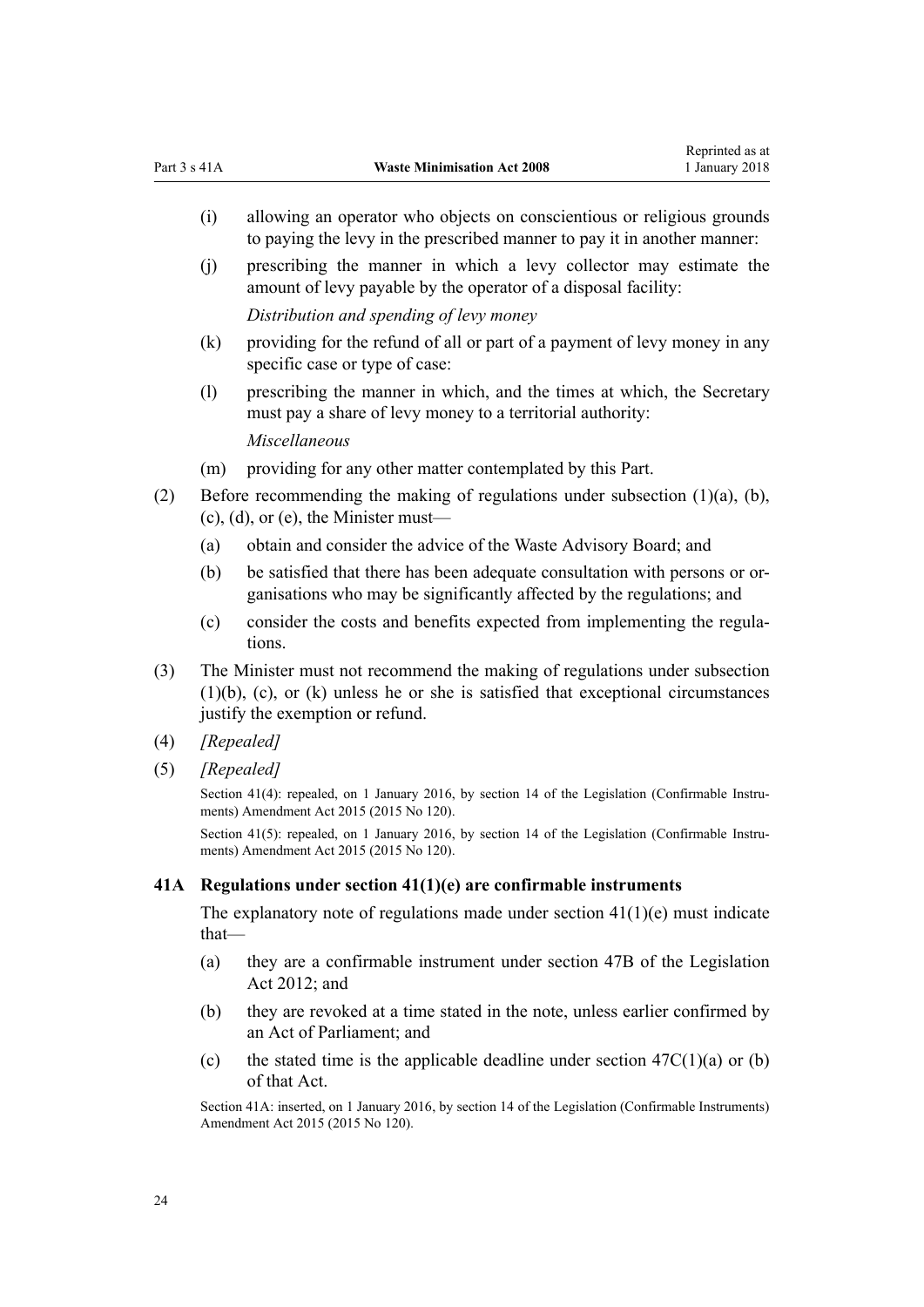- <span id="page-23-0"></span>(i) allowing an operator who objects on conscientious or religious grounds to paying the levy in the prescribed manner to pay it in another manner:
- (j) prescribing the manner in which a levy collector may estimate the amount of levy payable by the operator of a disposal facility: *Distribution and spending of levy money*
- (k) providing for the refund of all or part of a payment of levy money in any specific case or type of case:
- (l) prescribing the manner in which, and the times at which, the Secretary must pay a share of levy money to a territorial authority: *Miscellaneous*

(m) providing for any other matter contemplated by this Part.

- (2) Before recommending the making of regulations under subsection  $(1)(a)$ ,  $(b)$ ,  $(c)$ ,  $(d)$ , or  $(e)$ , the Minister must—
	- (a) obtain and consider the advice of the Waste Advisory Board; and
	- (b) be satisfied that there has been adequate consultation with persons or organisations who may be significantly affected by the regulations; and
	- (c) consider the costs and benefits expected from implementing the regulations.
- (3) The Minister must not recommend the making of regulations under subsection (1)(b), (c), or (k) unless he or she is satisfied that exceptional circumstances justify the exemption or refund.
- (4) *[Repealed]*
- (5) *[Repealed]*

Section 41(4): repealed, on 1 January 2016, by [section 14](http://prd-lgnz-nlb.prd.pco.net.nz/pdflink.aspx?id=DLM6681248) of the Legislation (Confirmable Instruments) Amendment Act 2015 (2015 No 120).

Section 41(5): repealed, on 1 January 2016, by [section 14](http://prd-lgnz-nlb.prd.pco.net.nz/pdflink.aspx?id=DLM6681248) of the Legislation (Confirmable Instruments) Amendment Act 2015 (2015 No 120).

# **41A Regulations under section 41(1)(e) are confirmable instruments**

The explanatory note of regulations made under section  $41(1)(e)$  must indicate that—

- (a) they are a confirmable instrument under [section 47B](http://prd-lgnz-nlb.prd.pco.net.nz/pdflink.aspx?id=DLM6705124) of the Legislation Act 2012; and
- (b) they are revoked at a time stated in the note, unless earlier confirmed by an Act of Parliament; and
- (c) the stated time is the applicable deadline under section  $47C(1)(a)$  or (b) of that Act.

Section 41A: inserted, on 1 January 2016, by [section 14](http://prd-lgnz-nlb.prd.pco.net.nz/pdflink.aspx?id=DLM6681248) of the Legislation (Confirmable Instruments) Amendment Act 2015 (2015 No 120).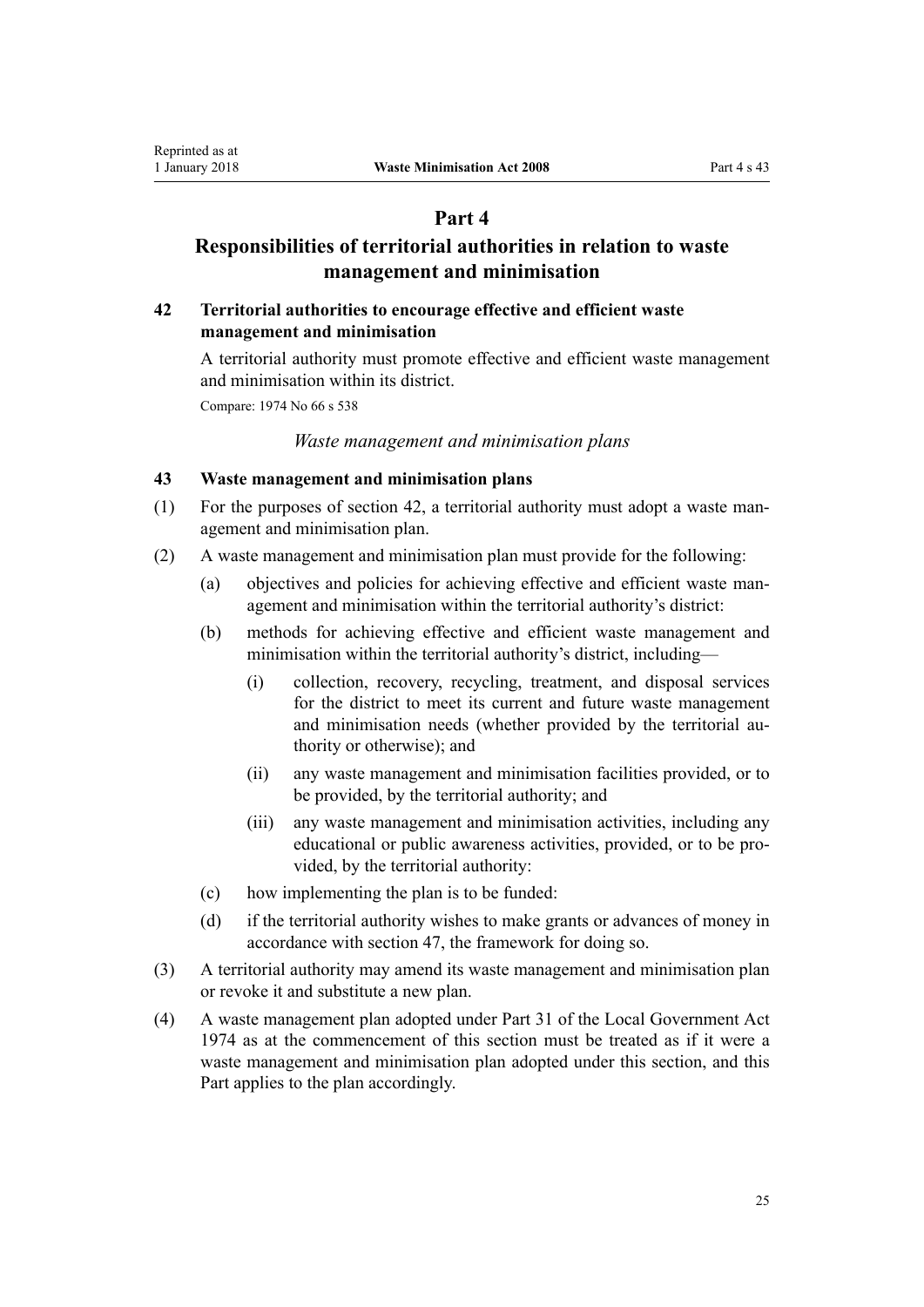# **Part 4**

# **Responsibilities of territorial authorities in relation to waste management and minimisation**

### **42 Territorial authorities to encourage effective and efficient waste management and minimisation**

A territorial authority must promote effective and efficient waste management and minimisation within its district.

Compare: 1974 No 66 [s 538](http://prd-lgnz-nlb.prd.pco.net.nz/pdflink.aspx?id=DLM421920)

<span id="page-24-0"></span>Reprinted as at

#### *Waste management and minimisation plans*

#### **43 Waste management and minimisation plans**

- (1) For the purposes of section 42, a territorial authority must adopt a waste management and minimisation plan.
- (2) A waste management and minimisation plan must provide for the following:
	- (a) objectives and policies for achieving effective and efficient waste management and minimisation within the territorial authority's district:
	- (b) methods for achieving effective and efficient waste management and minimisation within the territorial authority's district, including—
		- (i) collection, recovery, recycling, treatment, and disposal services for the district to meet its current and future waste management and minimisation needs (whether provided by the territorial authority or otherwise); and
		- (ii) any waste management and minimisation facilities provided, or to be provided, by the territorial authority; and
		- (iii) any waste management and minimisation activities, including any educational or public awareness activities, provided, or to be provided, by the territorial authority:
	- (c) how implementing the plan is to be funded:
	- (d) if the territorial authority wishes to make grants or advances of money in accordance with [section 47](#page-26-0), the framework for doing so.
- (3) A territorial authority may amend its waste management and minimisation plan or revoke it and substitute a new plan.
- (4) A waste management plan adopted under Part 31 of the Local Government Act 1974 as at the commencement of this section must be treated as if it were a waste management and minimisation plan adopted under this section, and this Part applies to the plan accordingly.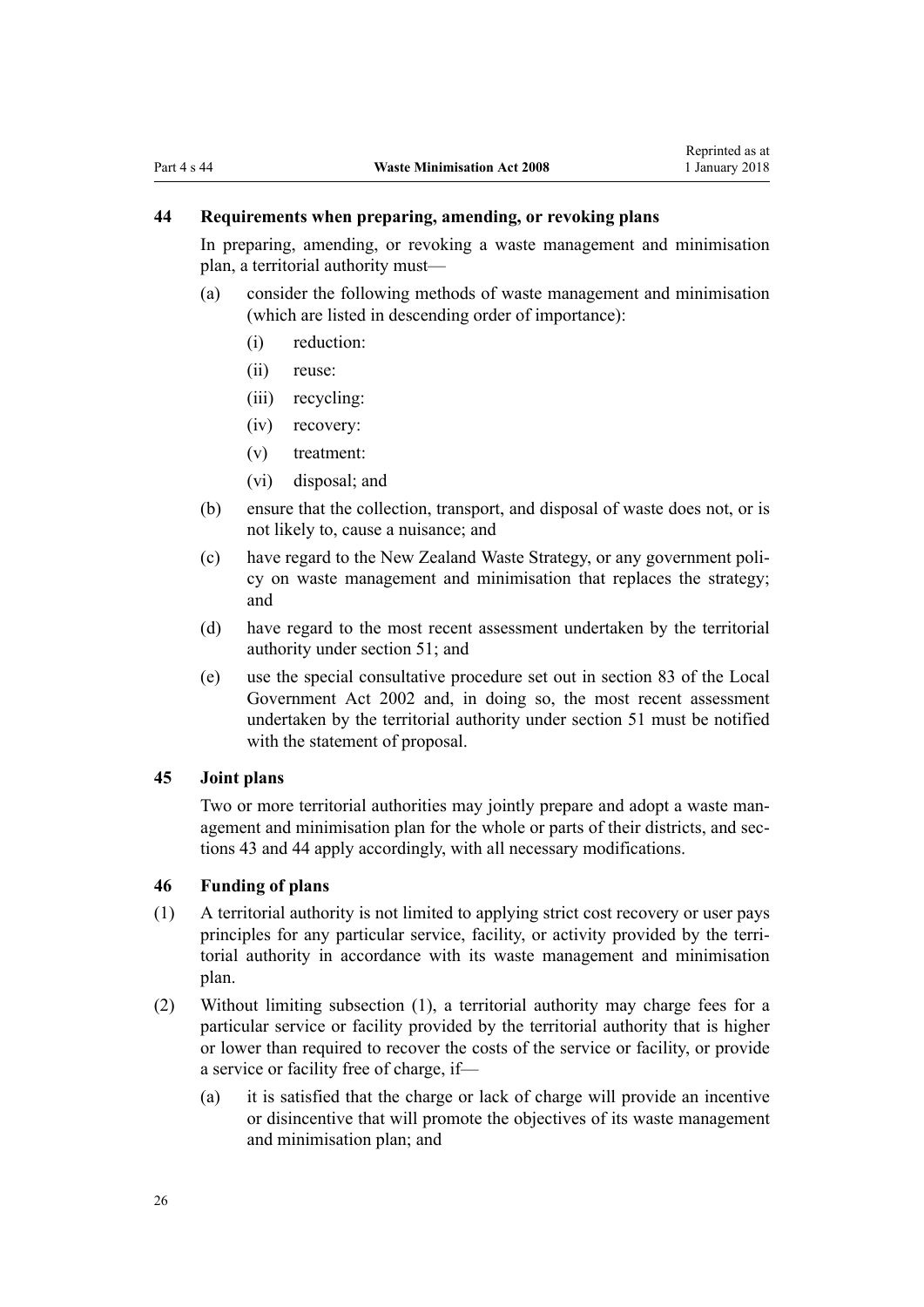# <span id="page-25-0"></span>**44 Requirements when preparing, amending, or revoking plans**

In preparing, amending, or revoking a waste management and minimisation plan, a territorial authority must—

- (a) consider the following methods of waste management and minimisation (which are listed in descending order of importance):
	- (i) reduction:
	- (ii) reuse:
	- (iii) recycling:
	- (iv) recovery:
	- (v) treatment:
	- (vi) disposal; and
- (b) ensure that the collection, transport, and disposal of waste does not, or is not likely to, cause a nuisance; and
- (c) have regard to the New Zealand Waste Strategy, or any government policy on waste management and minimisation that replaces the strategy; and
- (d) have regard to the most recent assessment undertaken by the territorial authority under [section 51;](#page-27-0) and
- (e) use the special consultative procedure set out in section 83 of the Local Government Act 2002 and, in doing so, the most recent assessment undertaken by the territorial authority under section 51 must be notified with the statement of proposal.

## **45 Joint plans**

Two or more territorial authorities may jointly prepare and adopt a waste management and minimisation plan for the whole or parts of their districts, and [sec](#page-24-0)[tions 43](#page-24-0) and 44 apply accordingly, with all necessary modifications.

#### **46 Funding of plans**

- (1) A territorial authority is not limited to applying strict cost recovery or user pays principles for any particular service, facility, or activity provided by the territorial authority in accordance with its waste management and minimisation plan.
- (2) Without limiting subsection (1), a territorial authority may charge fees for a particular service or facility provided by the territorial authority that is higher or lower than required to recover the costs of the service or facility, or provide a service or facility free of charge, if—
	- (a) it is satisfied that the charge or lack of charge will provide an incentive or disincentive that will promote the objectives of its waste management and minimisation plan; and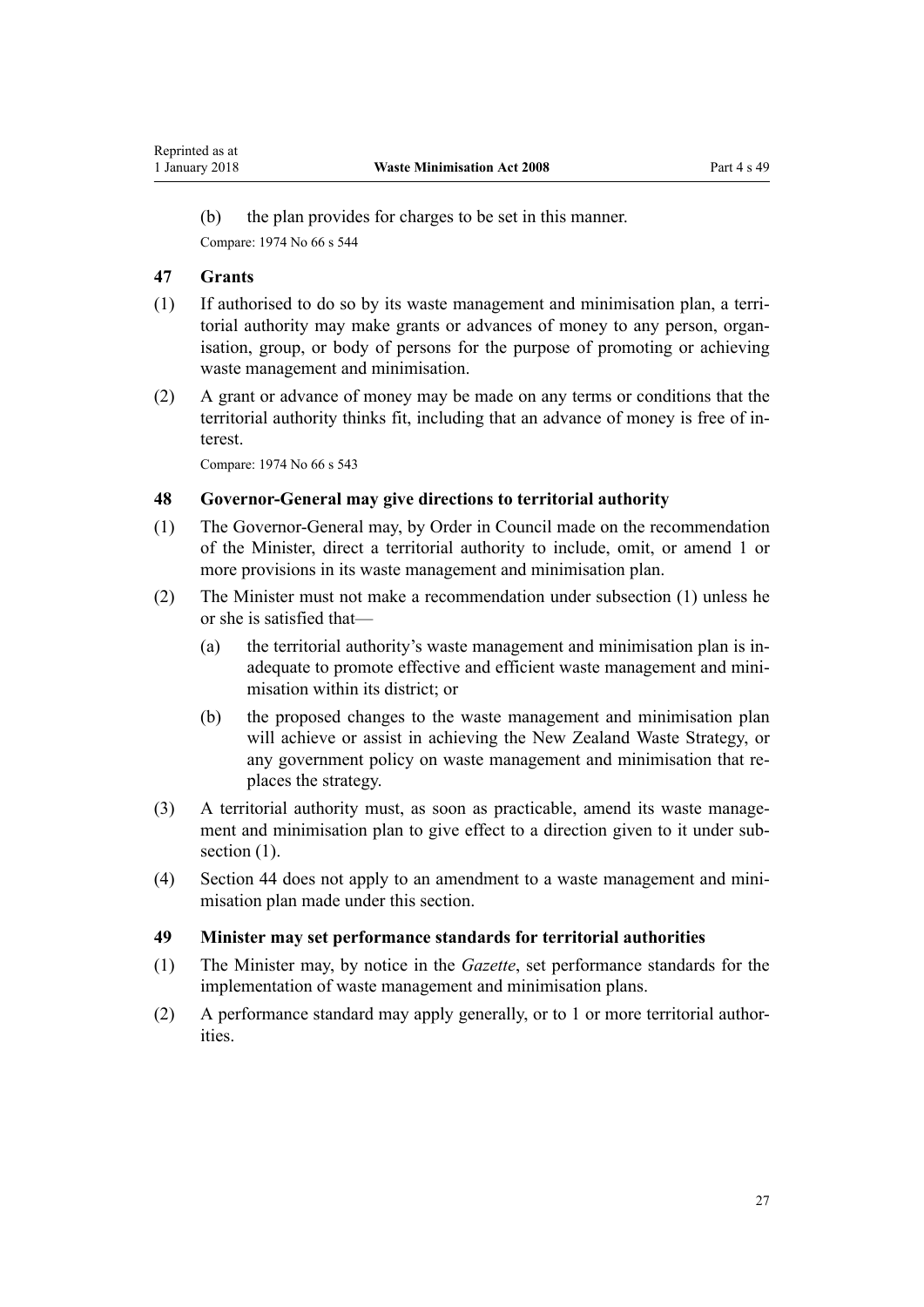<span id="page-26-0"></span>(b) the plan provides for charges to be set in this manner. Compare: 1974 No 66 [s 544](http://prd-lgnz-nlb.prd.pco.net.nz/pdflink.aspx?id=DLM421942)

# **47 Grants**

- (1) If authorised to do so by its waste management and minimisation plan, a territorial authority may make grants or advances of money to any person, organisation, group, or body of persons for the purpose of promoting or achieving waste management and minimisation.
- (2) A grant or advance of money may be made on any terms or conditions that the territorial authority thinks fit, including that an advance of money is free of interest.

Compare: 1974 No 66 [s 543](http://prd-lgnz-nlb.prd.pco.net.nz/pdflink.aspx?id=DLM421939)

# **48 Governor-General may give directions to territorial authority**

- (1) The Governor-General may, by Order in Council made on the recommendation of the Minister, direct a territorial authority to include, omit, or amend 1 or more provisions in its waste management and minimisation plan.
- (2) The Minister must not make a recommendation under subsection (1) unless he or she is satisfied that—
	- (a) the territorial authority's waste management and minimisation plan is inadequate to promote effective and efficient waste management and minimisation within its district; or
	- (b) the proposed changes to the waste management and minimisation plan will achieve or assist in achieving the New Zealand Waste Strategy, or any government policy on waste management and minimisation that replaces the strategy.
- (3) A territorial authority must, as soon as practicable, amend its waste management and minimisation plan to give effect to a direction given to it under subsection  $(1)$ .
- (4) [Section 44](#page-25-0) does not apply to an amendment to a waste management and minimisation plan made under this section.

#### **49 Minister may set performance standards for territorial authorities**

- (1) The Minister may, by notice in the *Gazette*, set performance standards for the implementation of waste management and minimisation plans.
- (2) A performance standard may apply generally, or to 1 or more territorial authorities.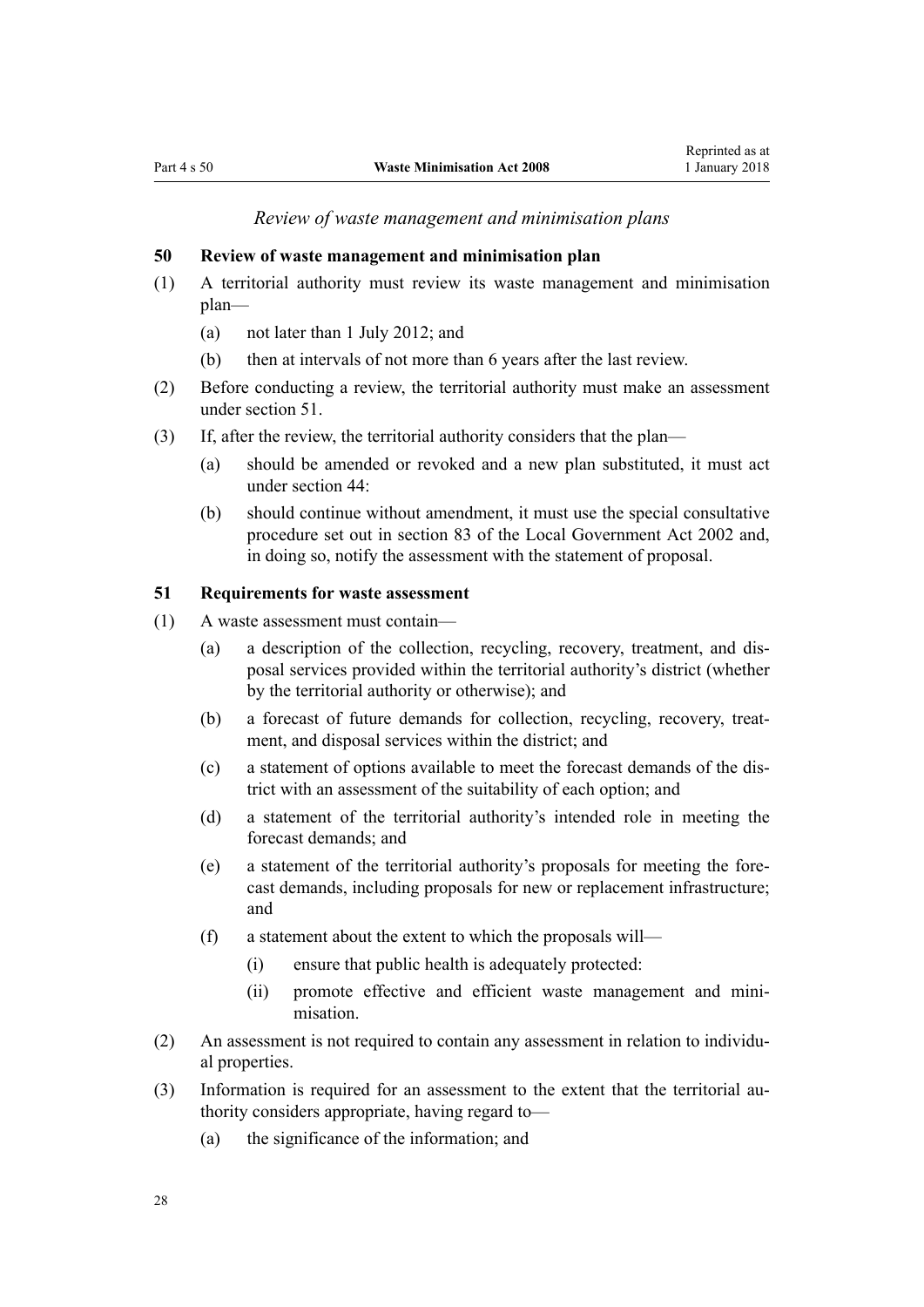*Review of waste management and minimisation plans*

# <span id="page-27-0"></span>**50 Review of waste management and minimisation plan**

- (1) A territorial authority must review its waste management and minimisation plan—
	- (a) not later than 1 July 2012; and
	- (b) then at intervals of not more than 6 years after the last review.
- (2) Before conducting a review, the territorial authority must make an assessment under section 51.
- (3) If, after the review, the territorial authority considers that the plan—
	- (a) should be amended or revoked and a new plan substituted, it must act under [section 44](#page-25-0):
	- (b) should continue without amendment, it must use the special consultative procedure set out in [section 83](http://prd-lgnz-nlb.prd.pco.net.nz/pdflink.aspx?id=DLM172328) of the Local Government Act 2002 and, in doing so, notify the assessment with the statement of proposal.

## **51 Requirements for waste assessment**

- (1) A waste assessment must contain—
	- (a) a description of the collection, recycling, recovery, treatment, and disposal services provided within the territorial authority's district (whether by the territorial authority or otherwise); and
	- (b) a forecast of future demands for collection, recycling, recovery, treatment, and disposal services within the district; and
	- (c) a statement of options available to meet the forecast demands of the district with an assessment of the suitability of each option; and
	- (d) a statement of the territorial authority's intended role in meeting the forecast demands; and
	- (e) a statement of the territorial authority's proposals for meeting the forecast demands, including proposals for new or replacement infrastructure; and
	- (f) a statement about the extent to which the proposals will—
		- (i) ensure that public health is adequately protected:
		- (ii) promote effective and efficient waste management and minimisation.
- (2) An assessment is not required to contain any assessment in relation to individual properties.
- (3) Information is required for an assessment to the extent that the territorial authority considers appropriate, having regard to—
	- (a) the significance of the information; and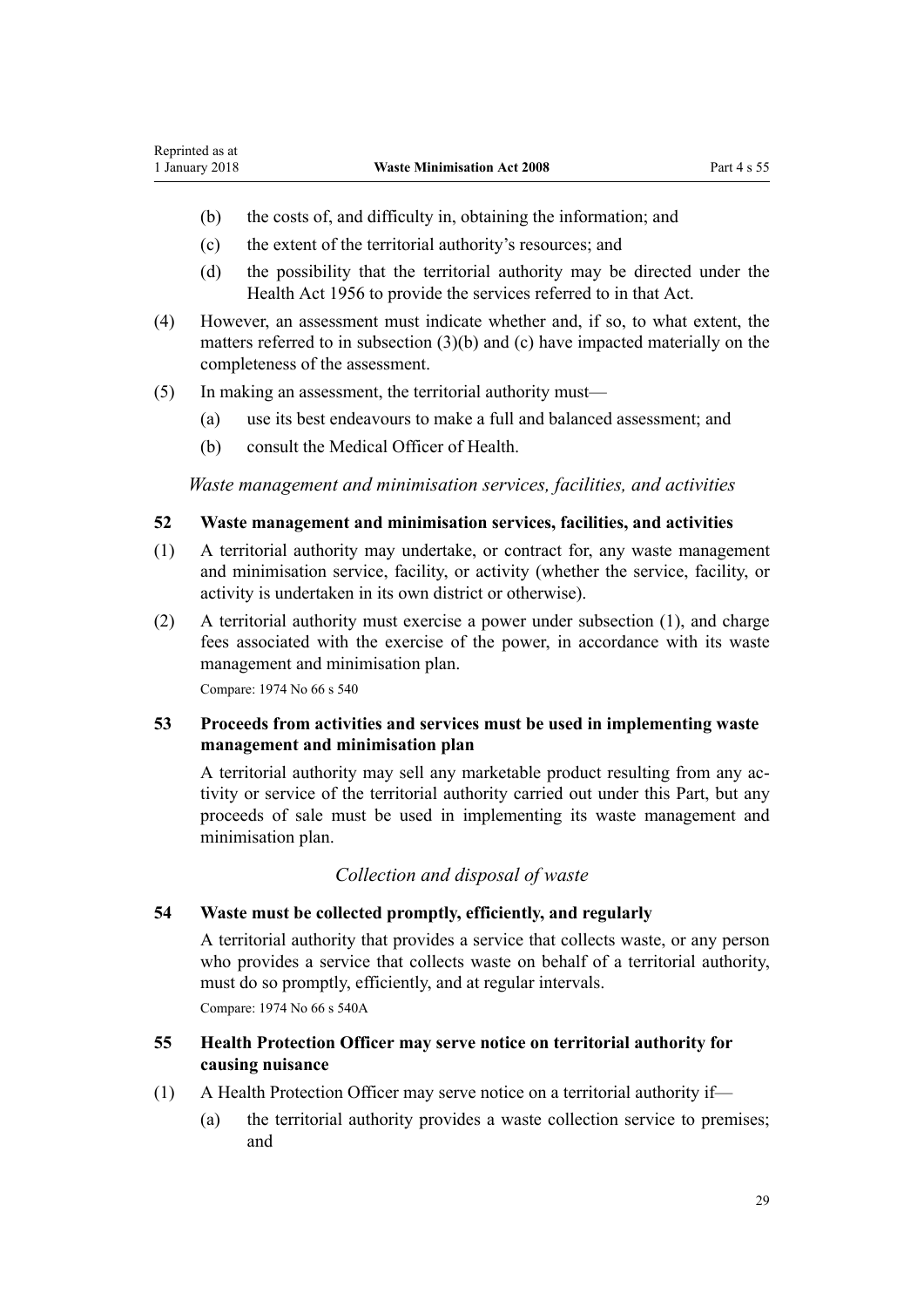- <span id="page-28-0"></span>(b) the costs of, and difficulty in, obtaining the information; and
- (c) the extent of the territorial authority's resources; and
- (d) the possibility that the territorial authority may be directed under the Health Act 1956 to provide the services referred to in that Act.
- (4) However, an assessment must indicate whether and, if so, to what extent, the matters referred to in subsection (3)(b) and (c) have impacted materially on the completeness of the assessment.
- (5) In making an assessment, the territorial authority must—
	- (a) use its best endeavours to make a full and balanced assessment; and
	- (b) consult the Medical Officer of Health.

*Waste management and minimisation services, facilities, and activities*

# **52 Waste management and minimisation services, facilities, and activities**

- (1) A territorial authority may undertake, or contract for, any waste management and minimisation service, facility, or activity (whether the service, facility, or activity is undertaken in its own district or otherwise).
- (2) A territorial authority must exercise a power under subsection (1), and charge fees associated with the exercise of the power, in accordance with its waste management and minimisation plan.

Compare: 1974 No 66 [s 540](http://prd-lgnz-nlb.prd.pco.net.nz/pdflink.aspx?id=DLM421926)

# **53 Proceeds from activities and services must be used in implementing waste management and minimisation plan**

A territorial authority may sell any marketable product resulting from any activity or service of the territorial authority carried out under this Part, but any proceeds of sale must be used in implementing its waste management and minimisation plan.

# *Collection and disposal of waste*

#### **54 Waste must be collected promptly, efficiently, and regularly**

A territorial authority that provides a service that collects waste, or any person who provides a service that collects waste on behalf of a territorial authority, must do so promptly, efficiently, and at regular intervals. Compare: 1974 No 66 [s 540A](http://prd-lgnz-nlb.prd.pco.net.nz/pdflink.aspx?id=DLM421929)

# **55 Health Protection Officer may serve notice on territorial authority for causing nuisance**

- (1) A Health Protection Officer may serve notice on a territorial authority if—
	- (a) the territorial authority provides a waste collection service to premises; and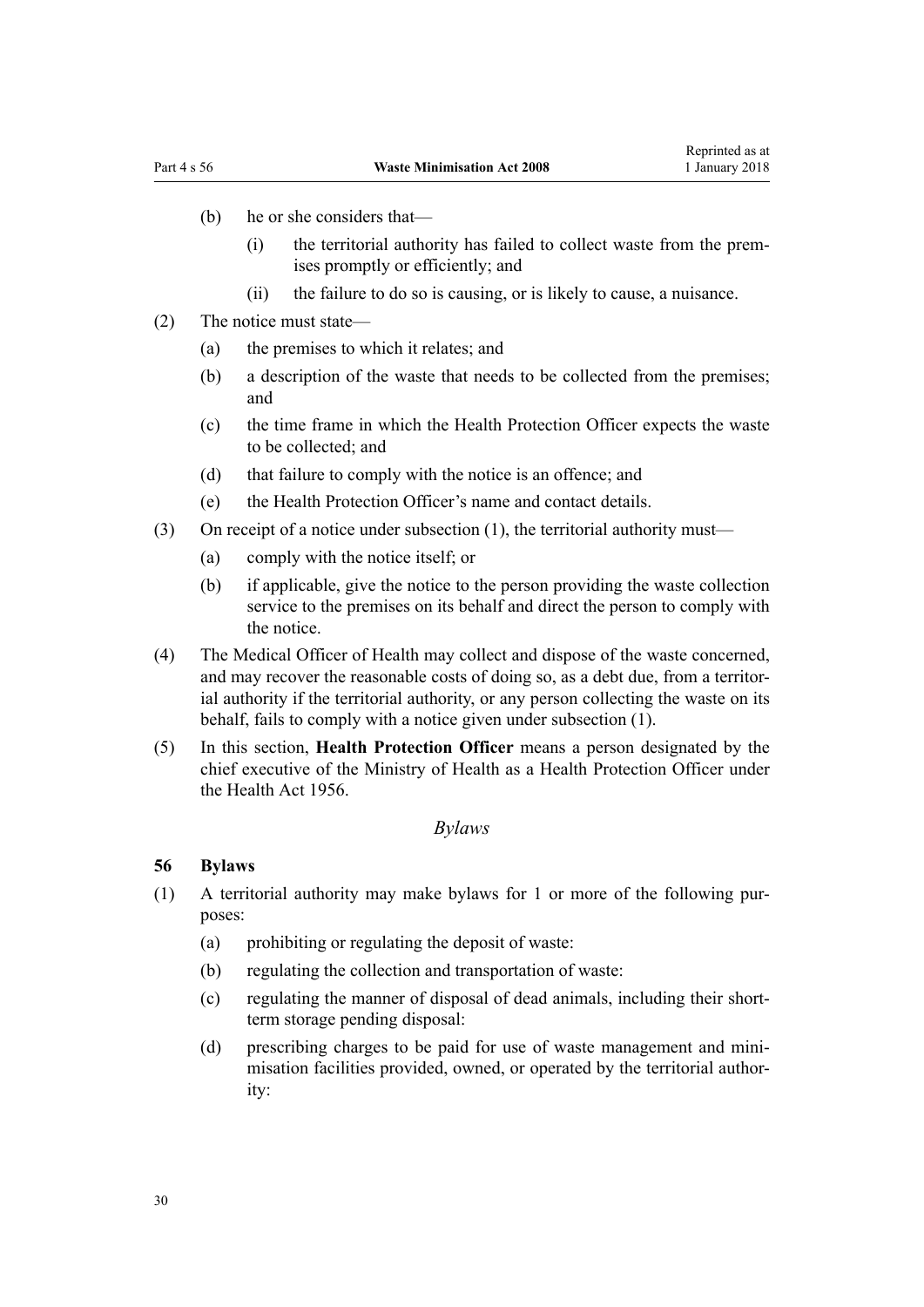- <span id="page-29-0"></span>(b) he or she considers that—
	- (i) the territorial authority has failed to collect waste from the premises promptly or efficiently; and
	- (ii) the failure to do so is causing, or is likely to cause, a nuisance.
- (2) The notice must state—
	- (a) the premises to which it relates; and
	- (b) a description of the waste that needs to be collected from the premises; and
	- (c) the time frame in which the Health Protection Officer expects the waste to be collected; and
	- (d) that failure to comply with the notice is an offence; and
	- (e) the Health Protection Officer's name and contact details.
- (3) On receipt of a notice under subsection (1), the territorial authority must—
	- (a) comply with the notice itself; or
	- (b) if applicable, give the notice to the person providing the waste collection service to the premises on its behalf and direct the person to comply with the notice.
- (4) The Medical Officer of Health may collect and dispose of the waste concerned, and may recover the reasonable costs of doing so, as a debt due, from a territorial authority if the territorial authority, or any person collecting the waste on its behalf, fails to comply with a notice given under subsection (1).
- (5) In this section, **Health Protection Officer** means a person designated by the chief executive of the Ministry of Health as a Health Protection Officer under the Health Act 1956.

#### *Bylaws*

#### **56 Bylaws**

- (1) A territorial authority may make bylaws for 1 or more of the following purposes:
	- (a) prohibiting or regulating the deposit of waste:
	- (b) regulating the collection and transportation of waste:
	- (c) regulating the manner of disposal of dead animals, including their shortterm storage pending disposal:
	- (d) prescribing charges to be paid for use of waste management and minimisation facilities provided, owned, or operated by the territorial authority: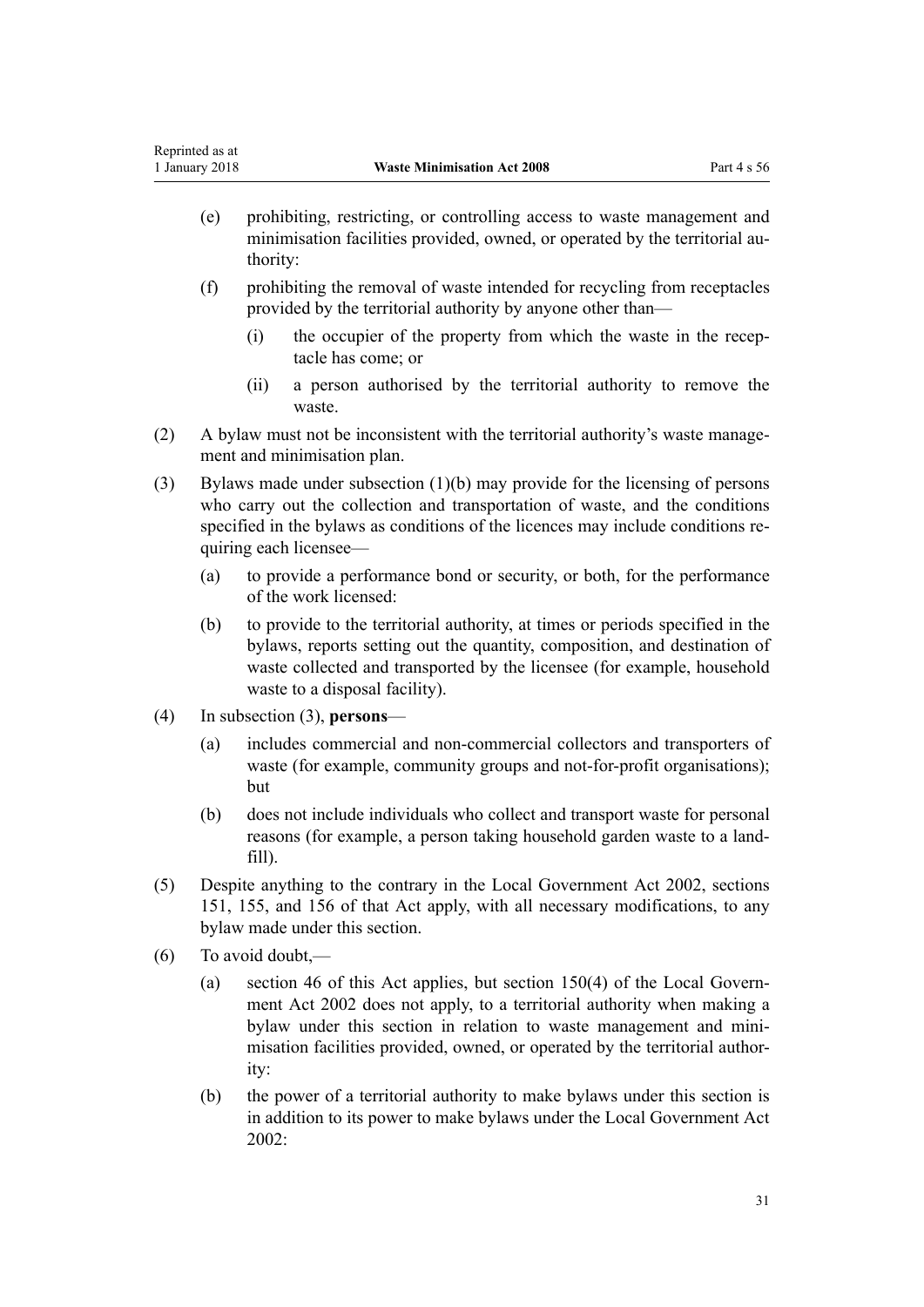- (e) prohibiting, restricting, or controlling access to waste management and minimisation facilities provided, owned, or operated by the territorial authority:
- (f) prohibiting the removal of waste intended for recycling from receptacles provided by the territorial authority by anyone other than—
	- (i) the occupier of the property from which the waste in the receptacle has come; or
	- (ii) a person authorised by the territorial authority to remove the waste.
- (2) A bylaw must not be inconsistent with the territorial authority's waste management and minimisation plan.
- (3) Bylaws made under subsection (1)(b) may provide for the licensing of persons who carry out the collection and transportation of waste, and the conditions specified in the bylaws as conditions of the licences may include conditions requiring each licensee—
	- (a) to provide a performance bond or security, or both, for the performance of the work licensed:
	- (b) to provide to the territorial authority, at times or periods specified in the bylaws, reports setting out the quantity, composition, and destination of waste collected and transported by the licensee (for example, household waste to a disposal facility).
- (4) In subsection (3), **persons**
	- (a) includes commercial and non-commercial collectors and transporters of waste (for example, community groups and not-for-profit organisations); but
	- (b) does not include individuals who collect and transport waste for personal reasons (for example, a person taking household garden waste to a landfill).
- (5) Despite anything to the contrary in the Local Government Act 2002, [sections](http://prd-lgnz-nlb.prd.pco.net.nz/pdflink.aspx?id=DLM172992) [151](http://prd-lgnz-nlb.prd.pco.net.nz/pdflink.aspx?id=DLM172992), [155,](http://prd-lgnz-nlb.prd.pco.net.nz/pdflink.aspx?id=DLM173401) and [156](http://prd-lgnz-nlb.prd.pco.net.nz/pdflink.aspx?id=DLM173404) of that Act apply, with all necessary modifications, to any bylaw made under this section.
- (6) To avoid doubt,—
	- (a) [section 46](#page-25-0) of this Act applies, but [section 150\(4\)](http://prd-lgnz-nlb.prd.pco.net.nz/pdflink.aspx?id=DLM172990) of the Local Government Act 2002 does not apply, to a territorial authority when making a bylaw under this section in relation to waste management and minimisation facilities provided, owned, or operated by the territorial authority:
	- (b) the power of a territorial authority to make bylaws under this section is in addition to its power to make bylaws under the Local Government Act 2002: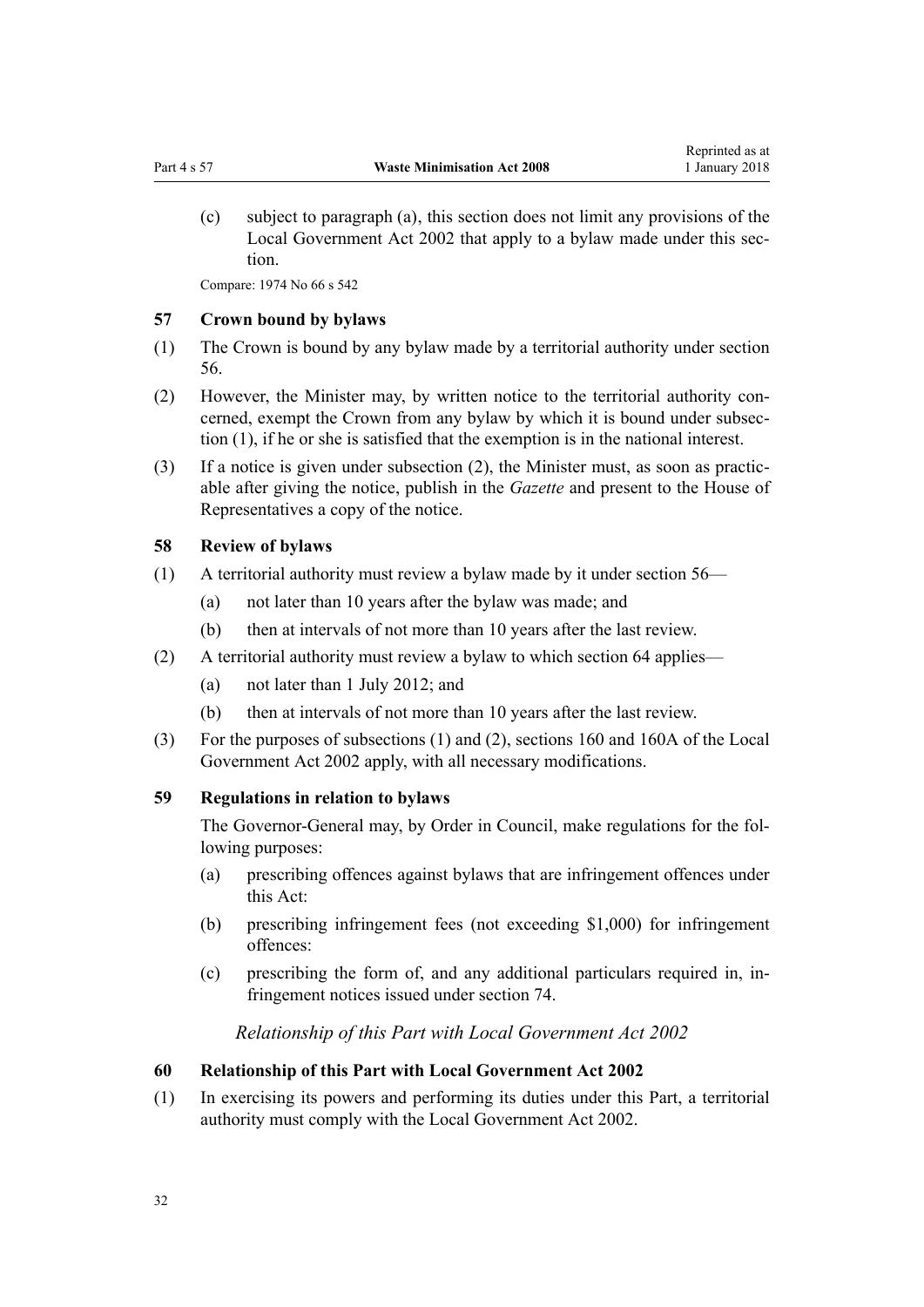<span id="page-31-0"></span>(c) subject to paragraph (a), this section does not limit any provisions of the Local Government Act 2002 that apply to a bylaw made under this section.

Compare: 1974 No 66 [s 542](http://prd-lgnz-nlb.prd.pco.net.nz/pdflink.aspx?id=DLM421936)

#### **57 Crown bound by bylaws**

- (1) The Crown is bound by any bylaw made by a territorial authority under [section](#page-29-0) [56.](#page-29-0)
- (2) However, the Minister may, by written notice to the territorial authority concerned, exempt the Crown from any bylaw by which it is bound under subsection (1), if he or she is satisfied that the exemption is in the national interest.
- (3) If a notice is given under subsection (2), the Minister must, as soon as practicable after giving the notice, publish in the *Gazette* and present to the House of Representatives a copy of the notice.

#### **58 Review of bylaws**

- (1) A territorial authority must review a bylaw made by it under [section 56—](#page-29-0)
	- (a) not later than 10 years after the bylaw was made; and
	- (b) then at intervals of not more than 10 years after the last review.
- (2) A territorial authority must review a bylaw to which [section 64](#page-32-0) applies—
	- (a) not later than 1 July 2012; and
	- (b) then at intervals of not more than 10 years after the last review.
- (3) For the purposes of subsections (1) and (2), [sections 160](http://prd-lgnz-nlb.prd.pco.net.nz/pdflink.aspx?id=DLM173414) and [160A](http://prd-lgnz-nlb.prd.pco.net.nz/pdflink.aspx?id=DLM173416) of the Local Government Act 2002 apply, with all necessary modifications.

#### **59 Regulations in relation to bylaws**

The Governor-General may, by Order in Council, make regulations for the following purposes:

- (a) prescribing offences against bylaws that are infringement offences under this Act:
- (b) prescribing infringement fees (not exceeding \$1,000) for infringement offences:
- (c) prescribing the form of, and any additional particulars required in, infringement notices issued under [section 74.](#page-37-0)

*Relationship of this Part with Local Government Act 2002*

#### **60 Relationship of this Part with Local Government Act 2002**

(1) In exercising its powers and performing its duties under this Part, a territorial authority must comply with the Local Government Act 2002.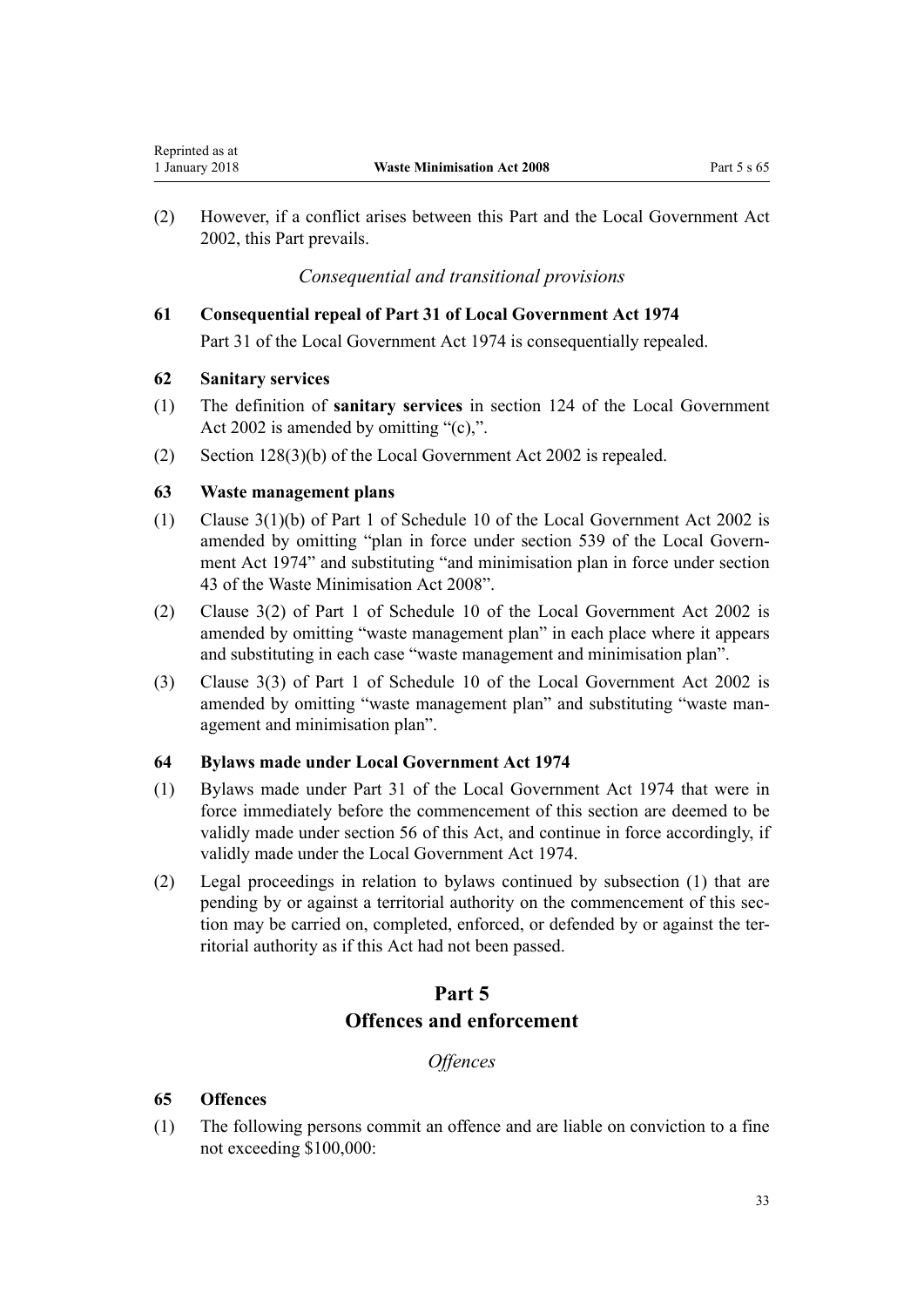(2) However, if a conflict arises between this Part and the Local Government Act 2002, this Part prevails.

# *Consequential and transitional provisions*

#### **61 Consequential repeal of Part 31 of Local Government Act 1974**

[Part 31](http://prd-lgnz-nlb.prd.pco.net.nz/pdflink.aspx?id=DLM421899) of the Local Government Act 1974 is consequentially repealed.

#### **62 Sanitary services**

<span id="page-32-0"></span>Reprinted as at

- (1) The definition of **sanitary services** in [section 124](http://prd-lgnz-nlb.prd.pco.net.nz/pdflink.aspx?id=DLM172912) of the Local Government Act 2002 is amended by omitting "(c),".
- (2) [Section 128\(3\)\(b\)](http://prd-lgnz-nlb.prd.pco.net.nz/pdflink.aspx?id=DLM172929) of the Local Government Act 2002 is repealed.

#### **63 Waste management plans**

- (1) [Clause 3\(1\)\(b\)](http://prd-lgnz-nlb.prd.pco.net.nz/pdflink.aspx?id=DLM3419212) of Part 1 of Schedule 10 of the Local Government Act 2002 is amended by omitting "plan in force under section 539 of the Local Government Act 1974" and substituting "and minimisation plan in force under section 43 of the Waste Minimisation Act 2008".
- (2) [Clause 3\(2\)](http://prd-lgnz-nlb.prd.pco.net.nz/pdflink.aspx?id=DLM3419212) of Part 1 of Schedule 10 of the Local Government Act 2002 is amended by omitting "waste management plan" in each place where it appears and substituting in each case "waste management and minimisation plan".
- (3) [Clause 3\(3\)](http://prd-lgnz-nlb.prd.pco.net.nz/pdflink.aspx?id=DLM3419212) of Part 1 of Schedule 10 of the Local Government Act 2002 is amended by omitting "waste management plan" and substituting "waste management and minimisation plan".

#### **64 Bylaws made under Local Government Act 1974**

- (1) Bylaws made under Part 31 of the Local Government Act 1974 that were in force immediately before the commencement of this section are deemed to be validly made under [section 56](#page-29-0) of this Act, and continue in force accordingly, if validly made under the Local Government Act 1974.
- (2) Legal proceedings in relation to bylaws continued by subsection (1) that are pending by or against a territorial authority on the commencement of this section may be carried on, completed, enforced, or defended by or against the territorial authority as if this Act had not been passed.

# **Part 5 Offences and enforcement**

*Offences*

#### **65 Offences**

(1) The following persons commit an offence and are liable on conviction to a fine not exceeding \$100,000: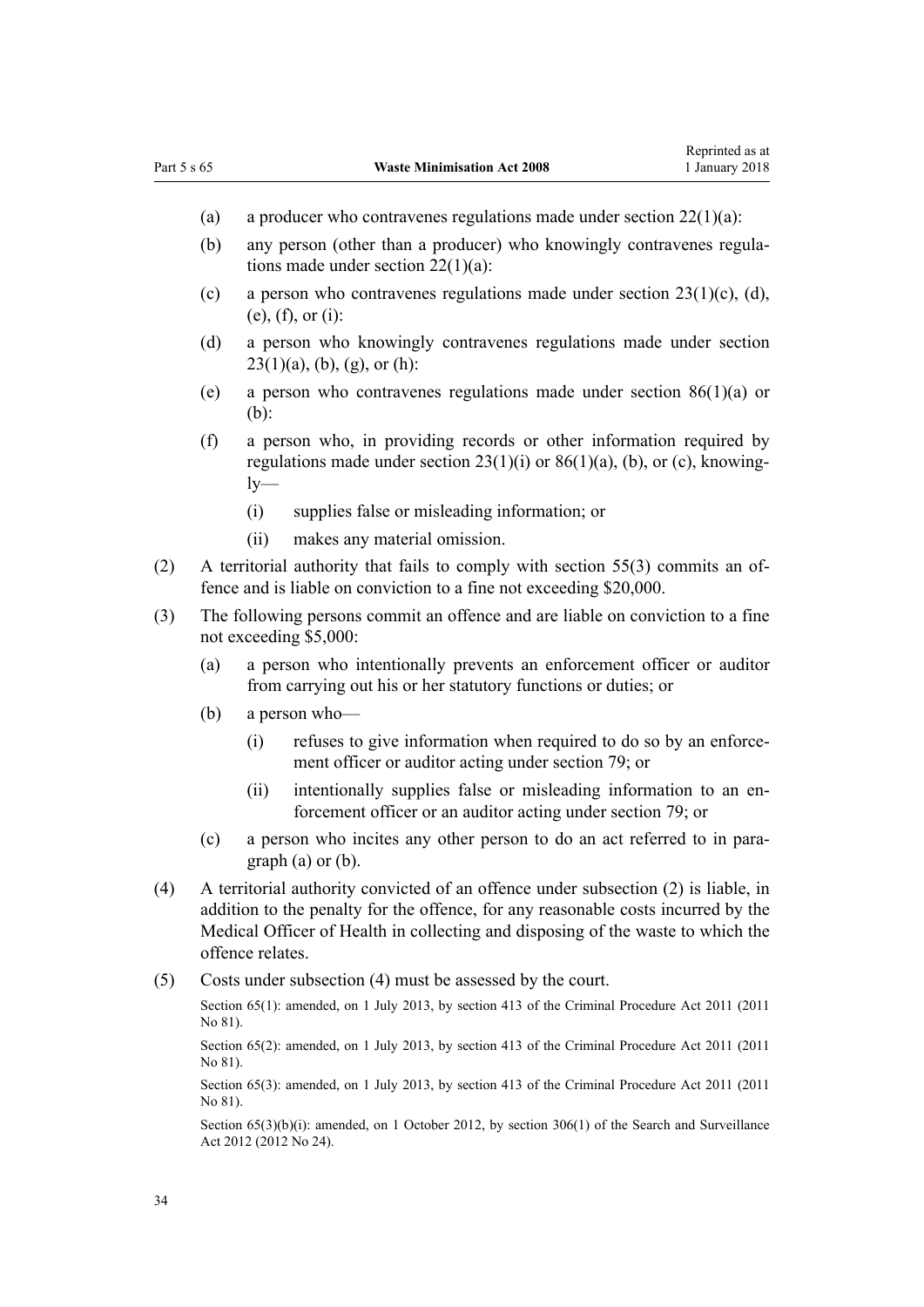- (a) a producer who contravenes regulations made under section  $22(1)(a)$ :
- (b) any person (other than a producer) who knowingly contravenes regulations made under section 22(1)(a):
- (c) a person who contravenes regulations made under section  $23(1)(c)$ , (d), (e), (f), or (i):
- (d) a person who knowingly contravenes regulations made under section  $23(1)(a)$ , (b), (g), or (h):
- (e) a person who contravenes regulations made under [section 86\(1\)\(a\)](#page-44-0) or (b):
- (f) a person who, in providing records or other information required by regulations made under section  $23(1)(i)$  or  $86(1)(a)$ , (b), or (c), knowing $lv-$ 
	- (i) supplies false or misleading information; or
	- (ii) makes any material omission.
- (2) A territorial authority that fails to comply with [section 55\(3\)](#page-28-0) commits an offence and is liable on conviction to a fine not exceeding \$20,000.
- (3) The following persons commit an offence and are liable on conviction to a fine not exceeding \$5,000:
	- (a) a person who intentionally prevents an enforcement officer or auditor from carrying out his or her statutory functions or duties; or
	- (b) a person who—
		- (i) refuses to give information when required to do so by an enforcement officer or auditor acting under [section 79](#page-39-0); or
		- (ii) intentionally supplies false or misleading information to an enforcement officer or an auditor acting under [section 79;](#page-39-0) or
	- (c) a person who incites any other person to do an act referred to in paragraph (a) or (b).
- (4) A territorial authority convicted of an offence under subsection (2) is liable, in addition to the penalty for the offence, for any reasonable costs incurred by the Medical Officer of Health in collecting and disposing of the waste to which the offence relates.
- (5) Costs under subsection (4) must be assessed by the court.

Section 65(1): amended, on 1 July 2013, by [section 413](http://prd-lgnz-nlb.prd.pco.net.nz/pdflink.aspx?id=DLM3360714) of the Criminal Procedure Act 2011 (2011) No 81).

Section 65(2): amended, on 1 July 2013, by [section 413](http://prd-lgnz-nlb.prd.pco.net.nz/pdflink.aspx?id=DLM3360714) of the Criminal Procedure Act 2011 (2011) No 81).

Section 65(3); amended, on 1 July 2013, by [section 413](http://prd-lgnz-nlb.prd.pco.net.nz/pdflink.aspx?id=DLM3360714) of the Criminal Procedure Act 2011 (2011) No 81).

Section  $65(3)(b)(i)$ : amended, on 1 October 2012, by section  $306(1)$  of the Search and Surveillance Act 2012 (2012 No 24).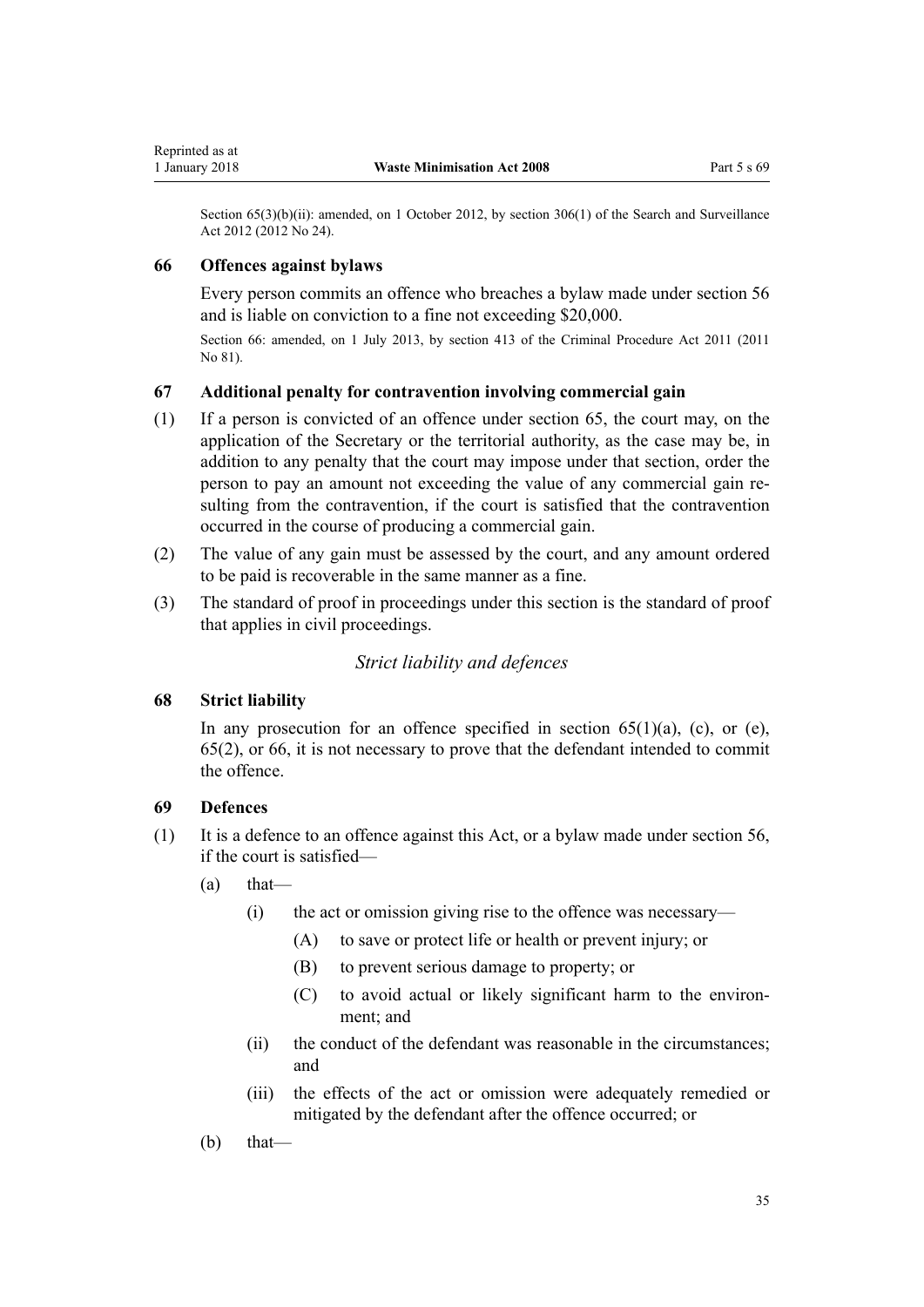<span id="page-34-0"></span>Section 65(3)(b)(ii): amended, on 1 October 2012, by [section 306\(1\)](http://prd-lgnz-nlb.prd.pco.net.nz/pdflink.aspx?id=DLM4356909) of the Search and Surveillance Act 2012 (2012 No 24).

#### **66 Offences against bylaws**

Every person commits an offence who breaches a bylaw made under [section 56](#page-29-0) and is liable on conviction to a fine not exceeding \$20,000.

Section 66: amended, on 1 July 2013, by [section 413](http://prd-lgnz-nlb.prd.pco.net.nz/pdflink.aspx?id=DLM3360714) of the Criminal Procedure Act 2011 (2011 No 81).

#### **67 Additional penalty for contravention involving commercial gain**

- (1) If a person is convicted of an offence under [section 65,](#page-32-0) the court may, on the application of the Secretary or the territorial authority, as the case may be, in addition to any penalty that the court may impose under that section, order the person to pay an amount not exceeding the value of any commercial gain resulting from the contravention, if the court is satisfied that the contravention occurred in the course of producing a commercial gain.
- (2) The value of any gain must be assessed by the court, and any amount ordered to be paid is recoverable in the same manner as a fine.
- (3) The standard of proof in proceedings under this section is the standard of proof that applies in civil proceedings.

# *Strict liability and defences*

#### **68 Strict liability**

In any prosecution for an offence specified in section  $65(1)(a)$ , (c), or (e), 65(2), or 66, it is not necessary to prove that the defendant intended to commit the offence.

#### **69 Defences**

- (1) It is a defence to an offence against this Act, or a bylaw made under [section 56](#page-29-0), if the court is satisfied—
	- (a) that—
		- (i) the act or omission giving rise to the offence was necessary—
			- (A) to save or protect life or health or prevent injury; or
			- (B) to prevent serious damage to property; or
			- (C) to avoid actual or likely significant harm to the environment; and
		- (ii) the conduct of the defendant was reasonable in the circumstances; and
		- (iii) the effects of the act or omission were adequately remedied or mitigated by the defendant after the offence occurred; or
	- $(b)$  that—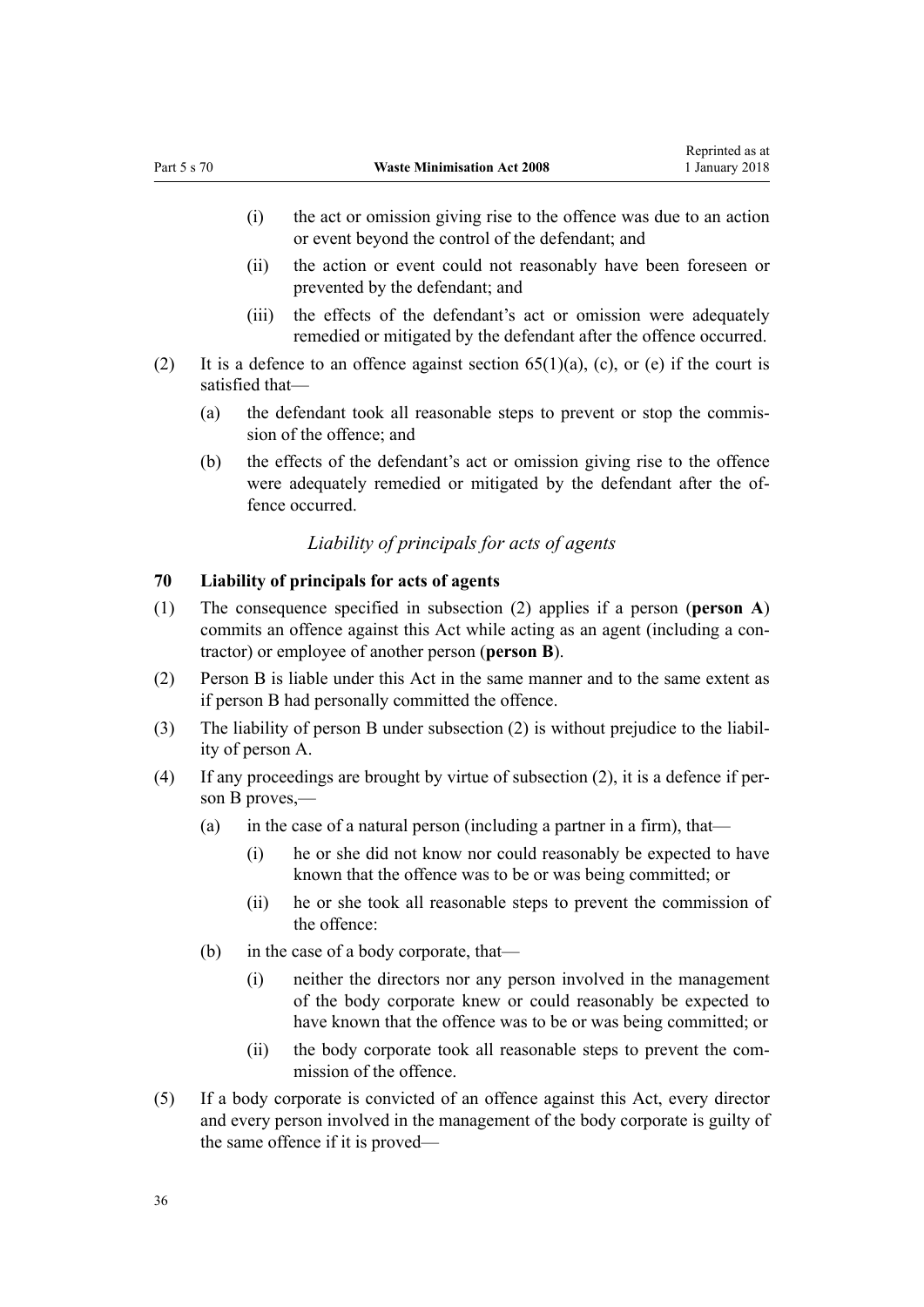- <span id="page-35-0"></span>(i) the act or omission giving rise to the offence was due to an action or event beyond the control of the defendant; and
- (ii) the action or event could not reasonably have been foreseen or prevented by the defendant; and
- (iii) the effects of the defendant's act or omission were adequately remedied or mitigated by the defendant after the offence occurred.
- (2) It is a defence to an offence against section  $65(1)(a)$ , (c), or (e) if the court is satisfied that—
	- (a) the defendant took all reasonable steps to prevent or stop the commission of the offence; and
	- (b) the effects of the defendant's act or omission giving rise to the offence were adequately remedied or mitigated by the defendant after the offence occurred.

# *Liability of principals for acts of agents*

# **70 Liability of principals for acts of agents**

- (1) The consequence specified in subsection (2) applies if a person (**person A**) commits an offence against this Act while acting as an agent (including a contractor) or employee of another person (**person B**).
- (2) Person B is liable under this Act in the same manner and to the same extent as if person B had personally committed the offence.
- (3) The liability of person B under subsection (2) is without prejudice to the liability of person A.
- (4) If any proceedings are brought by virtue of subsection (2), it is a defence if person B proves,—
	- (a) in the case of a natural person (including a partner in a firm), that—
		- (i) he or she did not know nor could reasonably be expected to have known that the offence was to be or was being committed; or
		- (ii) he or she took all reasonable steps to prevent the commission of the offence:
	- (b) in the case of a body corporate, that—
		- (i) neither the directors nor any person involved in the management of the body corporate knew or could reasonably be expected to have known that the offence was to be or was being committed; or
		- (ii) the body corporate took all reasonable steps to prevent the commission of the offence.
- (5) If a body corporate is convicted of an offence against this Act, every director and every person involved in the management of the body corporate is guilty of the same offence if it is proved—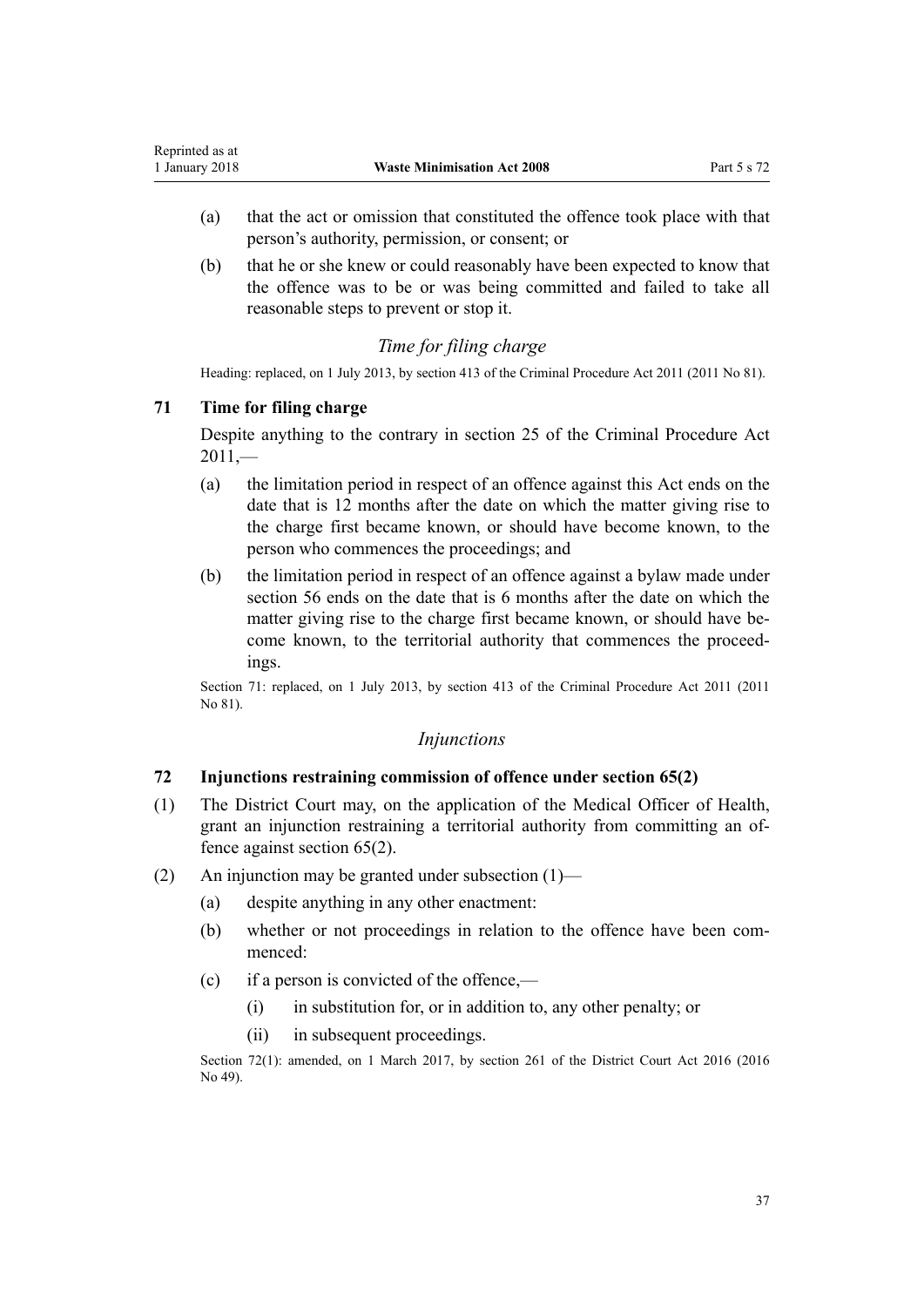- <span id="page-36-0"></span>(a) that the act or omission that constituted the offence took place with that person's authority, permission, or consent; or
- (b) that he or she knew or could reasonably have been expected to know that the offence was to be or was being committed and failed to take all reasonable steps to prevent or stop it.

# *Time for filing charge*

Heading: replaced, on 1 July 2013, by [section 413](http://prd-lgnz-nlb.prd.pco.net.nz/pdflink.aspx?id=DLM3360714) of the Criminal Procedure Act 2011 (2011 No 81).

# **71 Time for filing charge**

Despite anything to the contrary in [section 25](http://prd-lgnz-nlb.prd.pco.net.nz/pdflink.aspx?id=DLM3360067) of the Criminal Procedure Act  $2011$ , $-$ 

- (a) the limitation period in respect of an offence against this Act ends on the date that is 12 months after the date on which the matter giving rise to the charge first became known, or should have become known, to the person who commences the proceedings; and
- (b) the limitation period in respect of an offence against a bylaw made under [section 56](#page-29-0) ends on the date that is 6 months after the date on which the matter giving rise to the charge first became known, or should have become known, to the territorial authority that commences the proceedings.

Section 71: replaced, on 1 July 2013, by [section 413](http://prd-lgnz-nlb.prd.pco.net.nz/pdflink.aspx?id=DLM3360714) of the Criminal Procedure Act 2011 (2011 No 81).

# *Injunctions*

#### **72 Injunctions restraining commission of offence under section 65(2)**

- (1) The District Court may, on the application of the Medical Officer of Health, grant an injunction restraining a territorial authority from committing an offence against [section 65\(2\).](#page-32-0)
- (2) An injunction may be granted under subsection (1)—
	- (a) despite anything in any other enactment:
	- (b) whether or not proceedings in relation to the offence have been commenced:
	- (c) if a person is convicted of the offence,—
		- (i) in substitution for, or in addition to, any other penalty; or
		- (ii) in subsequent proceedings.

Section 72(1): amended, on 1 March 2017, by [section 261](http://prd-lgnz-nlb.prd.pco.net.nz/pdflink.aspx?id=DLM6942680) of the District Court Act 2016 (2016) No 49).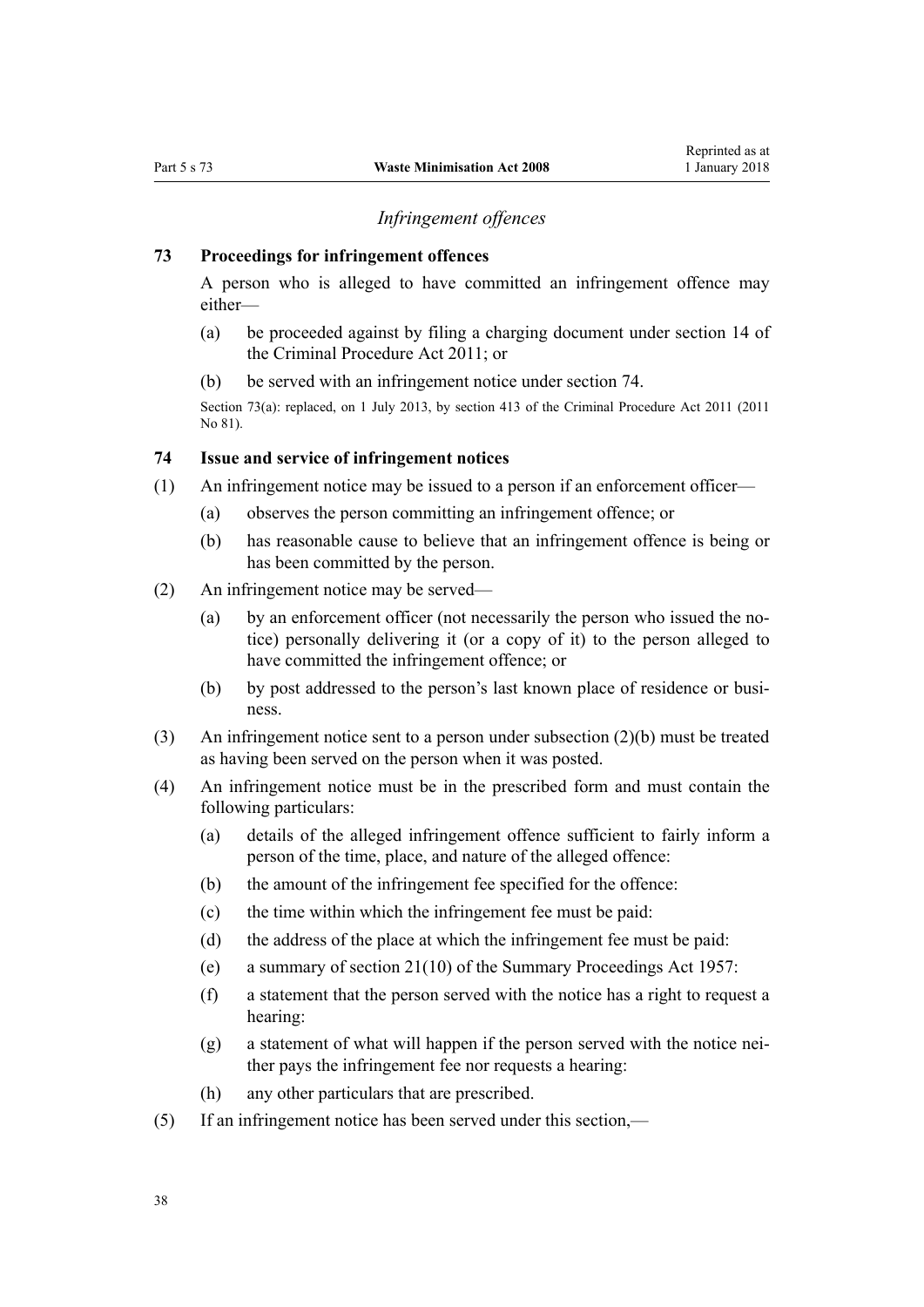# *Infringement offences*

### <span id="page-37-0"></span>**73 Proceedings for infringement offences**

A person who is alleged to have committed an infringement offence may either—

- (a) be proceeded against by filing a charging document under [section 14](http://prd-lgnz-nlb.prd.pco.net.nz/pdflink.aspx?id=DLM3360057) of the Criminal Procedure Act 2011; or
- (b) be served with an infringement notice under section 74.

Section 73(a): replaced, on 1 July 2013, by [section 413](http://prd-lgnz-nlb.prd.pco.net.nz/pdflink.aspx?id=DLM3360714) of the Criminal Procedure Act 2011 (2011) No 81).

# **74 Issue and service of infringement notices**

- (1) An infringement notice may be issued to a person if an enforcement officer—
	- (a) observes the person committing an infringement offence; or
	- (b) has reasonable cause to believe that an infringement offence is being or has been committed by the person.
- (2) An infringement notice may be served—
	- (a) by an enforcement officer (not necessarily the person who issued the notice) personally delivering it (or a copy of it) to the person alleged to have committed the infringement offence; or
	- (b) by post addressed to the person's last known place of residence or business.
- (3) An infringement notice sent to a person under subsection (2)(b) must be treated as having been served on the person when it was posted.
- (4) An infringement notice must be in the prescribed form and must contain the following particulars:
	- (a) details of the alleged infringement offence sufficient to fairly inform a person of the time, place, and nature of the alleged offence:
	- (b) the amount of the infringement fee specified for the offence:
	- (c) the time within which the infringement fee must be paid:
	- (d) the address of the place at which the infringement fee must be paid:
	- (e) a summary of [section 21\(10\)](http://prd-lgnz-nlb.prd.pco.net.nz/pdflink.aspx?id=DLM311346) of the Summary Proceedings Act 1957:
	- (f) a statement that the person served with the notice has a right to request a hearing:
	- (g) a statement of what will happen if the person served with the notice neither pays the infringement fee nor requests a hearing:
	- (h) any other particulars that are prescribed.
- (5) If an infringement notice has been served under this section,—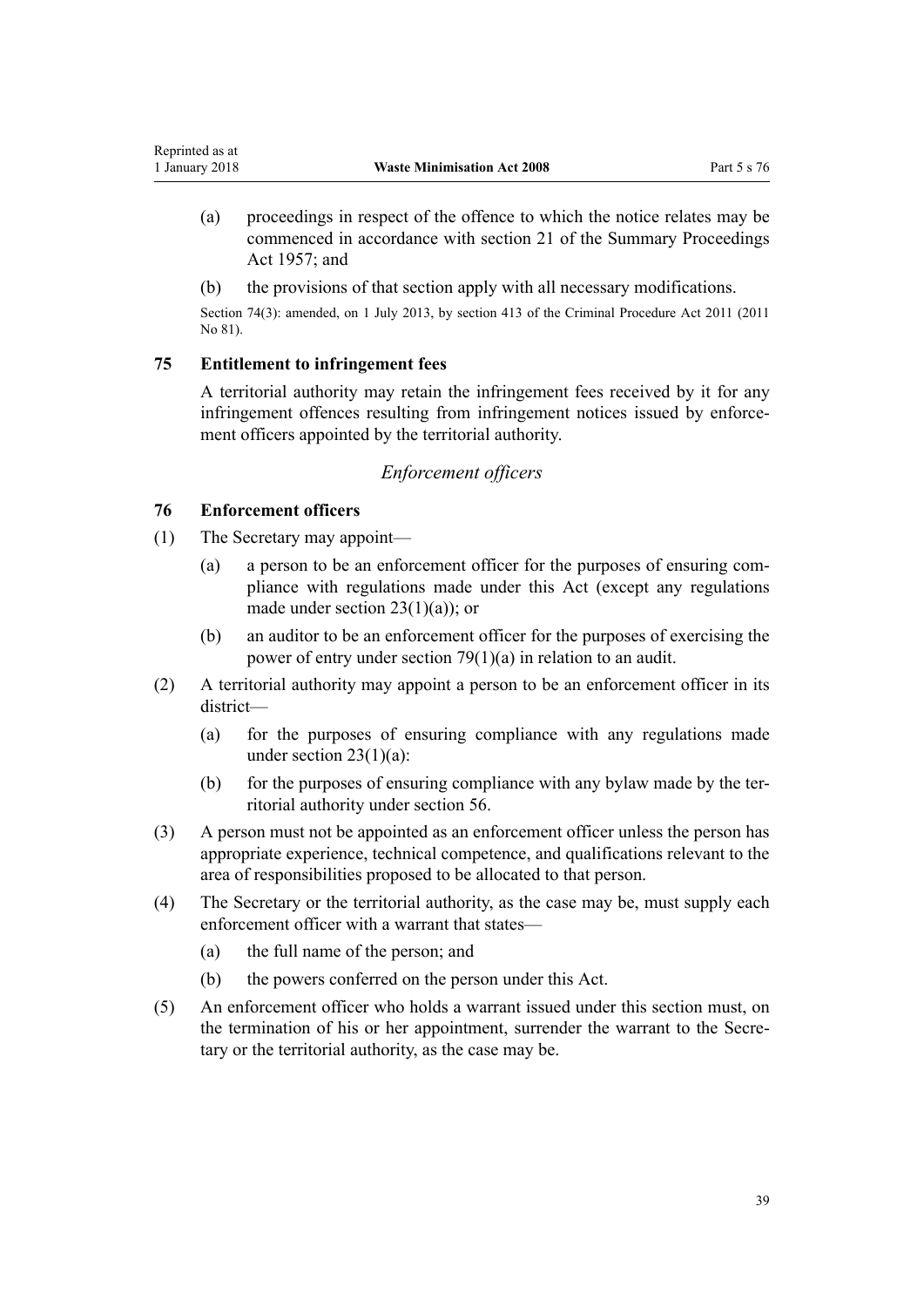- (a) proceedings in respect of the offence to which the notice relates may be commenced in accordance with [section 21](http://prd-lgnz-nlb.prd.pco.net.nz/pdflink.aspx?id=DLM311346) of the Summary Proceedings Act 1957; and
- (b) the provisions of that section apply with all necessary modifications.

Section 74(3): amended, on 1 July 2013, by [section 413](http://prd-lgnz-nlb.prd.pco.net.nz/pdflink.aspx?id=DLM3360714) of the Criminal Procedure Act 2011 (2011 No 81).

#### **75 Entitlement to infringement fees**

A territorial authority may retain the infringement fees received by it for any infringement offences resulting from infringement notices issued by enforcement officers appointed by the territorial authority.

# *Enforcement officers*

# **76 Enforcement officers**

<span id="page-38-0"></span>Reprinted as at

- (1) The Secretary may appoint—
	- (a) a person to be an enforcement officer for the purposes of ensuring compliance with regulations made under this Act (except any regulations made under section  $23(1)(a)$ ; or
	- (b) an auditor to be an enforcement officer for the purposes of exercising the power of entry under [section 79\(1\)\(a\)](#page-39-0) in relation to an audit.
- (2) A territorial authority may appoint a person to be an enforcement officer in its district—
	- (a) for the purposes of ensuring compliance with any regulations made under section  $23(1)(a)$ :
	- (b) for the purposes of ensuring compliance with any bylaw made by the territorial authority under [section 56.](#page-29-0)
- (3) A person must not be appointed as an enforcement officer unless the person has appropriate experience, technical competence, and qualifications relevant to the area of responsibilities proposed to be allocated to that person.
- (4) The Secretary or the territorial authority, as the case may be, must supply each enforcement officer with a warrant that states—
	- (a) the full name of the person; and
	- (b) the powers conferred on the person under this Act.
- (5) An enforcement officer who holds a warrant issued under this section must, on the termination of his or her appointment, surrender the warrant to the Secretary or the territorial authority, as the case may be.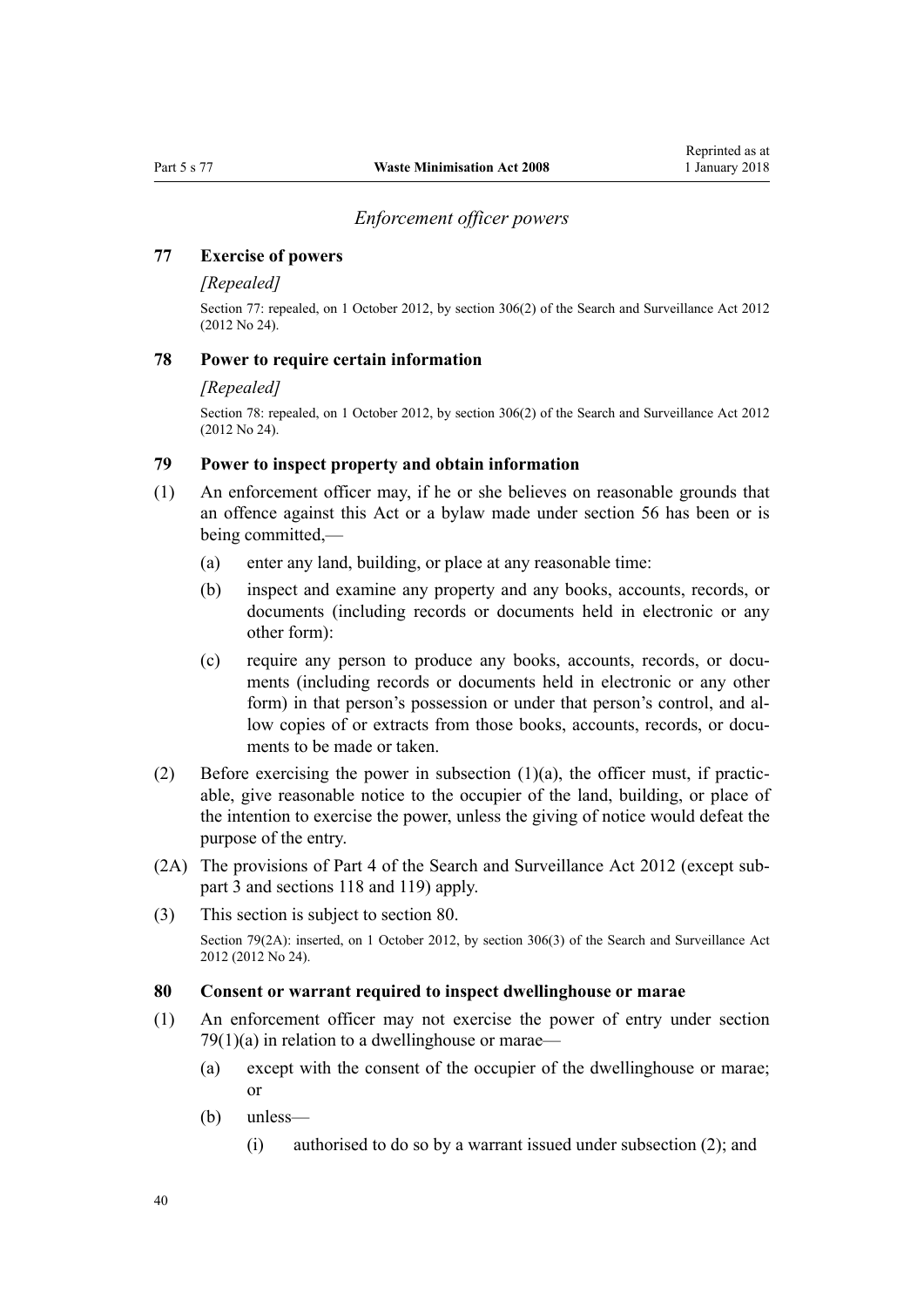#### *Enforcement officer powers*

## <span id="page-39-0"></span>**77 Exercise of powers**

#### *[Repealed]*

Section 77: repealed, on 1 October 2012, by [section 306\(2\)](http://prd-lgnz-nlb.prd.pco.net.nz/pdflink.aspx?id=DLM4356909) of the Search and Surveillance Act 2012 (2012 No 24).

#### **78 Power to require certain information**

#### *[Repealed]*

Section 78: repealed, on 1 October 2012, by [section 306\(2\)](http://prd-lgnz-nlb.prd.pco.net.nz/pdflink.aspx?id=DLM4356909) of the Search and Surveillance Act 2012 (2012 No 24).

#### **79 Power to inspect property and obtain information**

- (1) An enforcement officer may, if he or she believes on reasonable grounds that an offence against this Act or a bylaw made under [section 56](#page-29-0) has been or is being committed,—
	- (a) enter any land, building, or place at any reasonable time:
	- (b) inspect and examine any property and any books, accounts, records, or documents (including records or documents held in electronic or any other form):
	- (c) require any person to produce any books, accounts, records, or documents (including records or documents held in electronic or any other form) in that person's possession or under that person's control, and allow copies of or extracts from those books, accounts, records, or documents to be made or taken.
- (2) Before exercising the power in subsection  $(1)(a)$ , the officer must, if practicable, give reasonable notice to the occupier of the land, building, or place of the intention to exercise the power, unless the giving of notice would defeat the purpose of the entry.
- (2A) The provisions of [Part 4](http://prd-lgnz-nlb.prd.pco.net.nz/pdflink.aspx?id=DLM2136770) of the Search and Surveillance Act 2012 (except [sub](http://prd-lgnz-nlb.prd.pco.net.nz/pdflink.aspx?id=DLM2136781)[part 3](http://prd-lgnz-nlb.prd.pco.net.nz/pdflink.aspx?id=DLM2136781) and [sections 118](http://prd-lgnz-nlb.prd.pco.net.nz/pdflink.aspx?id=DLM2136813) and [119\)](http://prd-lgnz-nlb.prd.pco.net.nz/pdflink.aspx?id=DLM2136815) apply.
- (3) This section is subject to section 80.

Section 79(2A): inserted, on 1 October 2012, by [section 306\(3\)](http://prd-lgnz-nlb.prd.pco.net.nz/pdflink.aspx?id=DLM4356909) of the Search and Surveillance Act 2012 (2012 No 24).

#### **80 Consent or warrant required to inspect dwellinghouse or marae**

- (1) An enforcement officer may not exercise the power of entry under section  $79(1)(a)$  in relation to a dwellinghouse or marae-
	- (a) except with the consent of the occupier of the dwellinghouse or marae; or
	- (b) unless—
		- (i) authorised to do so by a warrant issued under subsection (2); and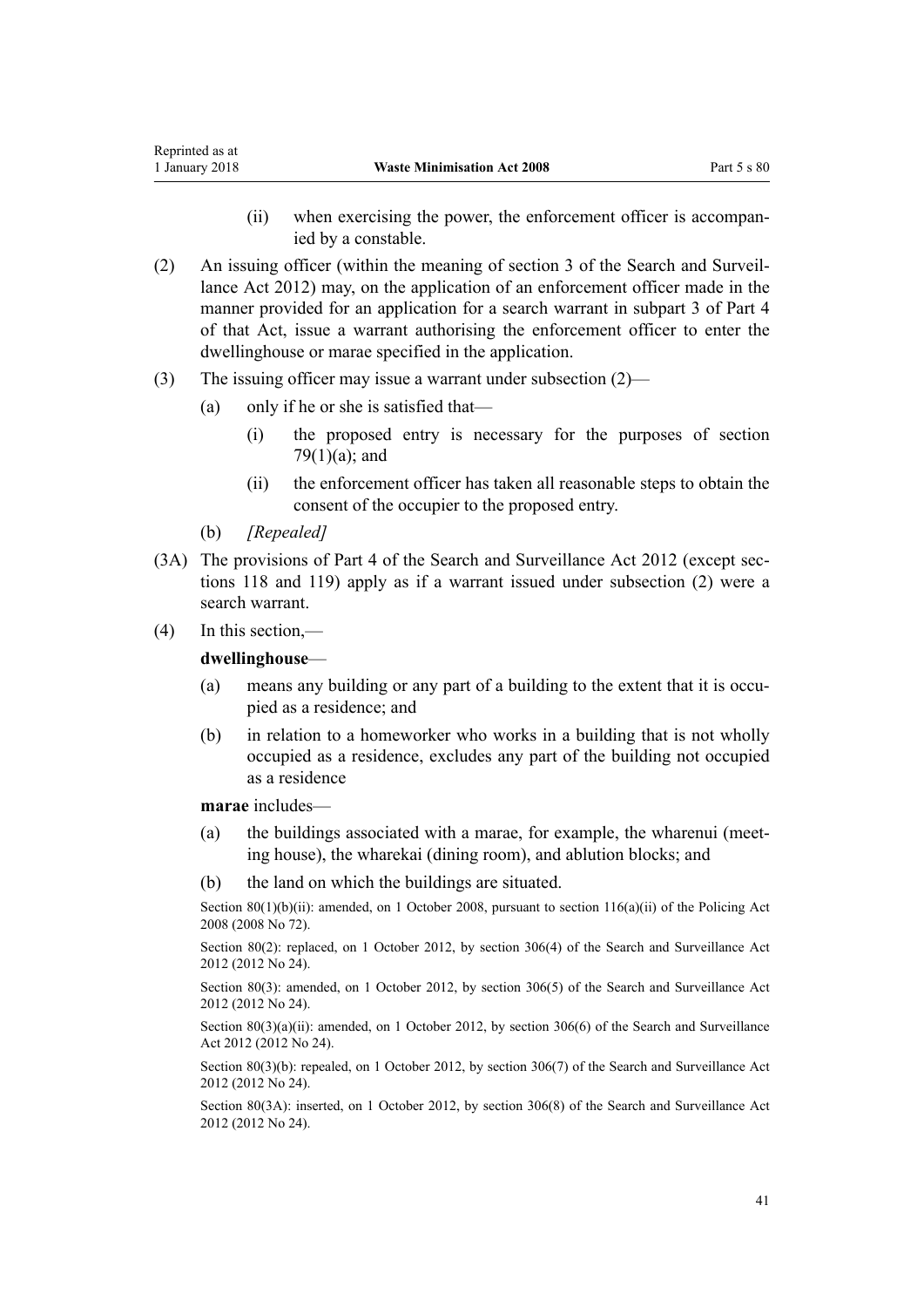- (ii) when exercising the power, the enforcement officer is accompanied by a constable.
- (2) An issuing officer (within the meaning of [section 3](http://prd-lgnz-nlb.prd.pco.net.nz/pdflink.aspx?id=DLM2136542) of the Search and Surveillance Act 2012) may, on the application of an enforcement officer made in the manner provided for an application for a search warrant in [subpart 3](http://prd-lgnz-nlb.prd.pco.net.nz/pdflink.aspx?id=DLM2136781) of Part 4 of that Act, issue a warrant authorising the enforcement officer to enter the dwellinghouse or marae specified in the application.
- (3) The issuing officer may issue a warrant under subsection (2)—
	- (a) only if he or she is satisfied that—
		- (i) the proposed entry is necessary for the purposes of [section](#page-39-0)  $79(1)(a)$ ; and
		- (ii) the enforcement officer has taken all reasonable steps to obtain the consent of the occupier to the proposed entry.
	- (b) *[Repealed]*
- (3A) The provisions of [Part 4](http://prd-lgnz-nlb.prd.pco.net.nz/pdflink.aspx?id=DLM2136770) of the Search and Surveillance Act 2012 (except [sec](http://prd-lgnz-nlb.prd.pco.net.nz/pdflink.aspx?id=DLM2136813)[tions 118](http://prd-lgnz-nlb.prd.pco.net.nz/pdflink.aspx?id=DLM2136813) and [119](http://prd-lgnz-nlb.prd.pco.net.nz/pdflink.aspx?id=DLM2136815)) apply as if a warrant issued under subsection (2) were a search warrant.
- (4) In this section,—

#### **dwellinghouse**—

- (a) means any building or any part of a building to the extent that it is occupied as a residence; and
- (b) in relation to a homeworker who works in a building that is not wholly occupied as a residence, excludes any part of the building not occupied as a residence

**marae** includes—

- (a) the buildings associated with a marae, for example, the wharenui (meeting house), the wharekai (dining room), and ablution blocks; and
- (b) the land on which the buildings are situated.

Section 80(1)(b)(ii): amended, on 1 October 2008, pursuant to [section 116\(a\)\(ii\)](http://prd-lgnz-nlb.prd.pco.net.nz/pdflink.aspx?id=DLM1102349) of the Policing Act 2008 (2008 No 72).

Section 80(2): replaced, on 1 October 2012, by [section 306\(4\)](http://prd-lgnz-nlb.prd.pco.net.nz/pdflink.aspx?id=DLM4356909) of the Search and Surveillance Act 2012 (2012 No 24).

Section 80(3): amended, on 1 October 2012, by [section 306\(5\)](http://prd-lgnz-nlb.prd.pco.net.nz/pdflink.aspx?id=DLM4356909) of the Search and Surveillance Act 2012 (2012 No 24).

Section 80(3)(a)(ii): amended, on 1 October 2012, by [section 306\(6\)](http://prd-lgnz-nlb.prd.pco.net.nz/pdflink.aspx?id=DLM4356909) of the Search and Surveillance Act 2012 (2012 No 24).

Section 80(3)(b): repealed, on 1 October 2012, by [section 306\(7\)](http://prd-lgnz-nlb.prd.pco.net.nz/pdflink.aspx?id=DLM4356909) of the Search and Surveillance Act 2012 (2012 No 24).

Section 80(3A): inserted, on 1 October 2012, by [section 306\(8\)](http://prd-lgnz-nlb.prd.pco.net.nz/pdflink.aspx?id=DLM4356909) of the Search and Surveillance Act 2012 (2012 No 24).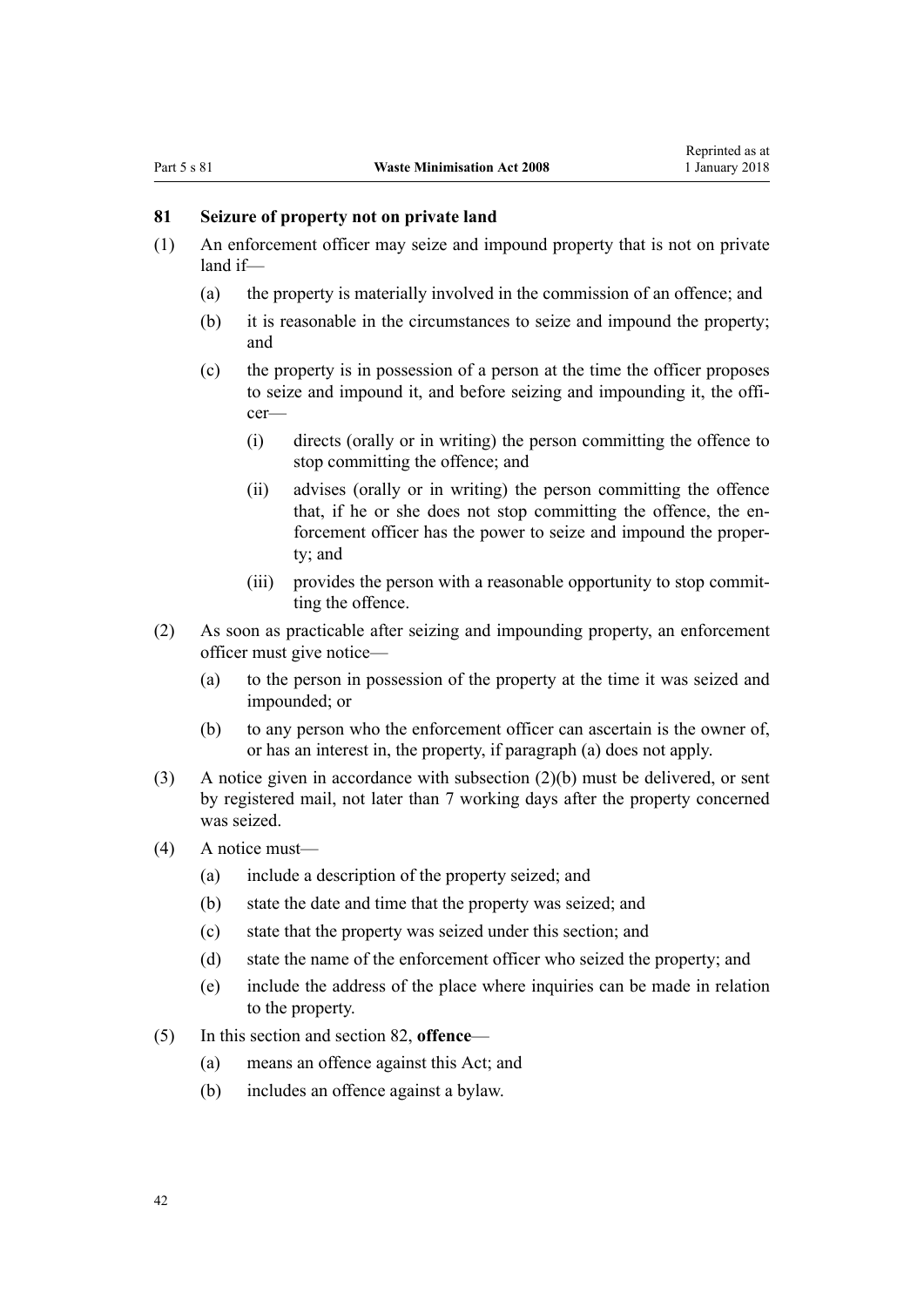# <span id="page-41-0"></span>**81 Seizure of property not on private land**

- (1) An enforcement officer may seize and impound property that is not on private land if—
	- (a) the property is materially involved in the commission of an offence; and
	- (b) it is reasonable in the circumstances to seize and impound the property; and
	- (c) the property is in possession of a person at the time the officer proposes to seize and impound it, and before seizing and impounding it, the officer—
		- (i) directs (orally or in writing) the person committing the offence to stop committing the offence; and
		- (ii) advises (orally or in writing) the person committing the offence that, if he or she does not stop committing the offence, the enforcement officer has the power to seize and impound the property; and
		- (iii) provides the person with a reasonable opportunity to stop committing the offence.
- (2) As soon as practicable after seizing and impounding property, an enforcement officer must give notice—
	- (a) to the person in possession of the property at the time it was seized and impounded; or
	- (b) to any person who the enforcement officer can ascertain is the owner of, or has an interest in, the property, if paragraph (a) does not apply.
- (3) A notice given in accordance with subsection (2)(b) must be delivered, or sent by registered mail, not later than 7 working days after the property concerned was seized.
- (4) A notice must—
	- (a) include a description of the property seized; and
	- (b) state the date and time that the property was seized; and
	- (c) state that the property was seized under this section; and
	- (d) state the name of the enforcement officer who seized the property; and
	- (e) include the address of the place where inquiries can be made in relation to the property.
- (5) In this section and [section 82](#page-42-0), **offence**
	- (a) means an offence against this Act; and
	- (b) includes an offence against a bylaw.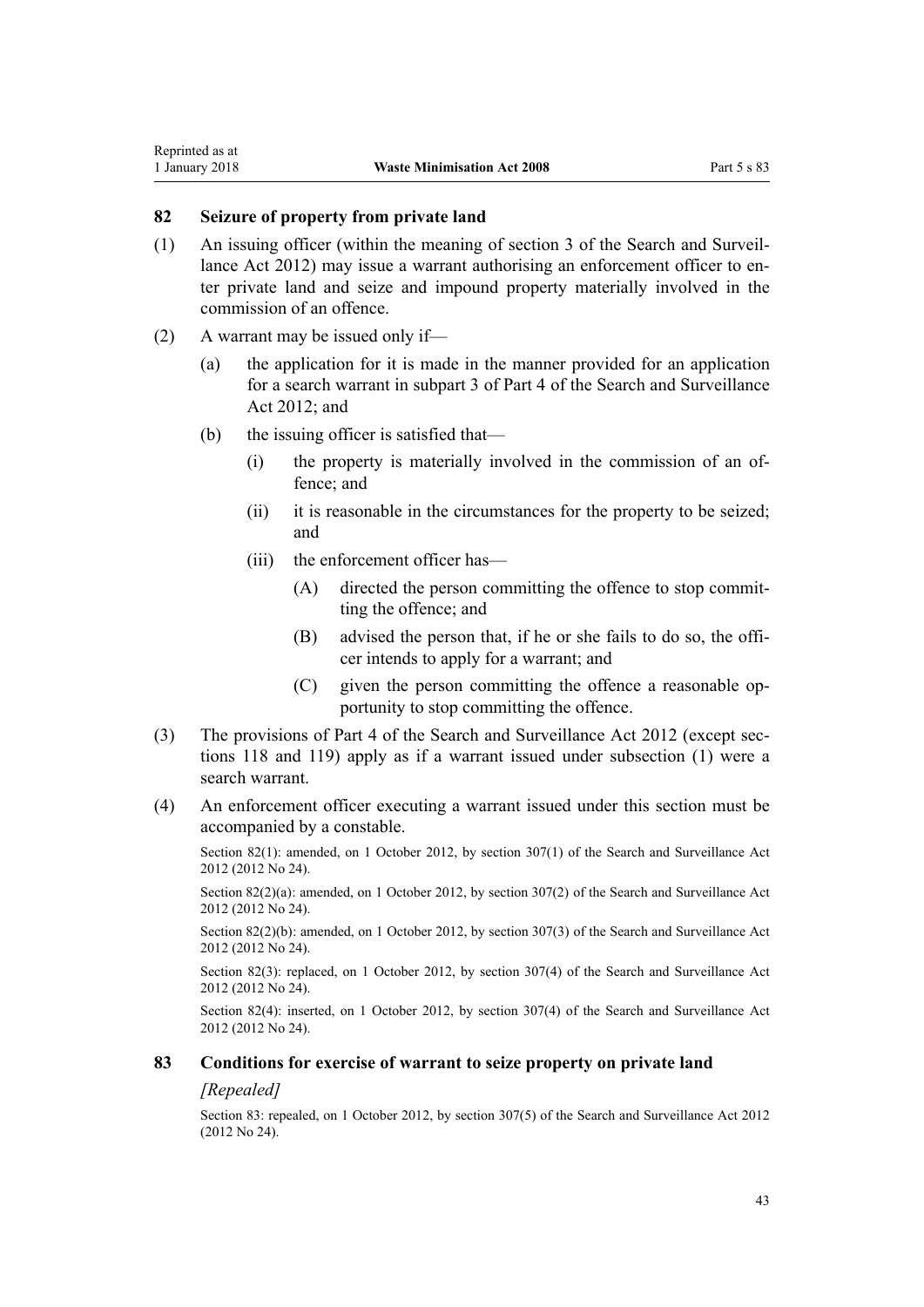<span id="page-42-0"></span>Reprinted as at

- (1) An issuing officer (within the meaning of [section 3](http://prd-lgnz-nlb.prd.pco.net.nz/pdflink.aspx?id=DLM2136542) of the Search and Surveillance Act 2012) may issue a warrant authorising an enforcement officer to enter private land and seize and impound property materially involved in the commission of an offence.
- (2) A warrant may be issued only if—
	- (a) the application for it is made in the manner provided for an application for a search warrant in [subpart 3](http://prd-lgnz-nlb.prd.pco.net.nz/pdflink.aspx?id=DLM2136781) of Part 4 of the Search and Surveillance Act 2012; and
	- (b) the issuing officer is satisfied that—
		- (i) the property is materially involved in the commission of an offence; and
		- (ii) it is reasonable in the circumstances for the property to be seized; and
		- (iii) the enforcement officer has—
			- (A) directed the person committing the offence to stop committing the offence; and
			- (B) advised the person that, if he or she fails to do so, the officer intends to apply for a warrant; and
			- (C) given the person committing the offence a reasonable opportunity to stop committing the offence.
- (3) The provisions of [Part 4](http://prd-lgnz-nlb.prd.pco.net.nz/pdflink.aspx?id=DLM2136770) of the Search and Surveillance Act 2012 (except [sec](http://prd-lgnz-nlb.prd.pco.net.nz/pdflink.aspx?id=DLM2136813)[tions 118](http://prd-lgnz-nlb.prd.pco.net.nz/pdflink.aspx?id=DLM2136813) and [119](http://prd-lgnz-nlb.prd.pco.net.nz/pdflink.aspx?id=DLM2136815)) apply as if a warrant issued under subsection (1) were a search warrant.
- (4) An enforcement officer executing a warrant issued under this section must be accompanied by a constable.

Section 82(1): amended, on 1 October 2012, by [section 307\(1\)](http://prd-lgnz-nlb.prd.pco.net.nz/pdflink.aspx?id=DLM4356910) of the Search and Surveillance Act 2012 (2012 No 24).

Section 82(2)(a): amended, on 1 October 2012, by [section 307\(2\)](http://prd-lgnz-nlb.prd.pco.net.nz/pdflink.aspx?id=DLM4356910) of the Search and Surveillance Act 2012 (2012 No 24).

Section 82(2)(b): amended, on 1 October 2012, by [section 307\(3\)](http://prd-lgnz-nlb.prd.pco.net.nz/pdflink.aspx?id=DLM4356910) of the Search and Surveillance Act 2012 (2012 No 24).

Section 82(3): replaced, on 1 October 2012, by [section 307\(4\)](http://prd-lgnz-nlb.prd.pco.net.nz/pdflink.aspx?id=DLM4356910) of the Search and Surveillance Act 2012 (2012 No 24).

Section 82(4): inserted, on 1 October 2012, by [section 307\(4\)](http://prd-lgnz-nlb.prd.pco.net.nz/pdflink.aspx?id=DLM4356910) of the Search and Surveillance Act 2012 (2012 No 24).

#### **83 Conditions for exercise of warrant to seize property on private land**

#### *[Repealed]*

Section 83: repealed, on 1 October 2012, by [section 307\(5\)](http://prd-lgnz-nlb.prd.pco.net.nz/pdflink.aspx?id=DLM4356910) of the Search and Surveillance Act 2012 (2012 No 24).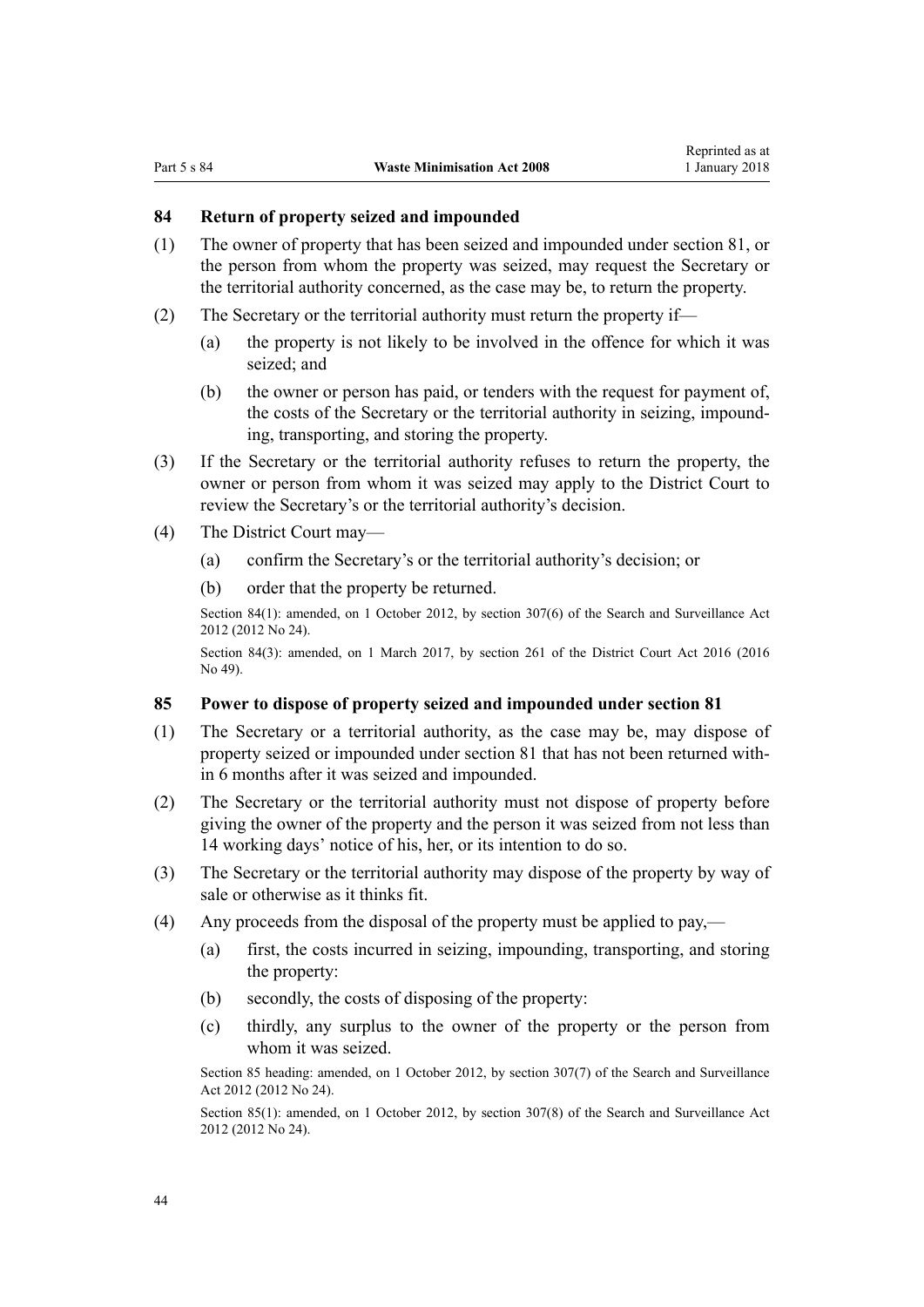# <span id="page-43-0"></span>**84 Return of property seized and impounded**

- (1) The owner of property that has been seized and impounded under [section 81,](#page-41-0) or the person from whom the property was seized, may request the Secretary or the territorial authority concerned, as the case may be, to return the property.
- (2) The Secretary or the territorial authority must return the property if—
	- (a) the property is not likely to be involved in the offence for which it was seized; and
	- (b) the owner or person has paid, or tenders with the request for payment of, the costs of the Secretary or the territorial authority in seizing, impounding, transporting, and storing the property.
- (3) If the Secretary or the territorial authority refuses to return the property, the owner or person from whom it was seized may apply to the District Court to review the Secretary's or the territorial authority's decision.
- (4) The District Court may—
	- (a) confirm the Secretary's or the territorial authority's decision; or
	- (b) order that the property be returned.

Section 84(1): amended, on 1 October 2012, by [section 307\(6\)](http://prd-lgnz-nlb.prd.pco.net.nz/pdflink.aspx?id=DLM4356910) of the Search and Surveillance Act 2012 (2012 No 24).

Section 84(3): amended, on 1 March 2017, by [section 261](http://prd-lgnz-nlb.prd.pco.net.nz/pdflink.aspx?id=DLM6942680) of the District Court Act 2016 (2016 No 49).

#### **85 Power to dispose of property seized and impounded under section 81**

- (1) The Secretary or a territorial authority, as the case may be, may dispose of property seized or impounded under [section 81](#page-41-0) that has not been returned within 6 months after it was seized and impounded.
- (2) The Secretary or the territorial authority must not dispose of property before giving the owner of the property and the person it was seized from not less than 14 working days' notice of his, her, or its intention to do so.
- (3) The Secretary or the territorial authority may dispose of the property by way of sale or otherwise as it thinks fit.
- (4) Any proceeds from the disposal of the property must be applied to pay,—
	- (a) first, the costs incurred in seizing, impounding, transporting, and storing the property:
	- (b) secondly, the costs of disposing of the property:
	- (c) thirdly, any surplus to the owner of the property or the person from whom it was seized.

Section 85 heading: amended, on 1 October 2012, by [section 307\(7\)](http://prd-lgnz-nlb.prd.pco.net.nz/pdflink.aspx?id=DLM4356910) of the Search and Surveillance Act 2012 (2012 No 24).

Section 85(1): amended, on 1 October 2012, by [section 307\(8\)](http://prd-lgnz-nlb.prd.pco.net.nz/pdflink.aspx?id=DLM4356910) of the Search and Surveillance Act 2012 (2012 No 24).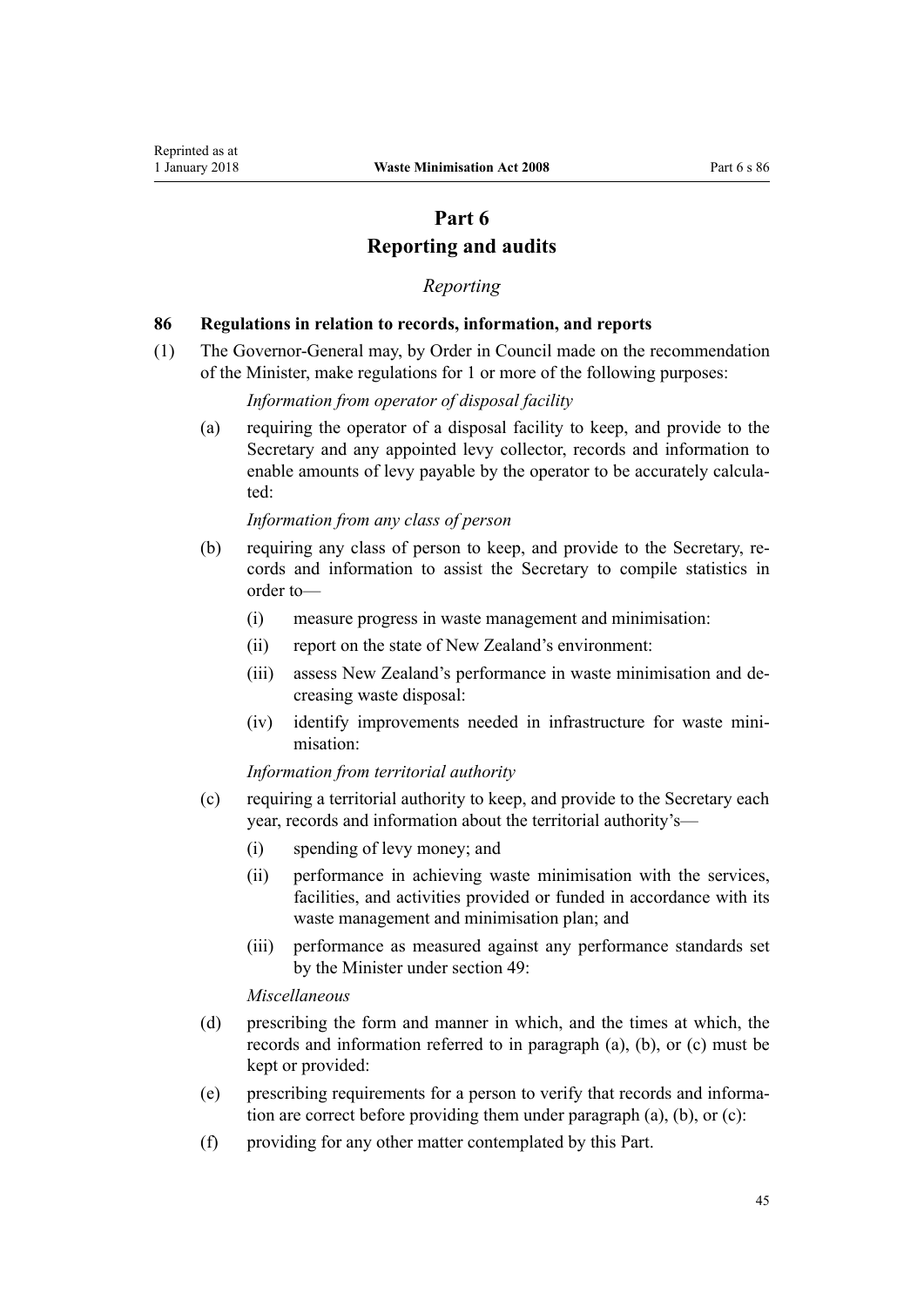# **Part 6 Reporting and audits**

## *Reporting*

#### <span id="page-44-0"></span>**86 Regulations in relation to records, information, and reports**

(1) The Governor-General may, by Order in Council made on the recommendation of the Minister, make regulations for 1 or more of the following purposes:

# *Information from operator of disposal facility*

(a) requiring the operator of a disposal facility to keep, and provide to the Secretary and any appointed levy collector, records and information to enable amounts of levy payable by the operator to be accurately calculated:

#### *Information from any class of person*

- (b) requiring any class of person to keep, and provide to the Secretary, records and information to assist the Secretary to compile statistics in order to—
	- (i) measure progress in waste management and minimisation:
	- (ii) report on the state of New Zealand's environment:
	- (iii) assess New Zealand's performance in waste minimisation and decreasing waste disposal:
	- (iv) identify improvements needed in infrastructure for waste minimisation:

*Information from territorial authority*

- (c) requiring a territorial authority to keep, and provide to the Secretary each year, records and information about the territorial authority's—
	- (i) spending of levy money; and
	- (ii) performance in achieving waste minimisation with the services, facilities, and activities provided or funded in accordance with its waste management and minimisation plan; and
	- (iii) performance as measured against any performance standards set by the Minister under [section 49](#page-26-0):

*Miscellaneous*

- (d) prescribing the form and manner in which, and the times at which, the records and information referred to in paragraph (a), (b), or (c) must be kept or provided:
- (e) prescribing requirements for a person to verify that records and information are correct before providing them under paragraph (a), (b), or (c):
- (f) providing for any other matter contemplated by this Part.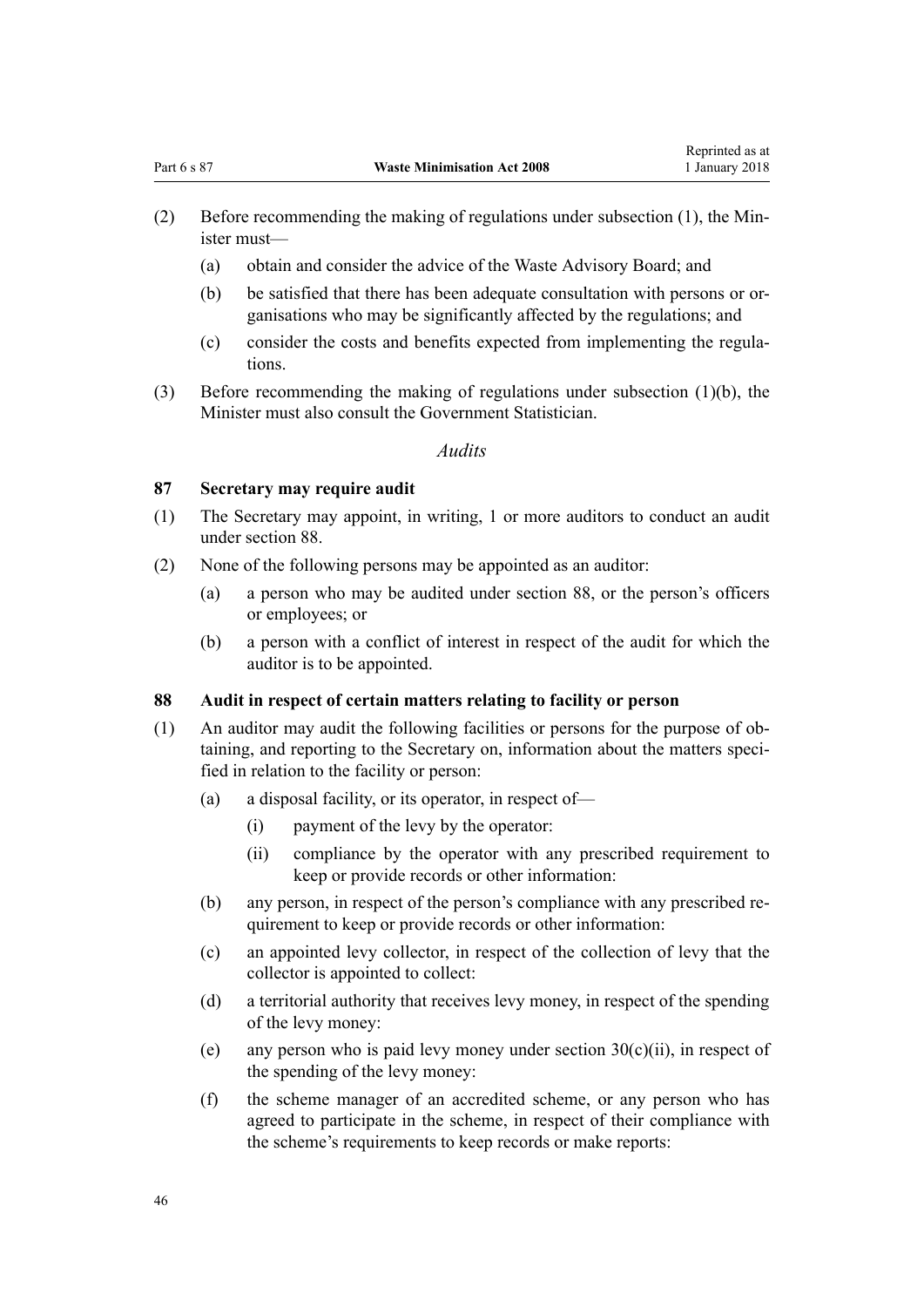- <span id="page-45-0"></span>(2) Before recommending the making of regulations under subsection (1), the Minister must—
	- (a) obtain and consider the advice of the Waste Advisory Board; and
	- (b) be satisfied that there has been adequate consultation with persons or organisations who may be significantly affected by the regulations; and
	- (c) consider the costs and benefits expected from implementing the regulations.
- (3) Before recommending the making of regulations under subsection (1)(b), the Minister must also consult the Government Statistician.

# *Audits*

## **87 Secretary may require audit**

- (1) The Secretary may appoint, in writing, 1 or more auditors to conduct an audit under section 88.
- (2) None of the following persons may be appointed as an auditor:
	- (a) a person who may be audited under section 88, or the person's officers or employees; or
	- (b) a person with a conflict of interest in respect of the audit for which the auditor is to be appointed.

#### **88 Audit in respect of certain matters relating to facility or person**

- (1) An auditor may audit the following facilities or persons for the purpose of obtaining, and reporting to the Secretary on, information about the matters specified in relation to the facility or person:
	- (a) a disposal facility, or its operator, in respect of—
		- (i) payment of the levy by the operator:
		- (ii) compliance by the operator with any prescribed requirement to keep or provide records or other information:
	- (b) any person, in respect of the person's compliance with any prescribed requirement to keep or provide records or other information:
	- (c) an appointed levy collector, in respect of the collection of levy that the collector is appointed to collect:
	- (d) a territorial authority that receives levy money, in respect of the spending of the levy money:
	- (e) any person who is paid levy money under section  $30(c)(ii)$ , in respect of the spending of the levy money:
	- (f) the scheme manager of an accredited scheme, or any person who has agreed to participate in the scheme, in respect of their compliance with the scheme's requirements to keep records or make reports: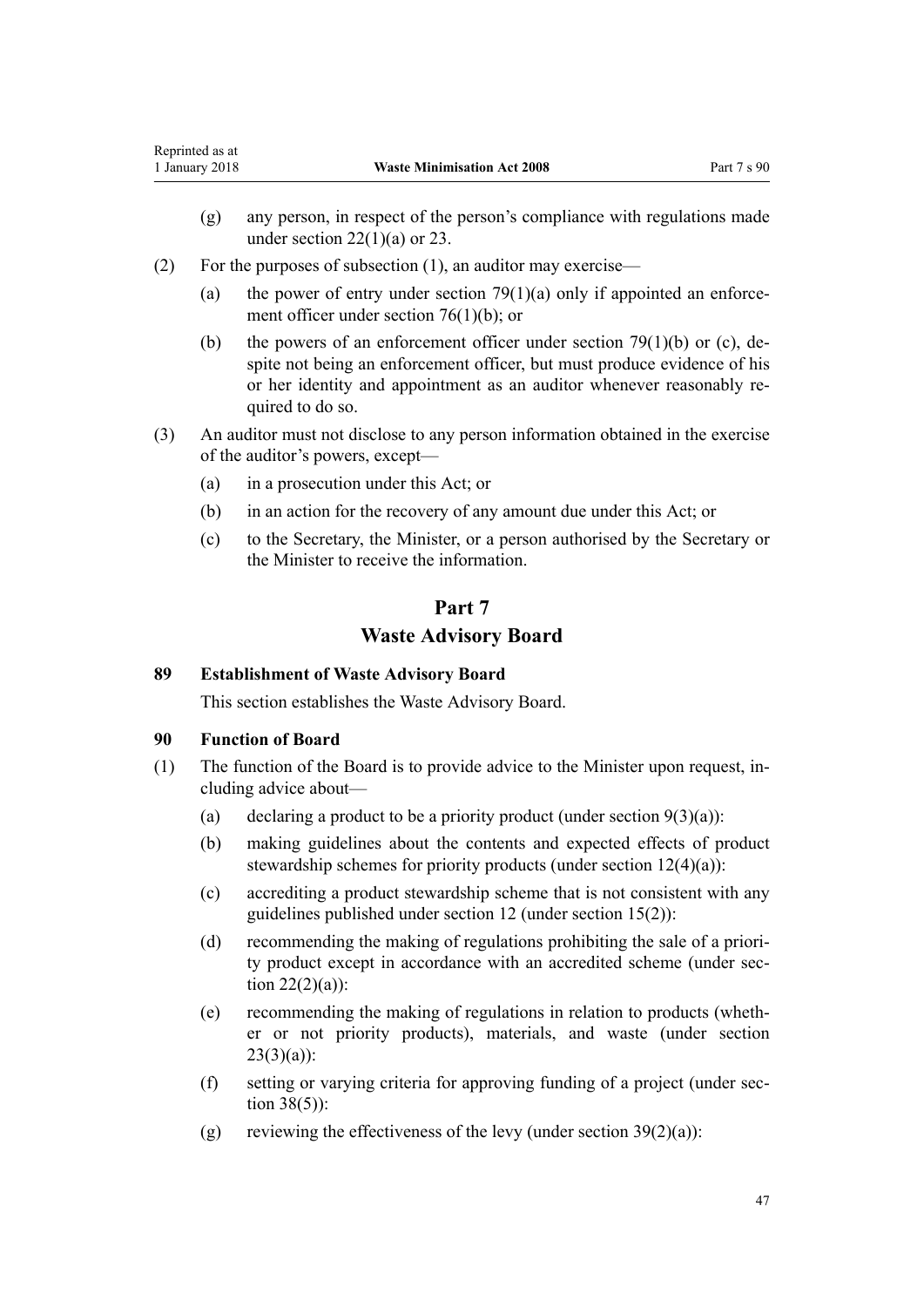- <span id="page-46-0"></span>(g) any person, in respect of the person's compliance with regulations made under section  $22(1)(a)$  or [23](#page-15-0).
- (2) For the purposes of subsection (1), an auditor may exercise—
	- (a) the power of entry under section  $79(1)(a)$  only if appointed an enforcement officer under [section 76\(1\)\(b\)](#page-38-0); or
	- (b) the powers of an enforcement officer under section  $79(1)(b)$  or (c), despite not being an enforcement officer, but must produce evidence of his or her identity and appointment as an auditor whenever reasonably required to do so.
- (3) An auditor must not disclose to any person information obtained in the exercise of the auditor's powers, except—
	- (a) in a prosecution under this Act; or
	- (b) in an action for the recovery of any amount due under this Act; or
	- (c) to the Secretary, the Minister, or a person authorised by the Secretary or the Minister to receive the information.

# **Part 7**

# **Waste Advisory Board**

# **89 Establishment of Waste Advisory Board**

This section establishes the Waste Advisory Board.

# **90 Function of Board**

- (1) The function of the Board is to provide advice to the Minister upon request, including advice about—
	- (a) declaring a product to be a priority product (under section  $9(3)(a)$ ):
	- (b) making guidelines about the contents and expected effects of product stewardship schemes for priority products (under [section 12\(4\)\(a\)](#page-10-0)):
	- (c) accrediting a product stewardship scheme that is not consistent with any guidelines published under section 12 (under [section 15\(2\)](#page-11-0)):
	- (d) recommending the making of regulations prohibiting the sale of a priority product except in accordance with an accredited scheme (under [sec](#page-14-0)tion  $22(2)(a)$ :
	- (e) recommending the making of regulations in relation to products (whether or not priority products), materials, and waste (under [section](#page-15-0)  $23(3)(a)$ :
	- (f) setting or varying criteria for approving funding of a project (under [sec](#page-21-0)[tion 38\(5\)\)](#page-21-0):
	- (g) reviewing the effectiveness of the levy (under section  $39(2)(a)$ ):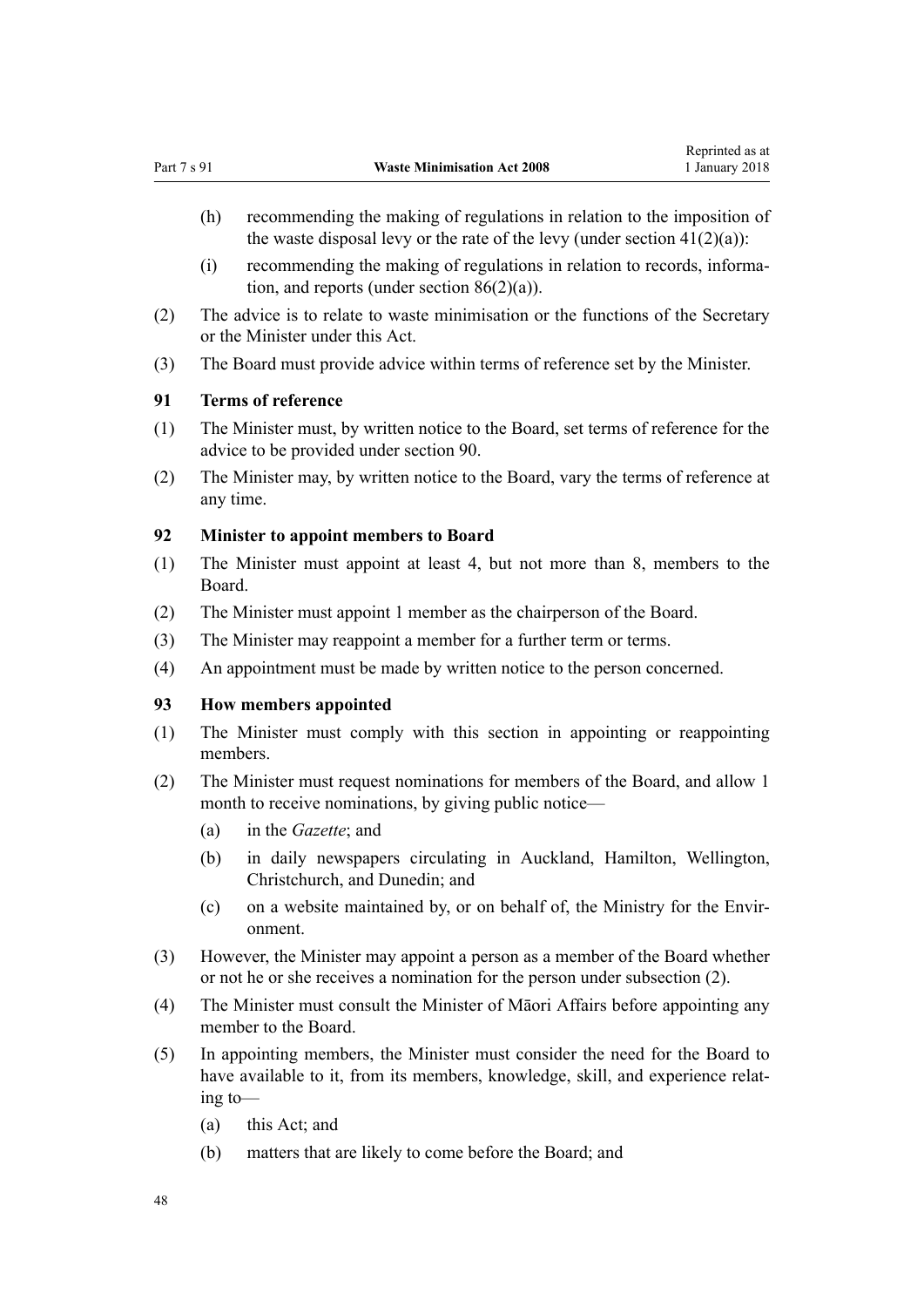- <span id="page-47-0"></span>(h) recommending the making of regulations in relation to the imposition of the waste disposal levy or the rate of the levy (under section  $41(2)(a)$ ):
- (i) recommending the making of regulations in relation to records, information, and reports (under [section 86\(2\)\(a\)](#page-44-0)).
- (2) The advice is to relate to waste minimisation or the functions of the Secretary or the Minister under this Act.
- (3) The Board must provide advice within terms of reference set by the Minister.

# **91 Terms of reference**

- (1) The Minister must, by written notice to the Board, set terms of reference for the advice to be provided under [section 90](#page-46-0).
- (2) The Minister may, by written notice to the Board, vary the terms of reference at any time.

#### **92 Minister to appoint members to Board**

- (1) The Minister must appoint at least 4, but not more than 8, members to the Board.
- (2) The Minister must appoint 1 member as the chairperson of the Board.
- (3) The Minister may reappoint a member for a further term or terms.
- (4) An appointment must be made by written notice to the person concerned.

# **93 How members appointed**

- (1) The Minister must comply with this section in appointing or reappointing members.
- (2) The Minister must request nominations for members of the Board, and allow 1 month to receive nominations, by giving public notice—
	- (a) in the *Gazette*; and
	- (b) in daily newspapers circulating in Auckland, Hamilton, Wellington, Christchurch, and Dunedin; and
	- (c) on a website maintained by, or on behalf of, the Ministry for the Environment.
- (3) However, the Minister may appoint a person as a member of the Board whether or not he or she receives a nomination for the person under subsection (2).
- (4) The Minister must consult the Minister of Māori Affairs before appointing any member to the Board.
- (5) In appointing members, the Minister must consider the need for the Board to have available to it, from its members, knowledge, skill, and experience relating to—
	- (a) this Act; and
	- (b) matters that are likely to come before the Board; and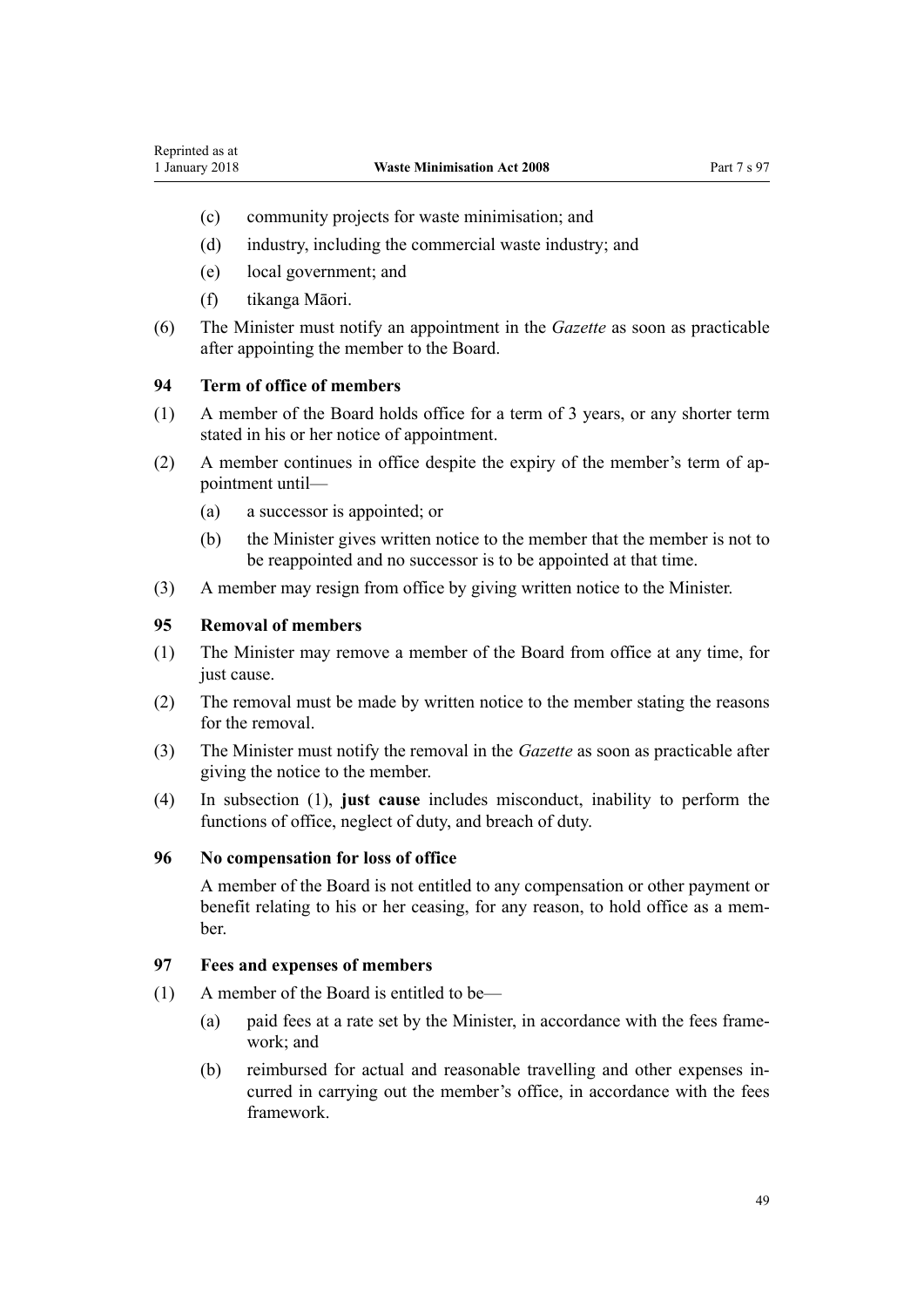- <span id="page-48-0"></span>(c) community projects for waste minimisation; and
- (d) industry, including the commercial waste industry; and
- (e) local government; and
- (f) tikanga Māori.
- (6) The Minister must notify an appointment in the *Gazette* as soon as practicable after appointing the member to the Board.

# **94 Term of office of members**

- (1) A member of the Board holds office for a term of 3 years, or any shorter term stated in his or her notice of appointment.
- (2) A member continues in office despite the expiry of the member's term of appointment until—
	- (a) a successor is appointed; or
	- (b) the Minister gives written notice to the member that the member is not to be reappointed and no successor is to be appointed at that time.
- (3) A member may resign from office by giving written notice to the Minister.

# **95 Removal of members**

- (1) The Minister may remove a member of the Board from office at any time, for just cause.
- (2) The removal must be made by written notice to the member stating the reasons for the removal.
- (3) The Minister must notify the removal in the *Gazette* as soon as practicable after giving the notice to the member.
- (4) In subsection (1), **just cause** includes misconduct, inability to perform the functions of office, neglect of duty, and breach of duty.

#### **96 No compensation for loss of office**

A member of the Board is not entitled to any compensation or other payment or benefit relating to his or her ceasing, for any reason, to hold office as a member.

# **97 Fees and expenses of members**

- (1) A member of the Board is entitled to be—
	- (a) paid fees at a rate set by the Minister, in accordance with the fees framework; and
	- (b) reimbursed for actual and reasonable travelling and other expenses incurred in carrying out the member's office, in accordance with the fees framework.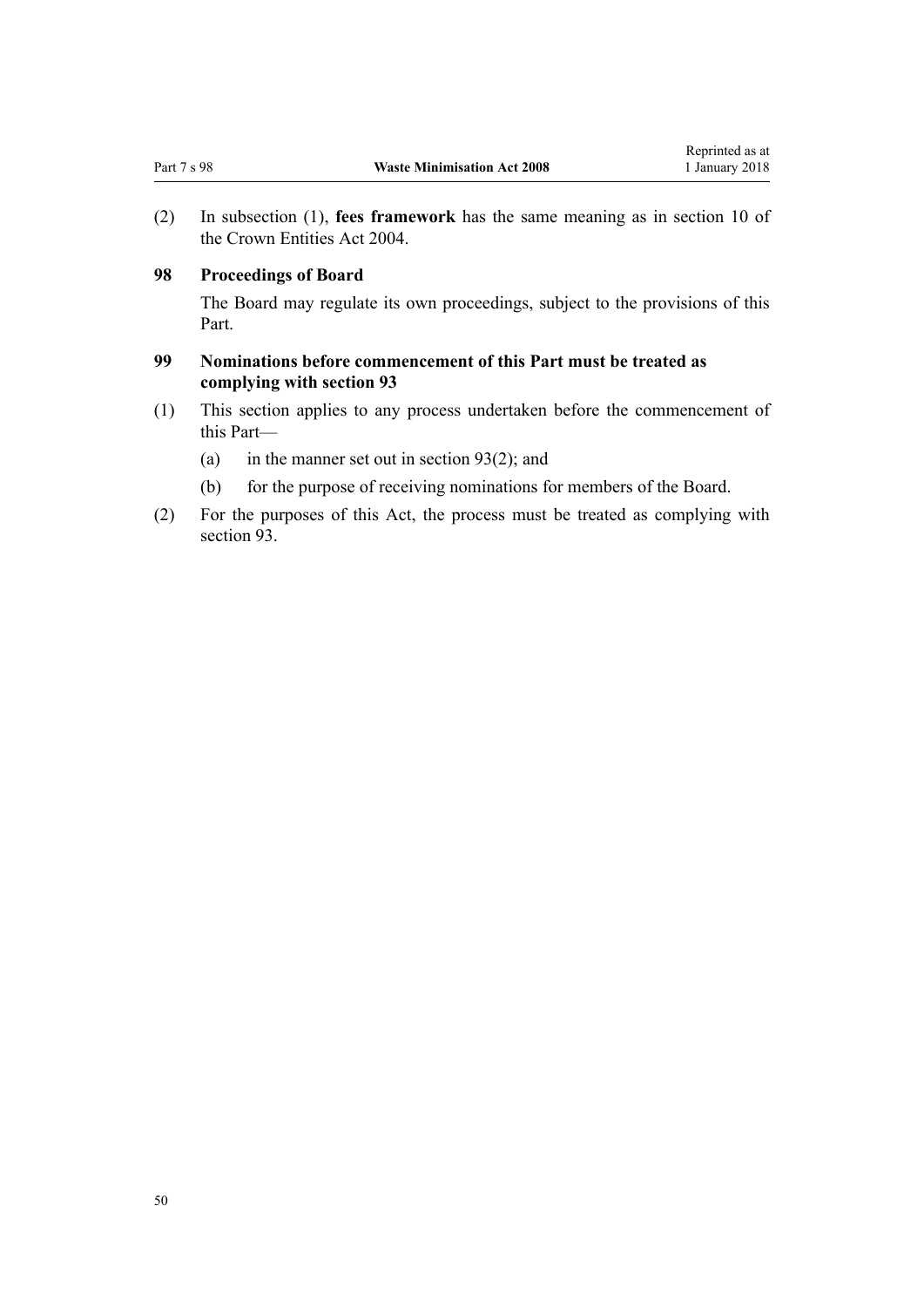<span id="page-49-0"></span>(2) In subsection (1), **fees framework** has the same meaning as in [section 10](http://prd-lgnz-nlb.prd.pco.net.nz/pdflink.aspx?id=DLM329649) of the Crown Entities Act 2004.

## **98 Proceedings of Board**

The Board may regulate its own proceedings, subject to the provisions of this Part.

# **99 Nominations before commencement of this Part must be treated as complying with section 93**

- (1) This section applies to any process undertaken before the commencement of this Part—
	- (a) in the manner set out in [section 93\(2\);](#page-47-0) and
	- (b) for the purpose of receiving nominations for members of the Board.
- (2) For the purposes of this Act, the process must be treated as complying with [section 93](#page-47-0).